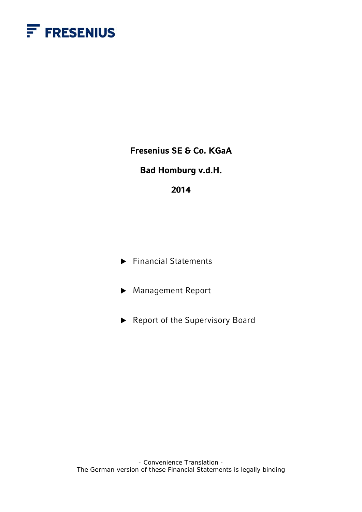

**Fresenius SE & Co. KGaA** 

## **Bad Homburg v.d.H.**

## **2014**

▶ Financial Statements

▶ Management Report

▶ Report of the Supervisory Board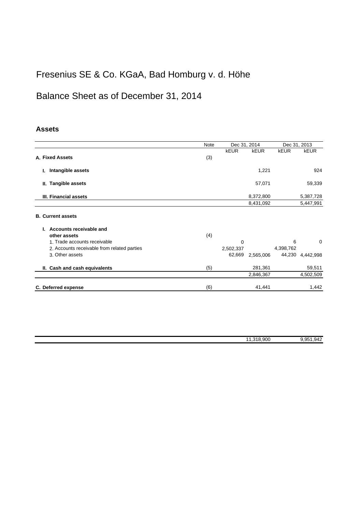# Fresenius SE & Co. KGaA, Bad Homburg v. d. Höhe

# Balance Sheet as of December 31, 2014

## **Assets**

|                                             | <b>Note</b> |             | Dec 31, 2014 |             | Dec 31, 2013     |
|---------------------------------------------|-------------|-------------|--------------|-------------|------------------|
|                                             |             | <b>kEUR</b> | <b>kEUR</b>  | <b>kEUR</b> | <b>kEUR</b>      |
| A. Fixed Assets                             | (3)         |             |              |             |                  |
| Intangible assets<br>ı.                     |             |             | 1,221        |             | 924              |
| II. Tangible assets                         |             |             | 57,071       |             | 59,339           |
| III. Financial assets                       |             |             | 8,372,800    |             | 5,387,728        |
|                                             |             |             | 8,431,092    |             | 5,447,991        |
| <b>B. Current assets</b>                    |             |             |              |             |                  |
| Accounts receivable and                     |             |             |              |             |                  |
| other assets                                | (4)         |             |              |             |                  |
| 1. Trade accounts receivable                |             | $\mathbf 0$ |              | 6           | $\mathbf 0$      |
| 2. Accounts receivable from related parties |             | 2,502,337   |              | 4,398,762   |                  |
| 3. Other assets                             |             | 62,669      | 2,565,006    |             | 44,230 4,442,998 |
| II. Cash and cash equivalents               | (5)         |             | 281,361      |             | 59,511           |
|                                             |             |             | 2,846,367    |             | 4,502,509        |
| C. Deferred expense                         | (6)         |             | 41,441       |             | 1,442            |

| 318,900 | 942<br>. 95 |
|---------|-------------|
|         |             |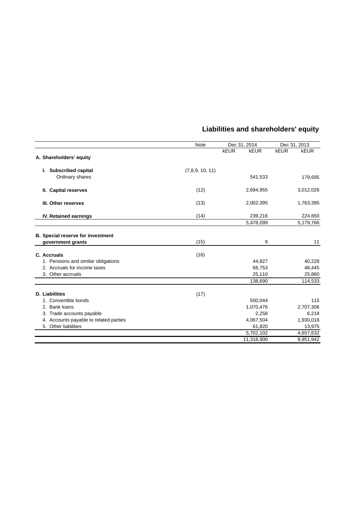|                                          | <b>Note</b>     | Dec 31, 2014 |             | Dec 31, 2013 |             |
|------------------------------------------|-----------------|--------------|-------------|--------------|-------------|
|                                          |                 | <b>kEUR</b>  | <b>kEUR</b> | <b>kEUR</b>  | <b>kEUR</b> |
| A. Shareholders' equity                  |                 |              |             |              |             |
| I. Subscribed capital                    | (7,8,9, 10, 11) |              |             |              |             |
| Ordinary shares                          |                 |              | 541,533     |              | 179,695     |
| II. Capital reserves                     | (12)            |              | 2,694,955   |              | 3,012,026   |
| III. Other reserves                      | (13)            |              | 2,002,395   |              | 1,763,395   |
| IV. Retained earnings                    | (14)            |              | 239,216     |              | 224,650     |
|                                          |                 |              | 5,478,099   |              | 5,179,766   |
|                                          |                 |              |             |              |             |
| <b>B.</b> Special reserve for investment |                 |              |             |              |             |
| government grants                        | (15)            |              | 9           |              | 11          |
| C. Accruals                              | (16)            |              |             |              |             |
| 1. Pensions and similar obligations      |                 |              | 44,827      |              | 40,228      |
| 2. Accruals for income taxes             |                 |              | 68,753      |              | 48,445      |
| 3. Other accruals                        |                 |              | 25,110      |              | 25,860      |
|                                          |                 |              | 138,690     |              | 114,533     |
| <b>D.</b> Liabilities                    | (17)            |              |             |              |             |
| 1. Convertible bonds                     |                 |              | 500,044     |              | 115         |
| 2. Bank loans                            |                 |              | 1,070,476   |              | 2,707,306   |
| 3. Trade accounts payable                |                 |              | 2,258       |              | 6,218       |
| 4. Accounts payable to related parties   |                 |              | 4,067,504   |              | 1,930,018   |
| 5. Other liabilities                     |                 |              | 61,820      |              | 13,975      |
|                                          |                 |              | 5,702,102   |              | 4,657,632   |
|                                          |                 |              | 11,318,900  |              | 9,951,942   |

## **Liabilities and shareholders' equity**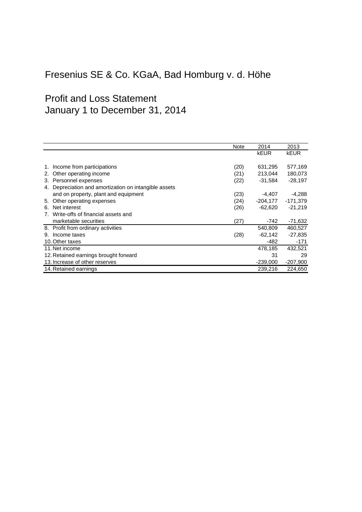# Fresenius SE & Co. KGaA, Bad Homburg v. d. Höhe

# Profit and Loss Statement January 1 to December 31, 2014

|                                                          | <b>Note</b> | 2014        | 2013        |
|----------------------------------------------------------|-------------|-------------|-------------|
|                                                          |             | <b>kEUR</b> | <b>kEUR</b> |
|                                                          |             |             |             |
| Income from participations                               | (20)        | 631,295     | 577,169     |
| Other operating income<br>2.                             | (21)        | 213,044     | 180,073     |
| 3. Personnel expenses                                    | (22)        | $-31,584$   | $-28,197$   |
| Depreciation and amortization on intangible assets<br>4. |             |             |             |
| and on property, plant and equipment                     | (23)        | -4,407      | -4,288      |
| Other operating expenses<br>5.                           | (24)        | -204,177    | -171,379    |
| Net interest<br>6.                                       | (26)        | $-62,620$   | $-21,219$   |
| Write-offs of financial assets and<br>7.                 |             |             |             |
| marketable securities                                    | (27)        | -742        | $-71,632$   |
| 8. Profit from ordinary activities                       |             | 540,809     | 460,527     |
| Income taxes<br>9.                                       | (28)        | -62,142     | $-27,835$   |
| 10. Other taxes                                          |             | -482        | -171        |
| 11. Net income                                           |             | 478,185     | 432,521     |
| 12. Retained earnings brought forward                    |             | 31          | 29          |
| 13. Increase of other reserves                           |             | $-239,000$  | $-207,900$  |
| 14. Retained earnings                                    |             | 239,216     | 224.650     |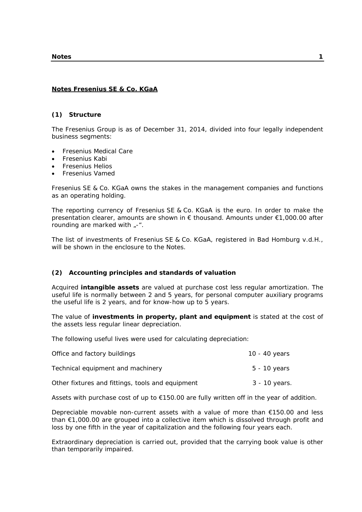## **Notes Fresenius SE & Co. KGaA**

### **(1) Structure**

The Fresenius Group is as of December 31, 2014, divided into four legally independent business segments:

- Fresenius Medical Care
- Fresenius Kabi
- Fresenius Helios
- Fresenius Vamed

Fresenius SE & Co. KGaA owns the stakes in the management companies and functions as an operating holding.

The reporting currency of Fresenius SE & Co. KGaA is the euro. In order to make the presentation clearer, amounts are shown in € thousand. Amounts under €1,000.00 after rounding are marked with  $\sqrt{2}$ -".

The list of investments of Fresenius SE & Co. KGaA, registered in Bad Homburg v.d.H., will be shown in the enclosure to the Notes.

## **(2) Accounting principles and standards of valuation**

Acquired **intangible assets** are valued at purchase cost less regular amortization. The useful life is normally between 2 and 5 years, for personal computer auxiliary programs the useful life is 2 years, and for know-how up to 5 years.

The value of **investments in property, plant and equipment** is stated at the cost of the assets less regular linear depreciation.

The following useful lives were used for calculating depreciation:

| Office and factory buildings                     | 10 - 40 years |
|--------------------------------------------------|---------------|
| Technical equipment and machinery                | 5 - 10 years  |
| Other fixtures and fittings, tools and equipment | 3 - 10 years. |

Assets with purchase cost of up to €150.00 are fully written off in the year of addition.

Depreciable movable non-current assets with a value of more than €150.00 and less than €1,000.00 are grouped into a collective item which is dissolved through profit and loss by one fifth in the year of capitalization and the following four years each.

Extraordinary depreciation is carried out, provided that the carrying book value is other than temporarily impaired.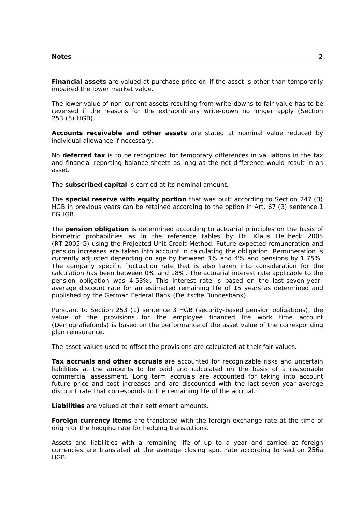**Financial assets** are valued at purchase price or, if the asset is other than temporarily impaired the lower market value.

The lower value of non-current assets resulting from write-downs to fair value has to be reversed if the reasons for the extraordinary write-down no longer apply (Section 253 (5) HGB).

**Accounts receivable and other assets** are stated at nominal value reduced by individual allowance if necessary.

No **deferred tax** is to be recognized for temporary differences in valuations in the tax and financial reporting balance sheets as long as the net difference would result in an asset.

The **subscribed capital** is carried at its nominal amount.

The **special reserve with equity portion** that was built according to Section 247 (3) HGB in previous years can be retained according to the option in Art. 67 (3) sentence 1 EGHGB.

The **pension obligation** is determined according to actuarial principles on the basis of biometric probabilities as in the reference tables by Dr. Klaus Heubeck 2005 (RT 2005 G) using the Projected Unit Credit-Method. Future expected remuneration and pension increases are taken into account in calculating the obligation. Remuneration is currently adjusted depending on age by between 3% and 4% and pensions by 1.75%. The company specific fluctuation rate that is also taken into consideration for the calculation has been between 0% and 18%. The actuarial interest rate applicable to the pension obligation was 4.53%. This interest rate is based on the last-seven-yearaverage discount rate for an estimated remaining life of 15 years as determined and published by the German Federal Bank (Deutsche Bundesbank).

Pursuant to Section 253 (1) sentence 3 HGB (security-based pension obligations), the value of the provisions for the employee financed life work time account (Demografiefonds) is based on the performance of the asset value of the corresponding plan reinsurance.

The asset values used to offset the provisions are calculated at their fair values.

**Tax accruals and other accruals** are accounted for recognizable risks and uncertain liabilities at the amounts to be paid and calculated on the basis of a reasonable commercial assessment. Long term accruals are accounted for taking into account future price and cost increases and are discounted with the last-seven-year-average discount rate that corresponds to the remaining life of the accrual.

**Liabilities** are valued at their settlement amounts.

**Foreign currency items** are translated with the foreign exchange rate at the time of origin or the hedging rate for hedging transactions.

Assets and liabilities with a remaining life of up to a year and carried at foreign currencies are translated at the average closing spot rate according to section 256a HGB.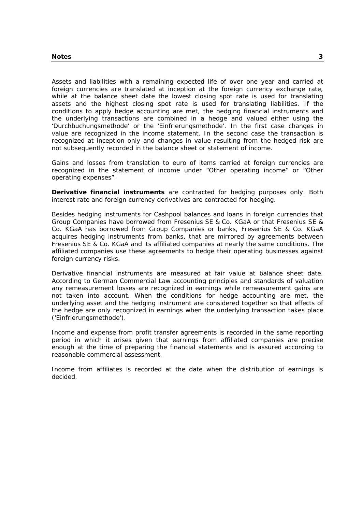Assets and liabilities with a remaining expected life of over one year and carried at foreign currencies are translated at inception at the foreign currency exchange rate, while at the balance sheet date the lowest closing spot rate is used for translating assets and the highest closing spot rate is used for translating liabilities. If the conditions to apply hedge accounting are met, the hedging financial instruments and the underlying transactions are combined in a hedge and valued either using the 'Durchbuchungsmethode' or the 'Einfrierungsmethode'. In the first case changes in value are recognized in the income statement. In the second case the transaction is recognized at inception only and changes in value resulting from the hedged risk are not subsequently recorded in the balance sheet or statement of income.

Gains and losses from translation to euro of items carried at foreign currencies are recognized in the statement of income under "Other operating income" or "Other operating expenses".

**Derivative financial instruments** are contracted for hedging purposes only. Both interest rate and foreign currency derivatives are contracted for hedging.

Besides hedging instruments for Cashpool balances and loans in foreign currencies that Group Companies have borrowed from Fresenius SE & Co. KGaA or that Fresenius SE & Co. KGaA has borrowed from Group Companies or banks, Fresenius SE & Co. KGaA acquires hedging instruments from banks, that are mirrored by agreements between Fresenius SE & Co. KGaA and its affiliated companies at nearly the same conditions. The affiliated companies use these agreements to hedge their operating businesses against foreign currency risks.

Derivative financial instruments are measured at fair value at balance sheet date. According to German Commercial Law accounting principles and standards of valuation any remeasurement losses are recognized in earnings while remeasurement gains are not taken into account. When the conditions for hedge accounting are met, the underlying asset and the hedging instrument are considered together so that effects of the hedge are only recognized in earnings when the underlying transaction takes place ('Einfrierungsmethode').

Income and expense from profit transfer agreements is recorded in the same reporting period in which it arises given that earnings from affiliated companies are precise enough at the time of preparing the financial statements and is assured according to reasonable commercial assessment.

Income from affiliates is recorded at the date when the distribution of earnings is decided.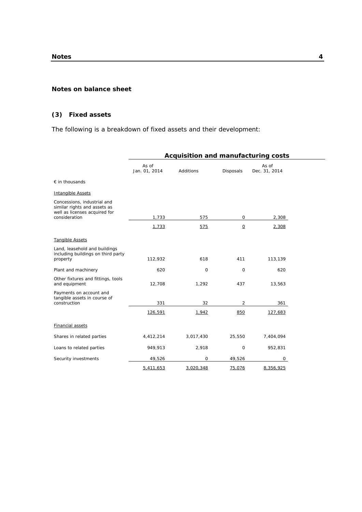## **Notes on balance sheet**

## **(3) Fixed assets**

The following is a breakdown of fixed assets and their development:

|                                                                                                               | Acquisition and manufacturing costs |           |                          |                        |  |
|---------------------------------------------------------------------------------------------------------------|-------------------------------------|-----------|--------------------------|------------------------|--|
|                                                                                                               | As of<br>Jan. 01, 2014              | Additions | Disposals                | As of<br>Dec. 31, 2014 |  |
| $\epsilon$ in thousands                                                                                       |                                     |           |                          |                        |  |
| <b>Intangible Assets</b>                                                                                      |                                     |           |                          |                        |  |
| Concessions, industrial and<br>similar rights and assets as<br>well as licenses acquired for<br>consideration | 1,733                               | 575       | 0                        | 2,308                  |  |
|                                                                                                               | 1,733                               | 575       | $\underline{\mathsf{O}}$ | 2,308                  |  |
| <b>Tangible Assets</b>                                                                                        |                                     |           |                          |                        |  |
| Land, leasehold and buildings<br>including buildings on third party<br>property                               | 112,932                             | 618       | 411                      | 113,139                |  |
| Plant and machinery                                                                                           | 620                                 | $\circ$   | 0                        | 620                    |  |
| Other fixtures and fittings, tools<br>and equipment                                                           | 12,708                              | 1,292     | 437                      | 13,563                 |  |
| Payments on account and<br>tangible assets in course of<br>construction                                       | 331                                 | 32        | 2                        | 361                    |  |
|                                                                                                               | 126,591                             | 1,942     | 850                      | 127,683                |  |
| <b>Financial assets</b>                                                                                       |                                     |           |                          |                        |  |
| Shares in related parties                                                                                     | 4,412,214                           | 3,017,430 | 25,550                   | 7,404,094              |  |
| Loans to related parties                                                                                      | 949,913                             | 2,918     | $\mathbf 0$              | 952,831                |  |
| Security investments                                                                                          | 49,526                              | 0         | 49,526                   | 0                      |  |
|                                                                                                               | 5,411,653                           | 3,020,348 | 75,076                   | 8,356,925              |  |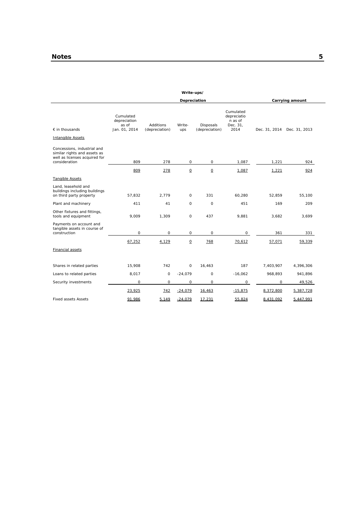|                                                                                                               |                                                     |                             | Write-ups/               |                             |                                                         |           |                             |
|---------------------------------------------------------------------------------------------------------------|-----------------------------------------------------|-----------------------------|--------------------------|-----------------------------|---------------------------------------------------------|-----------|-----------------------------|
|                                                                                                               |                                                     |                             | Depreciation             |                             |                                                         |           | Carrying amount             |
| $\epsilon$ in thousands                                                                                       | Cumulated<br>depreciation<br>as of<br>Jan. 01, 2014 | Additions<br>(depreciation) | Write-<br>ups            | Disposals<br>(depreciation) | Cumulated<br>depreciatio<br>n as of<br>Dec. 31,<br>2014 |           | Dec. 31, 2014 Dec. 31, 2013 |
|                                                                                                               |                                                     |                             |                          |                             |                                                         |           |                             |
| Intangible Assets                                                                                             |                                                     |                             |                          |                             |                                                         |           |                             |
| Concessions, industrial and<br>similar rights and assets as<br>well as licenses acquired for<br>consideration | 809                                                 | 278                         | $\circ$                  | $\mathsf{O}$                | 1,087                                                   | 1,221     | 924                         |
|                                                                                                               | 809                                                 | 278                         | $\underline{\mathsf{O}}$ | $\underline{\mathsf{O}}$    | 1,087                                                   | 1,221     | 924                         |
| <b>Tangible Assets</b>                                                                                        |                                                     |                             |                          |                             |                                                         |           |                             |
| Land, leasehold and<br>buildings including buildings<br>on third party property                               | 57.832                                              | 2.779                       | $\circ$                  | 331                         | 60.280                                                  | 52.859    | 55.100                      |
| Plant and machinery                                                                                           | 411                                                 | 41                          | O                        | $\Omega$                    | 451                                                     | 169       | 209                         |
| Other fixtures and fittings,<br>tools and equipment                                                           | 9,009                                               | 1,309                       | 0                        | 437                         | 9,881                                                   | 3,682     | 3,699                       |
| Payments on account and<br>tangible assets in course of<br>construction                                       | 0                                                   | O                           | O                        | 0                           | $\Omega$                                                | 361       | 331                         |
|                                                                                                               | 67,252                                              | 4,129                       | $\mathsf O$              | 768                         | 70.612                                                  | 57,071    | 59,339                      |
| Financial assets                                                                                              |                                                     |                             |                          |                             |                                                         |           |                             |
| Shares in related parties                                                                                     | 15,908                                              | 742                         | $\Omega$                 | 16,463                      | 187                                                     | 7,403,907 | 4,396,306                   |
| Loans to related parties                                                                                      | 8,017                                               | O                           | $-24,079$                | 0                           | $-16,062$                                               | 968,893   | 941,896                     |
| Security investments                                                                                          | $\Omega$                                            | $\Omega$                    | $\circ$                  | $\mathsf{O}$                | $\mathsf{O}$                                            | $\Omega$  | 49,526                      |
|                                                                                                               | 23,925                                              | 742                         | $-24,079$                | 16,463                      | $-15,875$                                               | 8,372,800 | 5,387,728                   |
| <b>Fixed assets Assets</b>                                                                                    | 91,986                                              | 5,149                       | $-24,079$                | 17,231                      | 55,824                                                  | 8,431,092 | 5,447,991                   |
|                                                                                                               |                                                     |                             |                          |                             |                                                         |           |                             |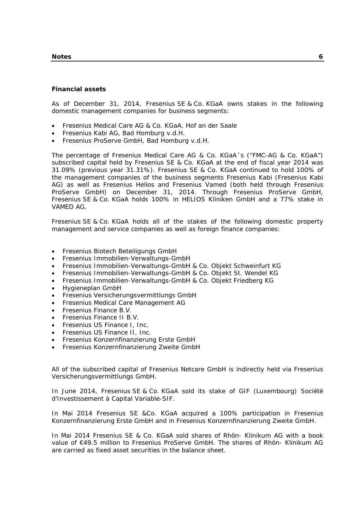#### **Notes 6**

## **Financial assets**

As of December 31, 2014, Fresenius SE & Co. KGaA owns stakes in the following domestic management companies for business segments:

- Fresenius Medical Care AG & Co. KGaA, Hof an der Saale
- Fresenius Kabi AG, Bad Homburg v.d.H.
- Fresenius ProServe GmbH, Bad Homburg v.d.H.

The percentage of Fresenius Medical Care AG & Co. KGaA´s ("FMC-AG & Co. KGaA") subscribed capital held by Fresenius SE & Co. KGaA at the end of fiscal year 2014 was 31.09% (previous year 31.31%). Fresenius SE & Co. KGaA continued to hold 100% of the management companies of the business segments Fresenius Kabi (Fresenius Kabi AG) as well as Fresenius Helios and Fresenius Vamed (both held through Fresenius ProServe GmbH) on December 31, 2014. Through Fresenius ProServe GmbH, Fresenius SE & Co. KGaA holds 100% in HELIOS Kliniken GmbH and a 77% stake in VAMED AG.

Fresenius SE & Co. KGaA holds all of the stakes of the following domestic property management and service companies as well as foreign finance companies:

- Fresenius Biotech Beteiligungs GmbH
- Fresenius Immobilien-Verwaltungs-GmbH
- Fresenius Immobilien-Verwaltungs-GmbH & Co. Objekt Schweinfurt KG
- Fresenius Immobilien-Verwaltungs-GmbH & Co. Objekt St. Wendel KG
- Fresenius Immobilien-Verwaltungs-GmbH & Co. Objekt Friedberg KG
- Hygieneplan GmbH
- Fresenius Versicherungsvermittlungs GmbH
- Fresenius Medical Care Management AG
- Fresenius Finance B.V.
- Fresenius Finance II B.V.
- Fresenius US Finance I, Inc.
- Fresenius US Finance II, Inc.
- Fresenius Konzernfinanzierung Erste GmbH
- Fresenius Konzernfinanzierung Zweite GmbH

All of the subscribed capital of Fresenius Netcare GmbH is indirectly held via Fresenius Versicherungsvermittlungs GmbH.

In June 2014, Fresenius SE & Co. KGaA sold its stake of GIF (Luxembourg) Société d'Investissement à Capital Variable-SIF.

In Mai 2014 Fresenius SE &Co. KGaA acquired a 100% participation in Fresenius Konzernfinanzierung Erste GmbH and in Fresenius Konzernfinanzierung Zweite GmbH.

In Mai 2014 Fresenius SE & Co. KGaA sold shares of Rhön- Klinikum AG with a book value of €49.5 million to Fresenius ProServe GmbH. The shares of Rhön- Klinikum AG are carried as fixed asset securities in the balance sheet.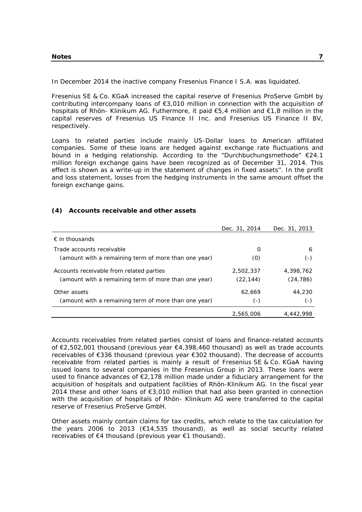In December 2014 the inactive company Fresenius Finance I S.A. was liquidated.

Fresenius SE & Co. KGaA increased the capital reserve of Fresenius ProServe GmbH by contributing intercompany loans of €3,010 million in connection with the acquisition of hospitals of Rhön- Klinikum AG. Futhermore, it paid €5,4 million and €1,8 million in the capital reserves of Fresenius US Finance II Inc. and Fresenius US Finance II BV, respectively.

Loans to related parties include mainly US-Dollar loans to American affiliated companies. Some of these loans are hedged against exchange rate fluctuations and bound in a hedging relationship. According to the "Durchbuchungsmethode" €24.1 million foreign exchange gains have been recognized as of December 31, 2014. This effect is shown as a write-up in the statement of changes in fixed assets". In the profit and loss statement, losses from the hedging instruments in the same amount offset the foreign exchange gains.

#### **(4) Accounts receivable and other assets**

|                                                      | Dec. 31, 2014 | Dec. 31, 2013 |
|------------------------------------------------------|---------------|---------------|
| $\epsilon$ in thousands                              |               |               |
| Trade accounts receivable                            | O             | 6             |
| (amount with a remaining term of more than one year) | (0)           | (-)           |
| Accounts receivable from related parties             | 2,502,337     | 4,398,762     |
| (amount with a remaining term of more than one year) | (22, 144)     | (24, 786)     |
| Other assets                                         | 62.669        | 44,230        |
| (amount with a remaining term of more than one year) | $(-)$         | ( – )         |
|                                                      | 2,565,006     | 4,442,998     |

Accounts receivables from related parties consist of loans and finance-related accounts of €2,502,001 thousand (previous year €4,398,460 thousand) as well as trade accounts receivables of €336 thousand (previous year €302 thousand). The decrease of accounts receivable from related parties is mainly a result of Fresenius SE & Co. KGaA having issued loans to several companies in the Fresenius Group in 2013. These loans were used to finance advances of €2,178 million made under a fiduciary arrangement for the acquisition of hospitals and outpatient facilities of Rhön-Klinikum AG. In the fiscal year 2014 these and other loans of €3,010 million that had also been granted in connection with the acquisition of hospitals of Rhön- Klinikum AG were transferred to the capital reserve of Fresenius ProServe GmbH.

Other assets mainly contain claims for tax credits, which relate to the tax calculation for the years 2006 to 2013 (€14,535 thousand), as well as social security related receivables of €4 thousand (previous year €1 thousand).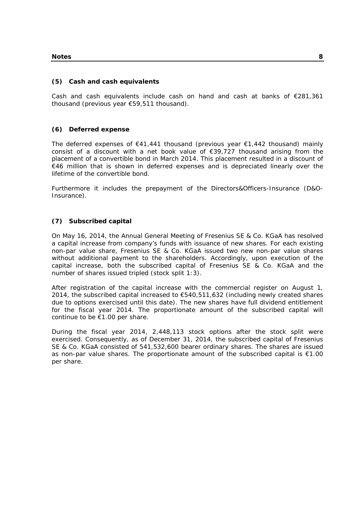## **(5) Cash and cash equivalents**

Cash and cash equivalents include cash on hand and cash at banks of €281,361 thousand (previous year €59,511 thousand).

## **(6) Deferred expense**

The deferred expenses of €41,441 thousand (previous year €1,442 thousand) mainly consist of a discount with a net book value of €39,727 thousand arising from the placement of a convertible bond in March 2014. This placement resulted in a discount of €46 million that is shown in deferred expenses and is depreciated linearly over the lifetime of the convertible bond.

Furthermore it includes the prepayment of the Directors&Officers-Insurance (D&O-Insurance).

## **(7) Subscribed capital**

On May 16, 2014, the Annual General Meeting of Fresenius SE & Co. KGaA has resolved a capital increase from company's funds with issuance of new shares. For each existing non-par value share, Fresenius SE & Co. KGaA issued two new non-par value shares without additional payment to the shareholders. Accordingly, upon execution of the capital increase, both the subscribed capital of Fresenius SE & Co. KGaA and the number of shares issued tripled (stock split 1:3).

After registration of the capital increase with the commercial register on August 1, 2014, the subscribed capital increased to  $€540,511,632$  (including newly created shares due to options exercised until this date). The new shares have full dividend entitlement for the fiscal year 2014. The proportionate amount of the subscribed capital will continue to be €1.00 per share.

During the fiscal year 2014, 2,448,113 stock options after the stock split were exercised. Consequently, as of December 31, 2014, the subscribed capital of Fresenius SE & Co. KGaA consisted of 541,532,600 bearer ordinary shares. The shares are issued as non-par value shares. The proportionate amount of the subscribed capital is €1.00 per share.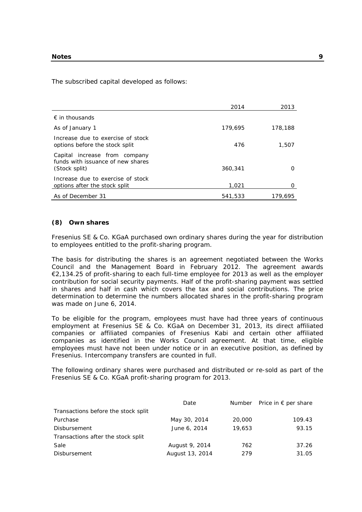The subscribed capital developed as follows:

|                                                                                     | 2014    | 2013    |
|-------------------------------------------------------------------------------------|---------|---------|
| $\epsilon$ in thousands                                                             |         |         |
| As of January 1                                                                     | 179,695 | 178,188 |
| Increase due to exercise of stock<br>options before the stock split                 | 476     | 1,507   |
| Capital increase from company<br>funds with issuance of new shares<br>(Stock split) | 360,341 | 0       |
| Increase due to exercise of stock<br>options after the stock split                  | 1,021   | 0       |
| As of December 31                                                                   | 541,533 | 179,695 |

#### **(8) Own shares**

Fresenius SE & Co. KGaA purchased own ordinary shares during the year for distribution to employees entitled to the profit-sharing program.

The basis for distributing the shares is an agreement negotiated between the Works Council and the Management Board in February 2012. The agreement awards €2,134.25 of profit-sharing to each full-time employee for 2013 as well as the employer contribution for social security payments. Half of the profit-sharing payment was settled in shares and half in cash which covers the tax and social contributions. The price determination to determine the numbers allocated shares in the profit-sharing program was made on June 6, 2014.

To be eligible for the program, employees must have had three years of continuous employment at Fresenius SE & Co. KGaA on December 31, 2013, its direct affiliated companies or affiliated companies of Fresenius Kabi and certain other affiliated companies as identified in the Works Council agreement. At that time, eligible employees must have not been under notice or in an executive position, as defined by Fresenius. Intercompany transfers are counted in full.

The following ordinary shares were purchased and distributed or re-sold as part of the Fresenius SE & Co. KGaA profit-sharing program for 2013.

|                                     | Date            |        | Number Price in $\epsilon$ per share |
|-------------------------------------|-----------------|--------|--------------------------------------|
| Transactions before the stock split |                 |        |                                      |
| Purchase                            | May 30, 2014    | 20,000 | 109.43                               |
| Disbursement                        | June 6, 2014    | 19,653 | 93.15                                |
| Transactions after the stock split  |                 |        |                                      |
| Sale                                | August 9, 2014  | 762    | 37.26                                |
| Disbursement                        | August 13, 2014 | 279    | 31.05                                |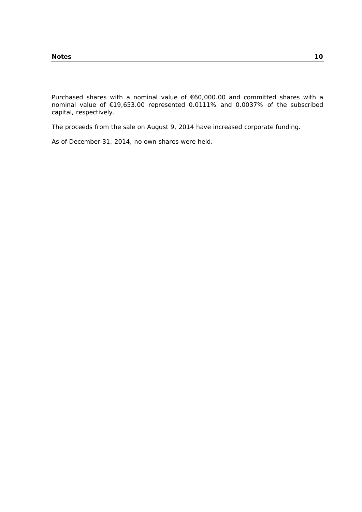Purchased shares with a nominal value of €60,000.00 and committed shares with a nominal value of €19,653.00 represented 0.0111% and 0.0037% of the subscribed capital, respectively.

The proceeds from the sale on August 9, 2014 have increased corporate funding.

As of December 31, 2014, no own shares were held.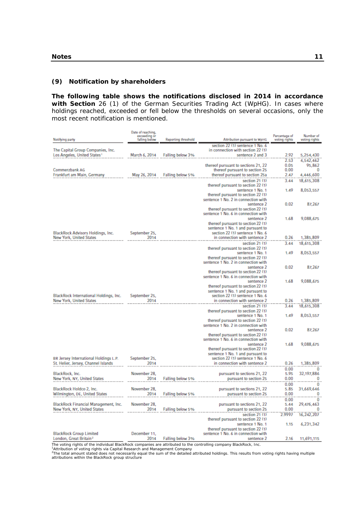## **(9) Notification by shareholders**

**The following table shows the notifications disclosed in 2014 in accordance**  with Section 26 (1) of the German Securities Trading Act (WpHG). In cases where holdings reached, exceeded or fell below the thresholds on several occasions, only the most recent notification is mentioned.

| Notifying party                                                              | Date of reaching,<br>exceeding or<br>falling below | Reporting threshold | Attribution pursuant to WpHG                          | Percentage of<br>voting rights | Number of<br>voting rights |
|------------------------------------------------------------------------------|----------------------------------------------------|---------------------|-------------------------------------------------------|--------------------------------|----------------------------|
|                                                                              |                                                    |                     | section 22 (1) sentence 1 No. 6                       |                                |                            |
| The Capital Group Companies, Inc.<br>Los Angeles, United States <sup>+</sup> | March 6, 2014                                      | Falling below 3%    | in connection with section 22 (1)<br>sentence 2 and 3 | 2.92                           | 5,254,430                  |
|                                                                              |                                                    |                     |                                                       | 2.53                           |                            |
|                                                                              |                                                    |                     | thereof pursuant to sections 21, 22                   | 0.05                           | 4,542,462<br>95,862        |
| Commerzbank AG                                                               |                                                    |                     | thereof pursuant to section 25                        | 0.00                           | 0                          |
| Frankfurt am Main, Germany                                                   | May 26, 2014                                       | Falling below 5%    | thereof pursuant to section 25a                       | 2.47                           | 4,446,600                  |
|                                                                              |                                                    |                     | section 21 (1)                                        | 3.44                           | 18,615,308                 |
|                                                                              |                                                    |                     | thereof pursuant to section 22 (1)                    |                                |                            |
|                                                                              |                                                    |                     | sentence 1 No. 1                                      | 1.49                           | 8,053,557                  |
|                                                                              |                                                    |                     | thereof pursuant to section 22 (1)                    |                                |                            |
|                                                                              |                                                    |                     | sentence 1 No. 2 in connection with                   |                                |                            |
|                                                                              |                                                    |                     | sentence 2                                            | 0.02                           | 87,267                     |
|                                                                              |                                                    |                     | thereof pursuant to section 22 (1)                    |                                |                            |
|                                                                              |                                                    |                     | sentence 1 No. 6 in connection with                   |                                |                            |
|                                                                              |                                                    |                     | sentence 2                                            | 1.68                           | 9.088.675                  |
|                                                                              |                                                    |                     | thereof pursuant to section 22 (1)                    |                                |                            |
|                                                                              |                                                    |                     | sentence 1 No. 1 and pursuant to                      |                                |                            |
| BlackRock Advisors Holdings, Inc.                                            | September 25,                                      |                     | section 22 (1) sentence 1 No. 6                       |                                |                            |
| <b>New York, United States</b>                                               | 2014                                               |                     | in connection with sentence 2                         | 0.26                           | 1.385.809                  |
|                                                                              |                                                    |                     | section 21 (1)                                        | 3.44                           | 18,615,308                 |
|                                                                              |                                                    |                     | thereof pursuant to section 22 (1)                    |                                |                            |
|                                                                              |                                                    |                     | sentence 1 No. 1                                      | 1.49                           | 8,053,557                  |
|                                                                              |                                                    |                     | thereof pursuant to section 22 (1)                    |                                |                            |
|                                                                              |                                                    |                     | sentence 1 No. 2 in connection with                   |                                |                            |
|                                                                              |                                                    |                     | sentence 2<br>thereof pursuant to section 22 (1)      | 0.02                           | 87,267                     |
|                                                                              |                                                    |                     | sentence 1 No. 6 in connection with                   |                                |                            |
|                                                                              |                                                    |                     | sentence 2                                            | 1.68                           | 9,088,675                  |
|                                                                              |                                                    |                     | thereof pursuant to section 22 (1)                    |                                |                            |
|                                                                              |                                                    |                     | sentence 1 No. 1 and pursuant to                      |                                |                            |
| BlackRock International Holdings, Inc.                                       | September 25,                                      |                     | section 22 (1) sentence 1 No. 6                       |                                |                            |
| <b>New York, United States</b>                                               | 2014                                               |                     | in connection with sentence 2                         | 0.26                           | 1,385,809                  |
|                                                                              |                                                    |                     | section 21 (1)                                        | 3.44                           | 18,615,308                 |
|                                                                              |                                                    |                     | thereof pursuant to section 22 (1)                    |                                |                            |
|                                                                              |                                                    |                     | sentence 1 No. 1                                      | 1.49                           | 8,053,557                  |
|                                                                              |                                                    |                     | thereof pursuant to section 22 (1)                    |                                |                            |
|                                                                              |                                                    |                     | sentence 1 No. 2 in connection with                   |                                |                            |
|                                                                              |                                                    |                     | sentence 2                                            | 0.02                           | 87,267                     |
|                                                                              |                                                    |                     | thereof pursuant to section 22 (1)                    |                                |                            |
|                                                                              |                                                    |                     | sentence 1 No. 6 in connection with                   |                                |                            |
|                                                                              |                                                    |                     | sentence 2<br>thereof pursuant to section 22 (1)      | 1.68                           | 9,088,675                  |
|                                                                              |                                                    |                     | sentence 1 No. 1 and pursuant to                      |                                |                            |
| BR Jersey International Holdings L.P.                                        | September 25,                                      |                     | section 22 (1) sentence 1 No. 6                       |                                |                            |
| St. Helier, Jersey, Channel Islands                                          | 2014                                               |                     | in connection with sentence 2                         | 0.26                           | 1,385,809                  |
|                                                                              |                                                    |                     |                                                       | 0.00                           | 0                          |
| BlackRock, Inc.                                                              | November 28,                                       |                     | pursuant to sections 21, 22                           | 5.95                           | 32,197,886                 |
| New York, NY, United States                                                  | 2014                                               | Falling below 5%    | pursuant to section 25                                | 0.00                           | 0                          |
|                                                                              |                                                    |                     |                                                       | 0.00                           | 0                          |
| BlackRock Holdco 2, Inc.                                                     | November 28.                                       |                     | pursuant to sections 21, 22                           | 5.85                           | 31,669,646                 |
| Wilmington, DE, United States                                                | 2014                                               | Falling below 5%    | pursuant to section 25                                | 0.00                           | 0                          |
|                                                                              |                                                    |                     |                                                       | 0.00                           | 0                          |
| BlackRock Financial Management, Inc.                                         | November 28,                                       |                     | pursuant to sections 21, 22                           | 5.44                           | 29,476,463                 |
| New York, NY, United States                                                  | 2014                                               | Falling below 5%    | pursuant to section 25                                | 0.00                           | 0                          |
|                                                                              |                                                    |                     | section 21 (1)                                        | 2.9997                         | 16,242,207                 |
|                                                                              |                                                    |                     | thereof pursuant to section 22 (1)                    |                                |                            |
|                                                                              |                                                    |                     | sentence 1 No. 1                                      | 1.15                           | 6,231,342                  |
|                                                                              |                                                    |                     | thereof pursuant to section 22 (1)                    |                                |                            |
| <b>BlackRock Group Limited</b>                                               | December 11.                                       |                     | sentence 1 No. 6 in connection with                   |                                |                            |
| London, Great Britain <sup>2</sup>                                           | 2014                                               | Falling below 3%    | sentence 2                                            | 2.16                           | 11,691,115                 |

The voting rights of the individual BlackRock companies are attributed to the controlling company BlackRock, Inc.<br><sup>1</sup>Attribution of voting rights via Capital Research and Management Company<br><sup>2</sup>The total amount stated does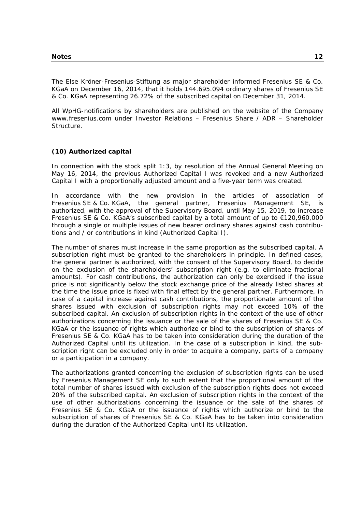The Else Kröner-Fresenius-Stiftung as major shareholder informed Fresenius SE & Co. KGaA on December 16, 2014, that it holds 144.695.094 ordinary shares of Fresenius SE & Co. KGaA representing 26.72% of the subscribed capital on December 31, 2014.

All WpHG-notifications by shareholders are published on the website of the Company www.fresenius.com under Investor Relations – Fresenius Share / ADR – Shareholder Structure.

## **(10) Authorized capital**

In connection with the stock split 1:3, by resolution of the Annual General Meeting on May 16, 2014, the previous Authorized Capital I was revoked and a new Authorized Capital I with a proportionally adjusted amount and a five-year term was created.

In accordance with the new provision in the articles of association of Fresenius SE & Co. KGaA, the general partner, Fresenius Management SE, is authorized, with the approval of the Supervisory Board, until May 15, 2019, to increase Fresenius SE & Co. KGaA's subscribed capital by a total amount of up to €120,960,000 through a single or multiple issues of new bearer ordinary shares against cash contributions and / or contributions in kind (Authorized Capital I).

The number of shares must increase in the same proportion as the subscribed capital. A subscription right must be granted to the shareholders in principle. In defined cases, the general partner is authorized, with the consent of the Supervisory Board, to decide on the exclusion of the shareholders' subscription right (e.g. to eliminate fractional amounts). For cash contributions, the authorization can only be exercised if the issue price is not significantly below the stock exchange price of the already listed shares at the time the issue price is fixed with final effect by the general partner. Furthermore, in case of a capital increase against cash contributions, the proportionate amount of the shares issued with exclusion of subscription rights may not exceed 10% of the subscribed capital. An exclusion of subscription rights in the context of the use of other authorizations concerning the issuance or the sale of the shares of Fresenius SE & Co. KGaA or the issuance of rights which authorize or bind to the subscription of shares of Fresenius SE & Co. KGaA has to be taken into consideration during the duration of the Authorized Capital until its utilization. In the case of a subscription in kind, the subscription right can be excluded only in order to acquire a company, parts of a company or a participation in a company.

The authorizations granted concerning the exclusion of subscription rights can be used by Fresenius Management SE only to such extent that the proportional amount of the total number of shares issued with exclusion of the subscription rights does not exceed 20% of the subscribed capital. An exclusion of subscription rights in the context of the use of other authorizations concerning the issuance or the sale of the shares of Fresenius SE & Co. KGaA or the issuance of rights which authorize or bind to the subscription of shares of Fresenius SE & Co. KGaA has to be taken into consideration during the duration of the Authorized Capital until its utilization.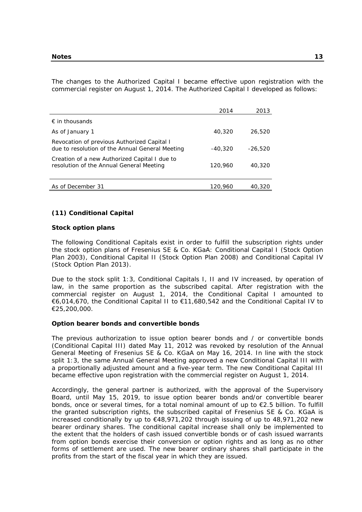The changes to the Authorized Capital I became effective upon registration with the commercial register on August 1, 2014. The Authorized Capital I developed as follows:

|                                                                                                | 2014      | 2013      |
|------------------------------------------------------------------------------------------------|-----------|-----------|
| $\epsilon$ in thousands                                                                        |           |           |
| As of January 1                                                                                | 40,320    | 26,520    |
| Revocation of previous Authorized Capital I<br>due to resolution of the Annual General Meeting | $-40.320$ | $-26.520$ |
| Creation of a new Authorized Capital I due to<br>resolution of the Annual General Meeting      | 120,960   | 40,320    |
| As of December 31                                                                              | 120.960   | 40,320    |

#### **(11) Conditional Capital**

#### **Stock option plans**

The following Conditional Capitals exist in order to fulfill the subscription rights under the stock option plans of Fresenius SE & Co. KGaA: Conditional Capital I (Stock Option Plan 2003), Conditional Capital II (Stock Option Plan 2008) and Conditional Capital IV (Stock Option Plan 2013).

Due to the stock split 1:3, Conditional Capitals I, II and IV increased, by operation of law, in the same proportion as the subscribed capital. After registration with the commercial register on August 1, 2014, the Conditional Capital I amounted to €6,014,670, the Conditional Capital II to €11,680,542 and the Conditional Capital IV to €25,200,000.

#### **Option bearer bonds and convertible bonds**

The previous authorization to issue option bearer bonds and / or convertible bonds (Conditional Capital III) dated May 11, 2012 was revoked by resolution of the Annual General Meeting of Fresenius SE & Co. KGaA on May 16, 2014. In line with the stock split 1:3, the same Annual General Meeting approved a new Conditional Capital III with a proportionally adjusted amount and a five-year term. The new Conditional Capital III became effective upon registration with the commercial register on August 1, 2014.

Accordingly, the general partner is authorized, with the approval of the Supervisory Board, until May 15, 2019, to issue option bearer bonds and/or convertible bearer bonds, once or several times, for a total nominal amount of up to €2.5 billion. To fulfill the granted subscription rights, the subscribed capital of Fresenius SE & Co. KGaA is increased conditionally by up to €48,971,202 through issuing of up to 48,971,202 new bearer ordinary shares. The conditional capital increase shall only be implemented to the extent that the holders of cash issued convertible bonds or of cash issued warrants from option bonds exercise their conversion or option rights and as long as no other forms of settlement are used. The new bearer ordinary shares shall participate in the profits from the start of the fiscal year in which they are issued.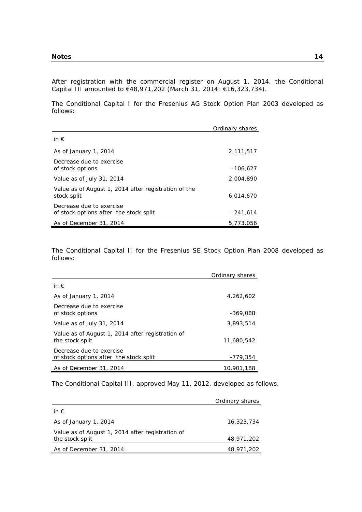After registration with the commercial register on August 1, 2014, the Conditional Capital III amounted to €48,971,202 (March 31, 2014: €16,323,734).

The Conditional Capital I for the Fresenius AG Stock Option Plan 2003 developed as follows:

|                                                                     | Ordinary shares |
|---------------------------------------------------------------------|-----------------|
| in $\epsilon$                                                       |                 |
| As of January 1, 2014                                               | 2,111,517       |
| Decrease due to exercise<br>of stock options                        | $-106.627$      |
| Value as of July 31, 2014                                           | 2,004,890       |
| Value as of August 1, 2014 after registration of the<br>stock split | 6,014,670       |
| Decrease due to exercise<br>of stock options after the stock split  | $-241,614$      |
| As of December 31, 2014                                             | 5,773,056       |

The Conditional Capital II for the Fresenius SE Stock Option Plan 2008 developed as follows:

|                                                                     | Ordinary shares |
|---------------------------------------------------------------------|-----------------|
| in $\epsilon$                                                       |                 |
| As of January 1, 2014                                               | 4,262,602       |
| Decrease due to exercise<br>of stock options                        | $-369.088$      |
| Value as of July 31, 2014                                           | 3,893,514       |
| Value as of August 1, 2014 after registration of<br>the stock split | 11,680,542      |
| Decrease due to exercise<br>of stock options after the stock split  | $-779.354$      |
| As of December 31, 2014                                             | 10,901,188      |

The Conditional Capital III, approved May 11, 2012, developed as follows:

|                                                  | Ordinary shares |
|--------------------------------------------------|-----------------|
| in $\epsilon$                                    |                 |
| As of January 1, 2014                            | 16,323,734      |
| Value as of August 1, 2014 after registration of |                 |
| the stock split                                  | 48,971,202      |
| As of December 31, 2014                          | 48,971,202      |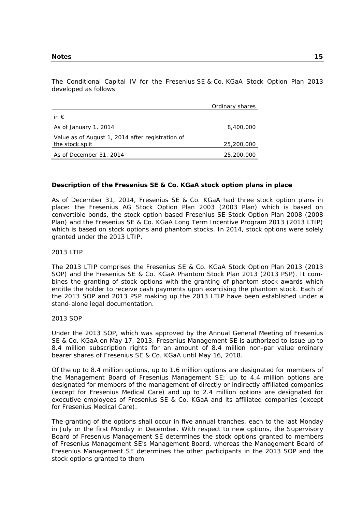The Conditional Capital IV for the Fresenius SE & Co. KGaA Stock Option Plan 2013 developed as follows:

|                                                  | Ordinary shares |
|--------------------------------------------------|-----------------|
| in $\epsilon$                                    |                 |
| As of January 1, 2014                            | 8,400,000       |
| Value as of August 1, 2014 after registration of |                 |
| the stock split                                  | 25,200,000      |
| As of December 31, 2014                          | 25,200,000      |

#### **Description of the Fresenius SE & Co. KGaA stock option plans in place**

As of December 31, 2014, Fresenius SE & Co. KGaA had three stock option plans in place: the Fresenius AG Stock Option Plan 2003 (2003 Plan) which is based on convertible bonds, the stock option based Fresenius SE Stock Option Plan 2008 (2008 Plan) and the Fresenius SE & Co. KGaA Long Term Incentive Program 2013 (2013 LTIP) which is based on stock options and phantom stocks. In 2014, stock options were solely granted under the 2013 LTIP.

#### 2013 LTIP

The 2013 LTIP comprises the Fresenius SE & Co. KGaA Stock Option Plan 2013 (2013 SOP) and the Fresenius SE & Co. KGaA Phantom Stock Plan 2013 (2013 PSP). It combines the granting of stock options with the granting of phantom stock awards which entitle the holder to receive cash payments upon exercising the phantom stock. Each of the 2013 SOP and 2013 PSP making up the 2013 LTIP have been established under a stand-alone legal documentation.

#### 2013 SOP

Under the 2013 SOP, which was approved by the Annual General Meeting of Fresenius SE & Co. KGaA on May 17, 2013, Fresenius Management SE is authorized to issue up to 8.4 million subscription rights for an amount of 8.4 million non-par value ordinary bearer shares of Fresenius SE & Co. KGaA until May 16, 2018.

Of the up to 8.4 million options, up to 1.6 million options are designated for members of the Management Board of Fresenius Management SE; up to 4.4 million options are designated for members of the management of directly or indirectly affiliated companies (except for Fresenius Medical Care) and up to 2.4 million options are designated for executive employees of Fresenius SE & Co. KGaA and its affiliated companies (except for Fresenius Medical Care).

The granting of the options shall occur in five annual tranches, each to the last Monday in July or the first Monday in December. With respect to new options, the Supervisory Board of Fresenius Management SE determines the stock options granted to members of Fresenius Management SE's Management Board, whereas the Management Board of Fresenius Management SE determines the other participants in the 2013 SOP and the stock options granted to them.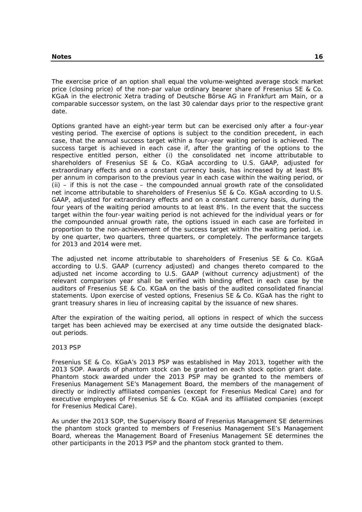The exercise price of an option shall equal the volume-weighted average stock market price (closing price) of the non-par value ordinary bearer share of Fresenius SE & Co. KGaA in the electronic Xetra trading of Deutsche Börse AG in Frankfurt am Main, or a comparable successor system, on the last 30 calendar days prior to the respective grant date.

Options granted have an eight-year term but can be exercised only after a four-year vesting period. The exercise of options is subject to the condition precedent, in each case, that the annual success target within a four-year waiting period is achieved. The success target is achieved in each case if, after the granting of the options to the respective entitled person, either (i) the consolidated net income attributable to shareholders of Fresenius SE & Co. KGaA according to U.S. GAAP, adjusted for extraordinary effects and on a constant currency basis, has increased by at least 8% per annum in comparison to the previous year in each case within the waiting period, or  $(i)$  – if this is not the case – the compounded annual growth rate of the consolidated net income attributable to shareholders of Fresenius SE & Co. KGaA according to U.S. GAAP, adjusted for extraordinary effects and on a constant currency basis, during the four years of the waiting period amounts to at least 8%. In the event that the success target within the four-year waiting period is not achieved for the individual years or for the compounded annual growth rate, the options issued in each case are forfeited in proportion to the non-achievement of the success target within the waiting period, i.e. by one quarter, two quarters, three quarters, or completely. The performance targets for 2013 and 2014 were met.

The adjusted net income attributable to shareholders of Fresenius SE & Co. KGaA according to U.S. GAAP (currency adjusted) and changes thereto compared to the adjusted net income according to U.S. GAAP (without currency adjustment) of the relevant comparison year shall be verified with binding effect in each case by the auditors of Fresenius SE & Co. KGaA on the basis of the audited consolidated financial statements. Upon exercise of vested options, Fresenius SE & Co. KGaA has the right to grant treasury shares in lieu of increasing capital by the issuance of new shares.

After the expiration of the waiting period, all options in respect of which the success target has been achieved may be exercised at any time outside the designated blackout periods.

#### 2013 PSP

Fresenius SE & Co. KGaA's 2013 PSP was established in May 2013, together with the 2013 SOP. Awards of phantom stock can be granted on each stock option grant date. Phantom stock awarded under the 2013 PSP may be granted to the members of Fresenius Management SE's Management Board, the members of the management of directly or indirectly affiliated companies (except for Fresenius Medical Care) and for executive employees of Fresenius SE & Co. KGaA and its affiliated companies (except for Fresenius Medical Care).

As under the 2013 SOP, the Supervisory Board of Fresenius Management SE determines the phantom stock granted to members of Fresenius Management SE's Management Board, whereas the Management Board of Fresenius Management SE determines the other participants in the 2013 PSP and the phantom stock granted to them.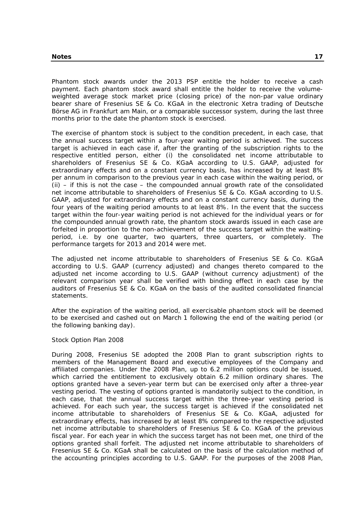Phantom stock awards under the 2013 PSP entitle the holder to receive a cash payment. Each phantom stock award shall entitle the holder to receive the volumeweighted average stock market price (closing price) of the non-par value ordinary bearer share of Fresenius SE & Co. KGaA in the electronic Xetra trading of Deutsche Börse AG in Frankfurt am Main, or a comparable successor system, during the last three months prior to the date the phantom stock is exercised.

The exercise of phantom stock is subject to the condition precedent, in each case, that the annual success target within a four-year waiting period is achieved. The success target is achieved in each case if, after the granting of the subscription rights to the respective entitled person, either (i) the consolidated net income attributable to shareholders of Fresenius SE & Co. KGaA according to U.S. GAAP, adjusted for extraordinary effects and on a constant currency basis, has increased by at least 8% per annum in comparison to the previous year in each case within the waiting period, or  $(i)$  – if this is not the case – the compounded annual growth rate of the consolidated net income attributable to shareholders of Fresenius SE & Co. KGaA according to U.S. GAAP, adjusted for extraordinary effects and on a constant currency basis, during the four years of the waiting period amounts to at least 8%. In the event that the success target within the four-year waiting period is not achieved for the individual years or for the compounded annual growth rate, the phantom stock awards issued in each case are forfeited in proportion to the non-achievement of the success target within the waitingperiod, i.e. by one quarter, two quarters, three quarters, or completely. The performance targets for 2013 and 2014 were met.

The adjusted net income attributable to shareholders of Fresenius SE & Co. KGaA according to U.S. GAAP (currency adjusted) and changes thereto compared to the adjusted net income according to U.S. GAAP (without currency adjustment) of the relevant comparison year shall be verified with binding effect in each case by the auditors of Fresenius SE & Co. KGaA on the basis of the audited consolidated financial statements.

After the expiration of the waiting period, all exercisable phantom stock will be deemed to be exercised and cashed out on March 1 following the end of the waiting period (or the following banking day).

#### Stock Option Plan 2008

During 2008, Fresenius SE adopted the 2008 Plan to grant subscription rights to members of the Management Board and executive employees of the Company and affiliated companies. Under the 2008 Plan, up to 6.2 million options could be issued, which carried the entitlement to exclusively obtain 6.2 million ordinary shares. The options granted have a seven-year term but can be exercised only after a three-year vesting period. The vesting of options granted is mandatorily subject to the condition, in each case, that the annual success target within the three-year vesting period is achieved. For each such year, the success target is achieved if the consolidated net income attributable to shareholders of Fresenius SE & Co. KGaA, adjusted for extraordinary effects, has increased by at least 8% compared to the respective adjusted net income attributable to shareholders of Fresenius SE & Co. KGaA of the previous fiscal year. For each year in which the success target has not been met, one third of the options granted shall forfeit. The adjusted net income attributable to shareholders of Fresenius SE & Co. KGaA shall be calculated on the basis of the calculation method of the accounting principles according to U.S. GAAP. For the purposes of the 2008 Plan,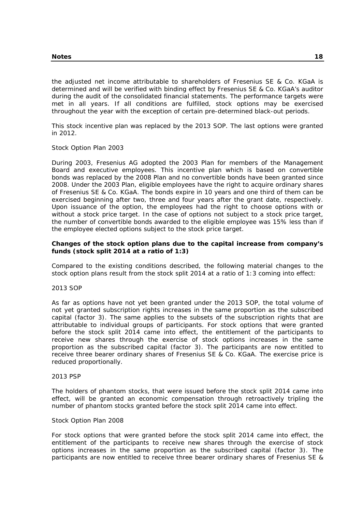the adjusted net income attributable to shareholders of Fresenius SE & Co. KGaA is determined and will be verified with binding effect by Fresenius SE & Co. KGaA's auditor during the audit of the consolidated financial statements. The performance targets were met in all years. If all conditions are fulfilled, stock options may be exercised throughout the year with the exception of certain pre-determined black-out periods.

This stock incentive plan was replaced by the 2013 SOP. The last options were granted in 2012.

#### Stock Option Plan 2003

During 2003, Fresenius AG adopted the 2003 Plan for members of the Management Board and executive employees. This incentive plan which is based on convertible bonds was replaced by the 2008 Plan and no convertible bonds have been granted since 2008. Under the 2003 Plan, eligible employees have the right to acquire ordinary shares of Fresenius SE & Co. KGaA. The bonds expire in 10 years and one third of them can be exercised beginning after two, three and four years after the grant date, respectively. Upon issuance of the option, the employees had the right to choose options with or without a stock price target. In the case of options not subject to a stock price target, the number of convertible bonds awarded to the eligible employee was 15% less than if the employee elected options subject to the stock price target.

## **Changes of the stock option plans due to the capital increase from company's funds (stock split 2014 at a ratio of 1:3)**

Compared to the existing conditions described, the following material changes to the stock option plans result from the stock split 2014 at a ratio of 1:3 coming into effect:

#### 2013 SOP

As far as options have not yet been granted under the 2013 SOP, the total volume of not yet granted subscription rights increases in the same proportion as the subscribed capital (factor 3). The same applies to the subsets of the subscription rights that are attributable to individual groups of participants. For stock options that were granted before the stock split 2014 came into effect, the entitlement of the participants to receive new shares through the exercise of stock options increases in the same proportion as the subscribed capital (factor 3). The participants are now entitled to receive three bearer ordinary shares of Fresenius SE & Co. KGaA. The exercise price is reduced proportionally.

#### 2013 PSP

The holders of phantom stocks, that were issued before the stock split 2014 came into effect, will be granted an economic compensation through retroactively tripling the number of phantom stocks granted before the stock split 2014 came into effect.

#### Stock Option Plan 2008

For stock options that were granted before the stock split 2014 came into effect, the entitlement of the participants to receive new shares through the exercise of stock options increases in the same proportion as the subscribed capital (factor 3). The participants are now entitled to receive three bearer ordinary shares of Fresenius SE &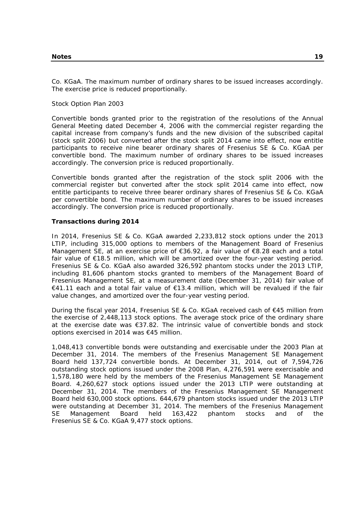Co. KGaA. The maximum number of ordinary shares to be issued increases accordingly. The exercise price is reduced proportionally.

#### Stock Option Plan 2003

Convertible bonds granted prior to the registration of the resolutions of the Annual General Meeting dated December 4, 2006 with the commercial register regarding the capital increase from company's funds and the new division of the subscribed capital (stock split 2006) but converted after the stock split 2014 came into effect, now entitle participants to receive nine bearer ordinary shares of Fresenius SE & Co. KGaA per convertible bond. The maximum number of ordinary shares to be issued increases accordingly. The conversion price is reduced proportionally.

Convertible bonds granted after the registration of the stock split 2006 with the commercial register but converted after the stock split 2014 came into effect, now entitle participants to receive three bearer ordinary shares of Fresenius SE & Co. KGaA per convertible bond. The maximum number of ordinary shares to be issued increases accordingly. The conversion price is reduced proportionally.

#### **Transactions during 2014**

In 2014, Fresenius SE & Co. KGaA awarded 2,233,812 stock options under the 2013 LTIP, including 315,000 options to members of the Management Board of Fresenius Management SE, at an exercise price of  $\epsilon$ 36.92, a fair value of  $\epsilon$ 8.28 each and a total fair value of €18.5 million, which will be amortized over the four-year vesting period. Fresenius SE & Co. KGaA also awarded 326,592 phantom stocks under the 2013 LTIP, including 81,606 phantom stocks granted to members of the Management Board of Fresenius Management SE, at a measurement date (December 31, 2014) fair value of €41.11 each and a total fair value of €13.4 million, which will be revalued if the fair value changes, and amortized over the four-year vesting period.

During the fiscal year 2014, Fresenius SE & Co. KGaA received cash of €45 million from the exercise of 2,448,113 stock options. The average stock price of the ordinary share at the exercise date was €37.82. The intrinsic value of convertible bonds and stock options exercised in 2014 was €45 million.

1,048,413 convertible bonds were outstanding and exercisable under the 2003 Plan at December 31, 2014. The members of the Fresenius Management SE Management Board held 137,724 convertible bonds. At December 31, 2014, out of 7,594,726 outstanding stock options issued under the 2008 Plan, 4,276,591 were exercisable and 1,578,180 were held by the members of the Fresenius Management SE Management Board. 4,260,627 stock options issued under the 2013 LTIP were outstanding at December 31, 2014. The members of the Fresenius Management SE Management Board held 630,000 stock options. 644,679 phantom stocks issued under the 2013 LTIP were outstanding at December 31, 2014. The members of the Fresenius Management SE Management Board held 163,422 phantom stocks and of the Fresenius SE & Co. KGaA 9,477 stock options.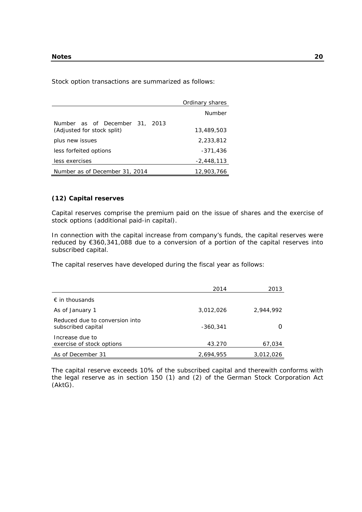Stock option transactions are summarized as follows:

|                                | Ordinary shares |
|--------------------------------|-----------------|
|                                | Number          |
| Number as of December 31, 2013 |                 |
| (Adjusted for stock split)     | 13,489,503      |
| plus new issues                | 2,233,812       |
| less forfeited options         | -371,436        |
| less exercises                 | $-2,448,113$    |
| Number as of December 31, 2014 | 12,903,766      |

## **(12) Capital reserves**

Capital reserves comprise the premium paid on the issue of shares and the exercise of stock options (additional paid-in capital).

In connection with the capital increase from company's funds, the capital reserves were reduced by €360,341,088 due to a conversion of a portion of the capital reserves into subscribed capital.

The capital reserves have developed during the fiscal year as follows:

|                                                      | 2014       | 2013      |
|------------------------------------------------------|------------|-----------|
| $\epsilon$ in thousands                              |            |           |
| As of January 1                                      | 3,012,026  | 2,944,992 |
| Reduced due to conversion into<br>subscribed capital | $-360.341$ |           |
| Increase due to<br>exercise of stock options         | 43.270     | 67,034    |
| As of December 31                                    | 2,694,955  | 3,012,026 |

The capital reserve exceeds 10% of the subscribed capital and therewith conforms with the legal reserve as in section 150 (1) and (2) of the German Stock Corporation Act (AktG).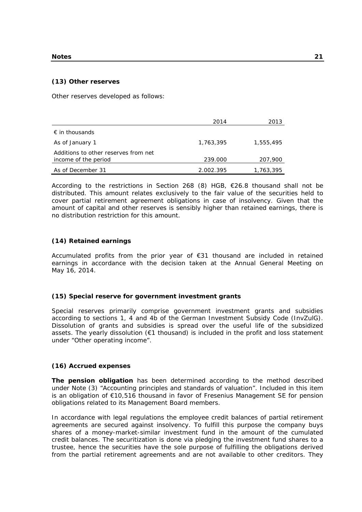#### **(13) Other reserves**

Other reserves developed as follows:

|                                      | 2014      | 2013      |
|--------------------------------------|-----------|-----------|
| $\epsilon$ in thousands              |           |           |
| As of January 1                      | 1,763,395 | 1,555,495 |
| Additions to other reserves from net |           |           |
| income of the period                 | 239.000   | 207,900   |
| As of December 31                    | 2.002.395 | 1,763,395 |

According to the restrictions in Section 268 (8) HGB, €26.8 thousand shall not be distributed. This amount relates exclusively to the fair value of the securities held to cover partial retirement agreement obligations in case of insolvency. Given that the amount of capital and other reserves is sensibly higher than retained earnings, there is no distribution restriction for this amount.

#### **(14) Retained earnings**

Accumulated profits from the prior year of €31 thousand are included in retained earnings in accordance with the decision taken at the Annual General Meeting on May 16, 2014.

#### **(15) Special reserve for government investment grants**

Special reserves primarily comprise government investment grants and subsidies according to sections 1, 4 and 4b of the German Investment Subsidy Code (InvZulG). Dissolution of grants and subsidies is spread over the useful life of the subsidized assets. The yearly dissolution (€1 thousand) is included in the profit and loss statement under "Other operating income".

#### **(16) Accrued expenses**

**The pension obligation** has been determined according to the method described under Note (3) "Accounting principles and standards of valuation". Included in this item is an obligation of €10,516 thousand in favor of Fresenius Management SE for pension obligations related to its Management Board members.

In accordance with legal regulations the employee credit balances of partial retirement agreements are secured against insolvency. To fulfill this purpose the company buys shares of a money-market-similar investment fund in the amount of the cumulated credit balances. The securitization is done via pledging the investment fund shares to a trustee, hence the securities have the sole purpose of fulfilling the obligations derived from the partial retirement agreements and are not available to other creditors. They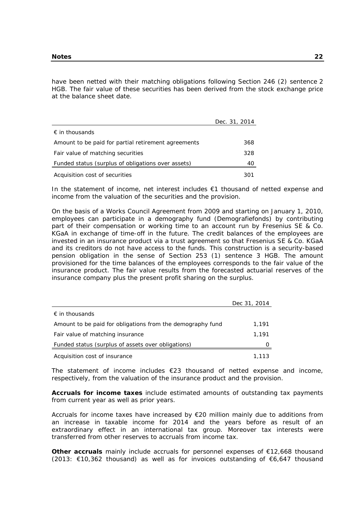have been netted with their matching obligations following Section 246 (2) sentence 2 HGB. The fair value of these securities has been derived from the stock exchange price at the balance sheet date.

|                                                     | Dec. 31, 2014 |
|-----------------------------------------------------|---------------|
| $\epsilon$ in thousands                             |               |
| Amount to be paid for partial retirement agreements | 368           |
| Fair value of matching securities                   | 328           |
| Funded status (surplus of obligations over assets)  | 40            |
| Acquisition cost of securities                      |               |

In the statement of income, net interest includes €1 thousand of netted expense and income from the valuation of the securities and the provision.

On the basis of a Works Council Agreement from 2009 and starting on January 1, 2010, employees can participate in a demography fund (Demografiefonds) by contributing part of their compensation or working time to an account run by Fresenius SE & Co. KGaA in exchange of time-off in the future. The credit balances of the employees are invested in an insurance product via a trust agreement so that Fresenius SE & Co. KGaA and its creditors do not have access to the funds. This construction is a security-based pension obligation in the sense of Section 253 (1) sentence 3 HGB. The amount provisioned for the time balances of the employees corresponds to the fair value of the insurance product. The fair value results from the forecasted actuarial reserves of the insurance company plus the present profit sharing on the surplus.

|                                                            | Dec 31, 2014     |
|------------------------------------------------------------|------------------|
| $\epsilon$ in thousands                                    |                  |
| Amount to be paid for obligations from the demography fund | 1,191            |
| Fair value of matching insurance                           | 1.191            |
| Funded status (surplus of assets over obligations)         | $\left( \right)$ |
| Acquisition cost of insurance                              | 1,113            |

The statement of income includes  $E$ 23 thousand of netted expense and income, respectively, from the valuation of the insurance product and the provision.

**Accruals for income taxes** include estimated amounts of outstanding tax payments from current year as well as prior years.

Accruals for income taxes have increased by  $E$ 20 million mainly due to additions from an increase in taxable income for 2014 and the years before as result of an extraordinary effect in an international tax group. Moreover tax interests were transferred from other reserves to accruals from income tax.

**Other accruals** mainly include accruals for personnel expenses of €12,668 thousand (2013: €10,362 thousand) as well as for invoices outstanding of €6,647 thousand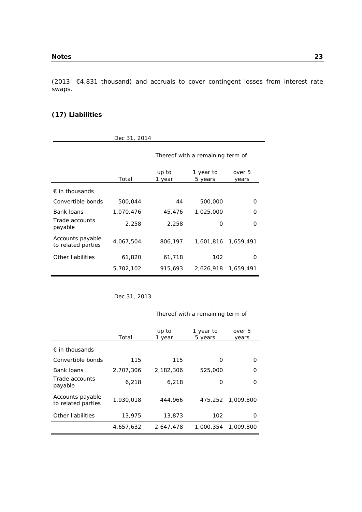(2013: €4,831 thousand) and accruals to cover contingent losses from interest rate swaps.

## **(17) Liabilities**

|                                        | Dec 31, 2014 |                                  |                      |                 |
|----------------------------------------|--------------|----------------------------------|----------------------|-----------------|
|                                        |              | Thereof with a remaining term of |                      |                 |
|                                        | Total        | up to<br>1 year                  | 1 year to<br>5 years | over 5<br>years |
| $\epsilon$ in thousands                |              |                                  |                      |                 |
| Convertible bonds                      | 500,044      | 44                               | 500,000              | Ω               |
| Bank loans                             | 1,070,476    | 45,476                           | 1,025,000            | O               |
| Trade accounts<br>payable              | 2,258        | 2,258                            | 0                    | O               |
| Accounts payable<br>to related parties | 4,067,504    | 806,197                          | 1,601,816            | 1,659,491       |
| Other liabilities                      | 61,820       | 61,718                           | 102                  | O               |
|                                        | 5,702,102    | 915,693                          | 2,626,918            | 1,659,491       |

## Thereof with a remaining term of

|                                        | Total     | up to<br>1 year | 1 year to<br>5 years | over 5<br>years  |
|----------------------------------------|-----------|-----------------|----------------------|------------------|
| $\epsilon$ in thousands                |           |                 |                      |                  |
| Convertible bonds                      | 115       | 115             | O                    | $\left( \right)$ |
| Bank loans                             | 2,707,306 | 2,182,306       | 525,000              | ∩                |
| Trade accounts<br>payable              | 6.218     | 6.218           | O                    | Ω                |
| Accounts payable<br>to related parties | 1,930,018 | 444,966         | 475,252              | 1,009,800        |
| Other liabilities                      | 13,975    | 13,873          | 102                  | O                |
|                                        | 4,657,632 | 2,647,478       | 1,000,354            | 1,009,800        |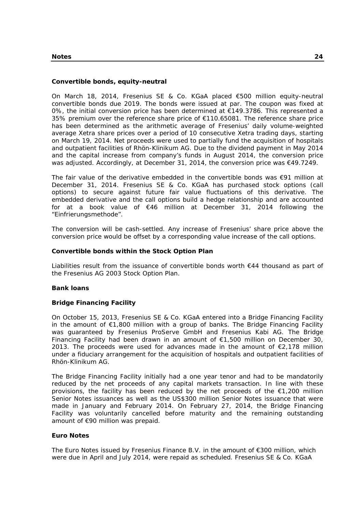## **Convertible bonds, equity-neutral**

On March 18, 2014, Fresenius SE & Co. KGaA placed €500 million equity-neutral convertible bonds due 2019. The bonds were issued at par. The coupon was fixed at 0%, the initial conversion price has been determined at  $\epsilon$ 149.3786. This represented a 35% premium over the reference share price of €110.65081. The reference share price has been determined as the arithmetic average of Fresenius' daily volume-weighted average Xetra share prices over a period of 10 consecutive Xetra trading days, starting on March 19, 2014. Net proceeds were used to partially fund the acquisition of hospitals and outpatient facilities of Rhön-Klinikum AG. Due to the dividend payment in May 2014 and the capital increase from company's funds in August 2014, the conversion price was adjusted. Accordingly, at December 31, 2014, the conversion price was €49.7249.

The fair value of the derivative embedded in the convertible bonds was €91 million at December 31, 2014. Fresenius SE & Co. KGaA has purchased stock options (call options) to secure against future fair value fluctuations of this derivative. The embedded derivative and the call options build a hedge relationship and are accounted for at a book value of €46 million at December 31, 2014 following the "Einfrierungsmethode".

The conversion will be cash-settled. Any increase of Fresenius' share price above the conversion price would be offset by a corresponding value increase of the call options.

#### **Convertible bonds within the Stock Option Plan**

Liabilities result from the issuance of convertible bonds worth €44 thousand as part of the Fresenius AG 2003 Stock Option Plan.

#### **Bank loans**

#### **Bridge Financing Facility**

On October 15, 2013, Fresenius SE & Co. KGaA entered into a Bridge Financing Facility in the amount of €1,800 million with a group of banks. The Bridge Financing Facility was guaranteed by Fresenius ProServe GmbH and Fresenius Kabi AG. The Bridge Financing Facility had been drawn in an amount of  $\epsilon$ 1,500 million on December 30, 2013. The proceeds were used for advances made in the amount of  $\epsilon$ 2,178 million under a fiduciary arrangement for the acquisition of hospitals and outpatient facilities of Rhön-Klinikum AG.

The Bridge Financing Facility initially had a one year tenor and had to be mandatorily reduced by the net proceeds of any capital markets transaction. In line with these provisions, the facility has been reduced by the net proceeds of the  $\epsilon$ 1,200 million Senior Notes issuances as well as the US\$300 million Senior Notes issuance that were made in January and February 2014. On February 27, 2014, the Bridge Financing Facility was voluntarily cancelled before maturity and the remaining outstanding amount of €90 million was prepaid.

#### **Euro Notes**

The Euro Notes issued by Fresenius Finance B.V. in the amount of  $E$ 300 million, which were due in April and July 2014, were repaid as scheduled. Fresenius SE & Co. KGaA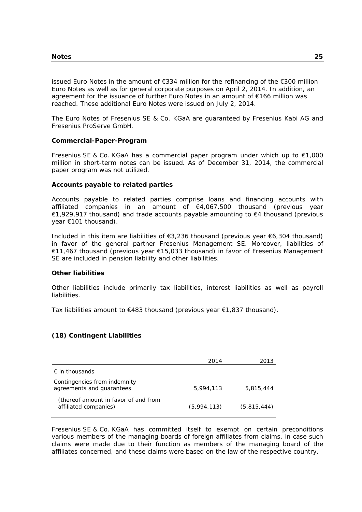issued Euro Notes in the amount of €334 million for the refinancing of the €300 million Euro Notes as well as for general corporate purposes on April 2, 2014. In addition, an agreement for the issuance of further Euro Notes in an amount of €166 million was reached. These additional Euro Notes were issued on July 2, 2014.

The Euro Notes of Fresenius SE & Co. KGaA are guaranteed by Fresenius Kabi AG and Fresenius ProServe GmbH.

## **Commercial-Paper-Program**

Fresenius SE & Co. KGaA has a commercial paper program under which up to  $\epsilon$ 1,000 million in short-term notes can be issued. As of December 31, 2014, the commercial paper program was not utilized.

## **Accounts payable to related parties**

Accounts payable to related parties comprise loans and financing accounts with affiliated companies in an amount of €4,067,500 thousand (previous year €1,929,917 thousand) and trade accounts payable amounting to €4 thousand (previous year €101 thousand).

Included in this item are liabilities of €3,236 thousand (previous year €6,304 thousand) in favor of the general partner Fresenius Management SE. Moreover, liabilities of €11,467 thousand (previous year €15,033 thousand) in favor of Fresenius Management SE are included in pension liability and other liabilities.

#### **Other liabilities**

Other liabilities include primarily tax liabilities, interest liabilities as well as payroll liabilities.

Tax liabilities amount to  $\epsilon$ 483 thousand (previous year  $\epsilon$ 1,837 thousand).

## **(18) Contingent Liabilities**

|                                                               | 2014        | 2013        |
|---------------------------------------------------------------|-------------|-------------|
| $\epsilon$ in thousands                                       |             |             |
| Contingencies from indemnity<br>agreements and guarantees     | 5.994.113   | 5,815,444   |
| (thereof amount in favor of and from<br>affiliated companies) | (5.994.113) | (5,815,444) |

Fresenius SE & Co. KGaA has committed itself to exempt on certain preconditions various members of the managing boards of foreign affiliates from claims, in case such claims were made due to their function as members of the managing board of the affiliates concerned, and these claims were based on the law of the respective country.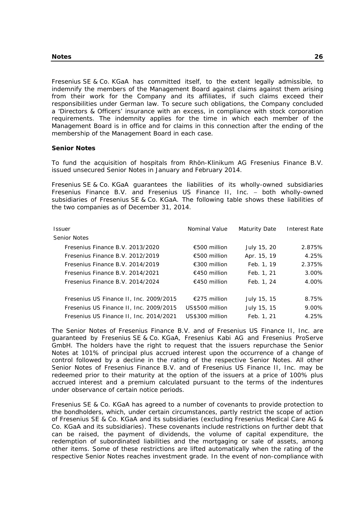Fresenius SE & Co. KGaA has committed itself, to the extent legally admissible, to indemnify the members of the Management Board against claims against them arising from their work for the Company and its affiliates, if such claims exceed their responsibilities under German law. To secure such obligations, the Company concluded a 'Directors & Officers' insurance with an excess, in compliance with stock corporation requirements. The indemnity applies for the time in which each member of the Management Board is in office and for claims in this connection after the ending of the membership of the Management Board in each case.

#### **Senior Notes**

To fund the acquisition of hospitals from Rhön-Klinikum AG Fresenius Finance B.V. issued unsecured Senior Notes in January and February 2014.

Fresenius SE & Co. KGaA guarantees the liabilities of its wholly-owned subsidiaries Fresenius Finance B.V. and Fresenius US Finance II, Inc. - both wholly-owned subsidiaries of Fresenius SE & Co. KGaA. The following table shows these liabilities of the two companies as of December 31, 2014.

| <b>Issuer</b>                           | Nominal Value   | Maturity Date | Interest Rate |
|-----------------------------------------|-----------------|---------------|---------------|
| Senior Notes                            |                 |               |               |
| Fresenius Finance B.V. 2013/2020        | €500 million    | July 15, 20   | 2.875%        |
| Fresenius Finance B.V. 2012/2019        | €500 million    | Apr. 15, 19   | 4.25%         |
| Fresenius Finance B.V. 2014/2019        | €300 million    | Feb. 1, 19    | 2.375%        |
| Fresenius Finance B.V. 2014/2021        | €450 million    | Feb. 1, 21    | $3.00\%$      |
| Fresenius Finance B.V. 2014/2024        | €450 million    | Feb. 1, 24    | 4.00%         |
|                                         |                 |               |               |
| Fresenius US Finance II, Inc. 2009/2015 | €275 million    | July 15, 15   | 8.75%         |
| Fresenius US Finance II, Inc. 2009/2015 | US\$500 million | July 15, 15   | 9.00%         |
| Fresenius US Finance II, Inc. 2014/2021 | US\$300 million | Feb. 1, 21    | 4.25%         |

The Senior Notes of Fresenius Finance B.V. and of Fresenius US Finance II, Inc. are guaranteed by Fresenius SE & Co. KGaA, Fresenius Kabi AG and Fresenius ProServe GmbH. The holders have the right to request that the issuers repurchase the Senior Notes at 101% of principal plus accrued interest upon the occurrence of a change of control followed by a decline in the rating of the respective Senior Notes. All other Senior Notes of Fresenius Finance B.V. and of Fresenius US Finance II, Inc. may be redeemed prior to their maturity at the option of the issuers at a price of 100% plus accrued interest and a premium calculated pursuant to the terms of the indentures under observance of certain notice periods.

Fresenius SE & Co. KGaA has agreed to a number of covenants to provide protection to the bondholders, which, under certain circumstances, partly restrict the scope of action of Fresenius SE & Co. KGaA and its subsidiaries (excluding Fresenius Medical Care AG & Co. KGaA and its subsidiaries). These covenants include restrictions on further debt that can be raised, the payment of dividends, the volume of capital expenditure, the redemption of subordinated liabilities and the mortgaging or sale of assets, among other items. Some of these restrictions are lifted automatically when the rating of the respective Senior Notes reaches investment grade. In the event of non-compliance with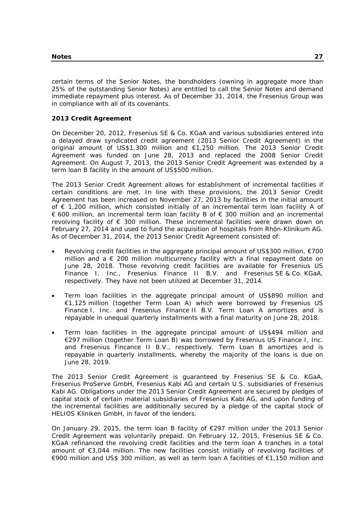certain terms of the Senior Notes, the bondholders (owning in aggregate more than 25% of the outstanding Senior Notes) are entitled to call the Senior Notes and demand immediate repayment plus interest. As of December 31, 2014, the Fresenius Group was in compliance with all of its covenants.

## **2013 Credit Agreement**

On December 20, 2012, Fresenius SE & Co. KGaA and various subsidiaries entered into a delayed draw syndicated credit agreement (2013 Senior Credit Agreement) in the original amount of US\$1,300 million and €1,250 million. The 2013 Senior Credit Agreement was funded on June 28, 2013 and replaced the 2008 Senior Credit Agreement. On August 7, 2013, the 2013 Senior Credit Agreement was extended by a term loan B facility in the amount of US\$500 million.

The 2013 Senior Credit Agreement allows for establishment of incremental facilities if certain conditions are met. In line with these provisions, the 2013 Senior Credit Agreement has been increased on November 27, 2013 by facilities in the initial amount of € 1,200 million, which consisted initially of an incremental term loan facility A of € 600 million, an incremental term loan facility B of  $∈$  300 million and an incremental revolving facility of € 300 million. These incremental facilities were drawn down on February 27, 2014 and used to fund the acquisition of hospitals from Rhön-Klinikum AG. As of December 31, 2014, the 2013 Senior Credit Agreement consisted of:

- Revolving credit facilities in the aggregate principal amount of US\$300 million, €700 million and a  $\epsilon$  200 million multicurrency facility with a final repayment date on June 28, 2018. Those revolving credit facilities are available for Fresenius US Finance I, Inc., Fresenius Finance II B.V. and Fresenius SE & Co. KGaA, respectively. They have not been utilized at December 31, 2014.
- Term loan facilities in the aggregate principal amount of US\$890 million and €1,125 million (together Term Loan A) which were borrowed by Fresenius US Finance I, Inc. and Fresenius Finance II B.V. Term Loan A amortizes and is repayable in unequal quarterly installments with a final maturity on June 28, 2018.
- Term loan facilities in the aggregate principal amount of US\$494 million and €297 million (together Term Loan B) was borrowed by Fresenius US Finance I, Inc. and Fresenius Fincance II B.V., respectively. Term Loan B amortizes and is repayable in quarterly installments, whereby the majority of the loans is due on June 28, 2019.

The 2013 Senior Credit Agreement is guaranteed by Fresenius SE & Co. KGaA, Fresenius ProServe GmbH, Fresenius Kabi AG and certain U.S. subsidiaries of Fresenius Kabi AG. Obligations under the 2013 Senior Credit Agreement are secured by pledges of capital stock of certain material subsidiaries of Fresenius Kabi AG, and upon funding of the incremental facilities are additionally secured by a pledge of the capital stock of HELIOS Kliniken GmbH, in favor of the lenders.

On January 29, 2015, the term loan B facility of €297 million under the 2013 Senior Credit Agreement was voluntarily prepaid. On February 12, 2015, Fresenius SE & Co. KGaA refinanced the revolving credit facilities and the term loan A tranches in a total amount of €3,044 million. The new facilities consist initially of revolving facilities of €900 million and US\$ 300 million, as well as term loan A facilities of €1,150 million and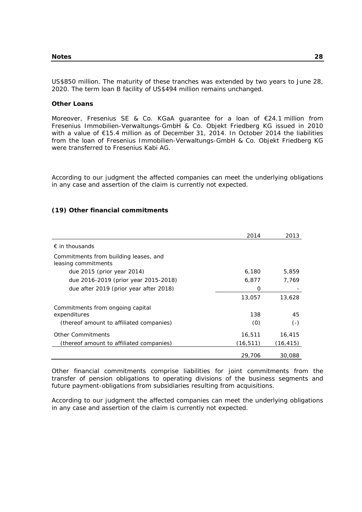US\$850 million. The maturity of these tranches was extended by two years to June 28, 2020. The term loan B facility of US\$494 million remains unchanged.

## **Other Loans**

Moreover, Fresenius SE & Co. KGaA guarantee for a loan of €24.1 million from Fresenius Immobilien-Verwaltungs-GmbH & Co. Objekt Friedberg KG issued in 2010 with a value of €15.4 million as of December 31, 2014. In October 2014 the liabilities from the loan of Fresenius Immobilien-Verwaltungs-GmbH & Co. Objekt Friedberg KG were transferred to Fresenius Kabi AG.

According to our judgment the affected companies can meet the underlying obligations in any case and assertion of the claim is currently not expected.

### **(19) Other financial commitments**

|                                                              | 2014     | 2013      |
|--------------------------------------------------------------|----------|-----------|
| $\epsilon$ in thousands                                      |          |           |
| Commitments from building leases, and<br>leasing commitments |          |           |
| due 2015 (prior year 2014)                                   | 6.180    | 5,859     |
| due 2016-2019 (prior year 2015-2018)                         | 6,877    | 7,769     |
| due after 2019 (prior year after 2018)                       | Ω        |           |
|                                                              | 13,057   | 13,628    |
| Commitments from ongoing capital<br>expenditures             | 138      | 45        |
| (thereof amount to affiliated companies)                     | (0)      | $(-)$     |
| <b>Other Commitments</b>                                     | 16,511   | 16,415    |
| (thereof amount to affiliated companies)                     | (16,511) | (16, 415) |
|                                                              | 29,706   | 30,088    |

Other financial commitments comprise liabilities for joint commitments from the transfer of pension obligations to operating divisions of the business segments and future payment-obligations from subsidiaries resulting from acquisitions.

According to our judgment the affected companies can meet the underlying obligations in any case and assertion of the claim is currently not expected.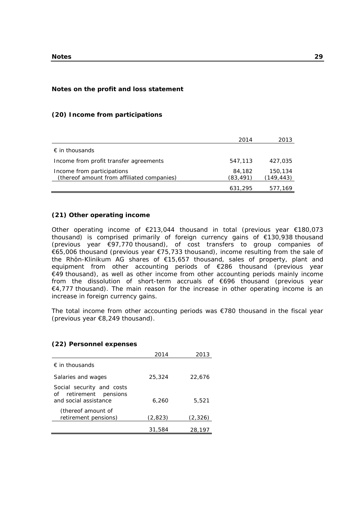#### **Notes on the profit and loss statement**

## 2014 2013 *€ in thousands*  Income from profit transfer agreements 547,113 427,035 Income from participations and the set of the set of the set of the set of the set of the set of the set of the set of the set of the set of the set of the set of the set of the set of the set of the set of the set of the (thereof amount from affiliated companies) (83,491) (149,443) 631,295 577,169

#### **(20) Income from participations**

#### **(21) Other operating income**

Other operating income of €213,044 thousand in total (previous year €180,073 thousand) is comprised primarily of foreign currency gains of €130,938 thousand (previous year €97,770 thousand), of cost transfers to group companies of €65,006 thousand (previous year €75,733 thousand), income resulting from the sale of the Rhön-Klinikum AG shares of €15,657 thousand, sales of property, plant and equipment from other accounting periods of €286 thousand (previous year €49 thousand), as well as other income from other accounting periods mainly income from the dissolution of short-term accruals of €696 thousand (previous year €4,777 thousand). The main reason for the increase in other operating income is an increase in foreign currency gains.

The total income from other accounting periods was  $\epsilon$ 780 thousand in the fiscal year (previous year €8,249 thousand).

### **(22) Personnel expenses**

|                                                                                 | 2014    | 2013    |
|---------------------------------------------------------------------------------|---------|---------|
| $\epsilon$ in thousands                                                         |         |         |
| Salaries and wages                                                              | 25,324  | 22,676  |
| Social security and costs<br>of retirement<br>pensions<br>and social assistance | 6,260   | 5,521   |
| (thereof amount of<br>retirement pensions)                                      | (2,823) | (2,326) |
|                                                                                 | 31,584  | 28,197  |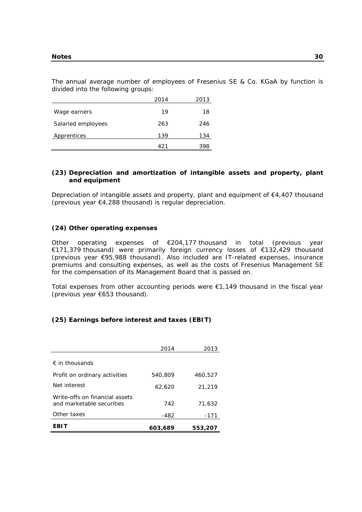The annual average number of employees of Fresenius SE & Co. KGaA by function is divided into the following groups:

|                    | 2014 | 2013 |
|--------------------|------|------|
| Wage earners       | 19   | 18   |
| Salaried employees | 263  | 246  |
| Apprentices        | 139  | 134  |
|                    | 421  | 398  |

## **(23) Depreciation and amortization of intangible assets and property, plant and equipment**

Depreciation of intangible assets and property, plant and equipment of €4,407 thousand (previous year €4,288 thousand) is regular depreciation.

#### **(24) Other operating expenses**

Other operating expenses of €204,177 thousand in total (previous year €171,379 thousand) were primarily foreign currency losses of €132,429 thousand (previous year €95,988 thousand). Also included are IT-related expenses, insurance premiums and consulting expenses, as well as the costs of Fresenius Management SE for the compensation of its Management Board that is passed on.

Total expenses from other accounting periods were  $\epsilon$ 1,149 thousand in the fiscal year (previous year €653 thousand).

### **(25) Earnings before interest and taxes (EBIT)**

|                                                             | 2014    | 2013    |
|-------------------------------------------------------------|---------|---------|
| $\epsilon$ in thousands                                     |         |         |
| Profit on ordinary activities                               | 540,809 | 460,527 |
| Net interest                                                | 62,620  | 21,219  |
| Write-offs on financial assets<br>and marketable securities | 742     | 71,632  |
| Other taxes                                                 | -482    | $-171$  |
| EBIT                                                        | 603.689 | 553,207 |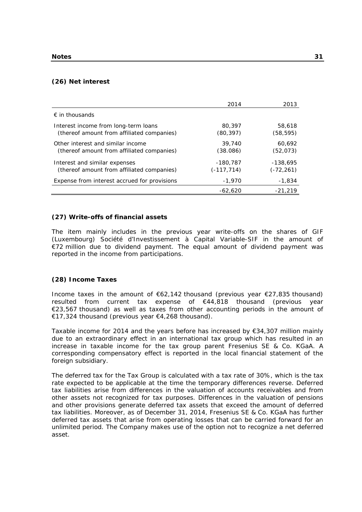#### **(26) Net interest**

|                                                                                    | 2014                        | 2013                       |
|------------------------------------------------------------------------------------|-----------------------------|----------------------------|
| $\epsilon$ in thousands                                                            |                             |                            |
| Interest income from long-term loans<br>(thereof amount from affiliated companies) | 80,397<br>(80, 397)         | 58,618<br>(58, 595)        |
| Other interest and similar income<br>(thereof amount from affiliated companies)    | 39,740<br>(38.086)          | 60,692<br>(52, 073)        |
| Interest and similar expenses<br>(thereof amount from affiliated companies)        | $-180.787$<br>$(-117, 714)$ | $-138.695$<br>$(-72, 261)$ |
| Expense from interest accrued for provisions                                       | $-1,970$                    | $-1,834$                   |
|                                                                                    | $-62,620$                   | -21,219                    |

## **(27) Write-offs of financial assets**

The item mainly includes in the previous year write-offs on the shares of GIF (Luxembourg) Société d'Investissement à Capital Variable-SIF in the amount of €72 million due to dividend payment. The equal amount of dividend payment was reported in the income from participations.

#### **(28) Income Taxes**

Income taxes in the amount of  $\epsilon$ 62,142 thousand (previous year  $\epsilon$ 27,835 thousand) resulted from current tax expense of €44,818 thousand (previous year €23,567 thousand) as well as taxes from other accounting periods in the amount of €17,324 thousand (previous year €4,268 thousand).

Taxable income for 2014 and the years before has increased by €34,307 million mainly due to an extraordinary effect in an international tax group which has resulted in an increase in taxable income for the tax group parent Fresenius SE & Co. KGaA. A corresponding compensatory effect is reported in the local financial statement of the foreign subsidiary.

The deferred tax for the Tax Group is calculated with a tax rate of 30%, which is the tax rate expected to be applicable at the time the temporary differences reverse. Deferred tax liabilities arise from differences in the valuation of accounts receivables and from other assets not recognized for tax purposes. Differences in the valuation of pensions and other provisions generate deferred tax assets that exceed the amount of deferred tax liabilities. Moreover, as of December 31, 2014, Fresenius SE & Co. KGaA has further deferred tax assets that arise from operating losses that can be carried forward for an unlimited period. The Company makes use of the option not to recognize a net deferred asset.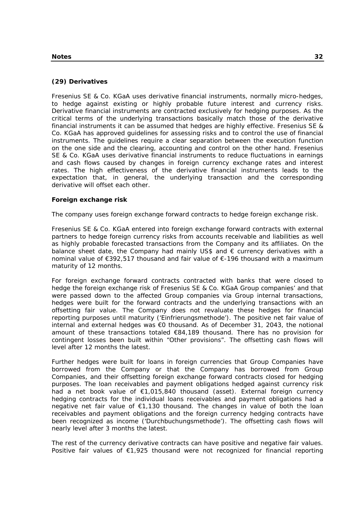## **(29) Derivatives**

Fresenius SE & Co. KGaA uses derivative financial instruments, normally micro-hedges, to hedge against existing or highly probable future interest and currency risks. Derivative financial instruments are contracted exclusively for hedging purposes. As the critical terms of the underlying transactions basically match those of the derivative financial instruments it can be assumed that hedges are highly effective. Fresenius SE & Co. KGaA has approved guidelines for assessing risks and to control the use of financial instruments. The guidelines require a clear separation between the execution function on the one side and the clearing, accounting and control on the other hand. Fresenius SE & Co. KGaA uses derivative financial instruments to reduce fluctuations in earnings and cash flows caused by changes in foreign currency exchange rates and interest rates. The high effectiveness of the derivative financial instruments leads to the expectation that, in general, the underlying transaction and the corresponding derivative will offset each other.

## **Foreign exchange risk**

The company uses foreign exchange forward contracts to hedge foreign exchange risk.

Fresenius SE & Co. KGaA entered into foreign exchange forward contracts with external partners to hedge foreign currency risks from accounts receivable and liabilities as well as highly probable forecasted transactions from the Company and its affiliates. On the balance sheet date, the Company had mainly US\$ and  $\epsilon$  currency derivatives with a nominal value of €392,517 thousand and fair value of €-196 thousand with a maximum maturity of 12 months.

For foreign exchange forward contracts contracted with banks that were closed to hedge the foreign exchange risk of Fresenius SE & Co. KGaA Group companies' and that were passed down to the affected Group companies via Group internal transactions, hedges were built for the forward contracts and the underlying transactions with an offsetting fair value. The Company does not revaluate these hedges for financial reporting purposes until maturity ('Einfrierungsmethode'). The positive net fair value of internal and external hedges was €0 thousand. As of December 31, 2043, the notional amount of these transactions totaled €84,189 thousand. There has no provision for contingent losses been built within "Other provisions". The offsetting cash flows will level after 12 months the latest.

Further hedges were built for loans in foreign currencies that Group Companies have borrowed from the Company or that the Company has borrowed from Group Companies, and their offsetting foreign exchange forward contracts closed for hedging purposes. The loan receivables and payment obligations hedged against currency risk had a net book value of €1,015,840 thousand (asset). External foreign currency hedging contracts for the individual loans receivables and payment obligations had a negative net fair value of €1,130 thousand. The changes in value of both the loan receivables and payment obligations and the foreign currency hedging contracts have been recognized as income ('Durchbuchungsmethode'). The offsetting cash flows will nearly level after 3 months the latest.

The rest of the currency derivative contracts can have positive and negative fair values. Positive fair values of €1,925 thousand were not recognized for financial reporting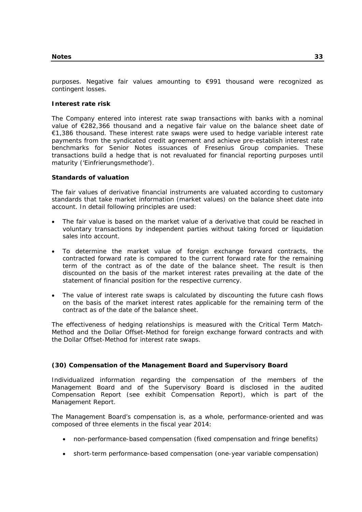purposes. Negative fair values amounting to €991 thousand were recognized as contingent losses.

#### **Interest rate risk**

The Company entered into interest rate swap transactions with banks with a nominal value of €282,366 thousand and a negative fair value on the balance sheet date of €1,386 thousand. These interest rate swaps were used to hedge variable interest rate payments from the syndicated credit agreement and achieve pre-establish interest rate benchmarks for Senior Notes issuances of Fresenius Group companies. These transactions build a hedge that is not revaluated for financial reporting purposes until maturity ('Einfrierungsmethode').

#### **Standards of valuation**

The fair values of derivative financial instruments are valuated according to customary standards that take market information (market values) on the balance sheet date into account. In detail following principles are used:

- The fair value is based on the market value of a derivative that could be reached in voluntary transactions by independent parties without taking forced or liquidation sales into account.
- To determine the market value of foreign exchange forward contracts, the contracted forward rate is compared to the current forward rate for the remaining term of the contract as of the date of the balance sheet. The result is then discounted on the basis of the market interest rates prevailing at the date of the statement of financial position for the respective currency.
- The value of interest rate swaps is calculated by discounting the future cash flows on the basis of the market interest rates applicable for the remaining term of the contract as of the date of the balance sheet.

The effectiveness of hedging relationships is measured with the Critical Term Match-Method and the Dollar Offset-Method for foreign exchange forward contracts and with the Dollar Offset-Method for interest rate swaps.

### **(30) Compensation of the Management Board and Supervisory Board**

Individualized information regarding the compensation of the members of the Management Board and of the Supervisory Board is disclosed in the audited Compensation Report (see exhibit Compensation Report), which is part of the Management Report.

The Management Board's compensation is, as a whole, performance-oriented and was composed of three elements in the fiscal year 2014:

- non-performance-based compensation (fixed compensation and fringe benefits)
- short-term performance-based compensation (one-year variable compensation)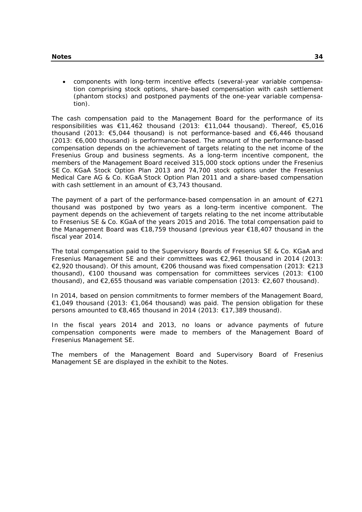components with long-term incentive effects (several-year variable compensation comprising stock options, share-based compensation with cash settlement (phantom stocks) and postponed payments of the one-year variable compensation).

The cash compensation paid to the Management Board for the performance of its responsibilities was €11,462 thousand (2013: €11,044 thousand). Thereof, €5,016 thousand (2013: €5,044 thousand) is not performance-based and €6,446 thousand (2013: €6,000 thousand) is performance-based. The amount of the performance-based compensation depends on the achievement of targets relating to the net income of the Fresenius Group and business segments. As a long-term incentive component, the members of the Management Board received 315,000 stock options under the Fresenius SE Co. KGaA Stock Option Plan 2013 and 74,700 stock options under the Fresenius Medical Care AG & Co. KGaA Stock Option Plan 2011 and a share-based compensation with cash settlement in an amount of €3,743 thousand.

The payment of a part of the performance-based compensation in an amount of  $E$ 271 thousand was postponed by two years as a long-term incentive component. The payment depends on the achievement of targets relating to the net income attributable to Fresenius SE & Co. KGaA of the years 2015 and 2016. The total compensation paid to the Management Board was €18,759 thousand (previous year €18,407 thousand in the fiscal year 2014.

The total compensation paid to the Supervisory Boards of Fresenius SE & Co. KGaA and Fresenius Management SE and their committees was €2,961 thousand in 2014 (2013: €2,920 thousand). Of this amount, €206 thousand was fixed compensation (2013: €213 thousand), €100 thousand was compensation for committees services (2013: €100 thousand), and  $\epsilon$ 2,655 thousand was variable compensation (2013:  $\epsilon$ 2,607 thousand).

In 2014, based on pension commitments to former members of the Management Board, €1,049 thousand (2013: €1,064 thousand) was paid. The pension obligation for these persons amounted to €8,465 thousand in 2014 (2013: €17,389 thousand).

In the fiscal years 2014 and 2013, no loans or advance payments of future compensation components were made to members of the Management Board of Fresenius Management SE.

The members of the Management Board and Supervisory Board of Fresenius Management SE are displayed in the exhibit to the Notes.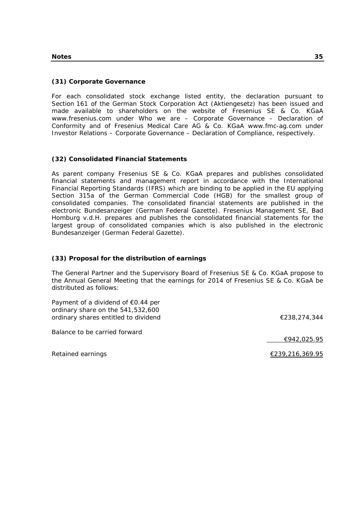### **(31) Corporate Governance**

For each consolidated stock exchange listed entity, the declaration pursuant to Section 161 of the German Stock Corporation Act (Aktiengesetz) has been issued and made available to shareholders on the website of Fresenius SE & Co. KGaA www.fresenius.com under Who we are – Corporate Governance – Declaration of Conformity and of Fresenius Medical Care AG & Co. KGaA www.fmc-ag.com under Investor Relations – Corporate Governance – Declaration of Compliance, respectively.

### **(32) Consolidated Financial Statements**

As parent company Fresenius SE & Co. KGaA prepares and publishes consolidated financial statements and management report in accordance with the International Financial Reporting Standards (IFRS) which are binding to be applied in the EU applying Section 315a of the German Commercial Code (HGB) for the smallest group of consolidated companies. The consolidated financial statements are published in the electronic Bundesanzeiger (German Federal Gazette). Fresenius Management SE, Bad Homburg v.d.H. prepares and publishes the consolidated financial statements for the largest group of consolidated companies which is also published in the electronic Bundesanzeiger (German Federal Gazette).

### **(33) Proposal for the distribution of earnings**

The General Partner and the Supervisory Board of Fresenius SE & Co. KGaA propose to the Annual General Meeting that the earnings for 2014 of Fresenius SE & Co. KGaA be distributed as follows:

| Payment of a dividend of $\epsilon$ 0.44 per |              |
|----------------------------------------------|--------------|
| ordinary share on the 541,532,600            |              |
| ordinary shares entitled to dividend         | €238,274,344 |

Balance to be carried forward

€942,025.95

Retained earnings  $\epsilon$  239,216,369.95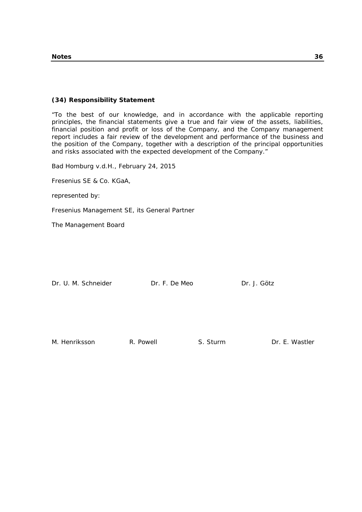### **(34) Responsibility Statement**

"To the best of our knowledge, and in accordance with the applicable reporting principles, the financial statements give a true and fair view of the assets, liabilities, financial position and profit or loss of the Company, and the Company management report includes a fair review of the development and performance of the business and the position of the Company, together with a description of the principal opportunities and risks associated with the expected development of the Company."

Bad Homburg v.d.H., February 24, 2015

Fresenius SE & Co. KGaA,

represented by:

Fresenius Management SE, its General Partner

The Management Board

| Dr. U. M. Schneider | Dr. F. De Meo | Dr. J. Götz |
|---------------------|---------------|-------------|
|                     |               |             |

M. Henriksson **R. Powell S. Sturm B. P. P. P. P. A. P. S. Sturm** Dr. E. Wastler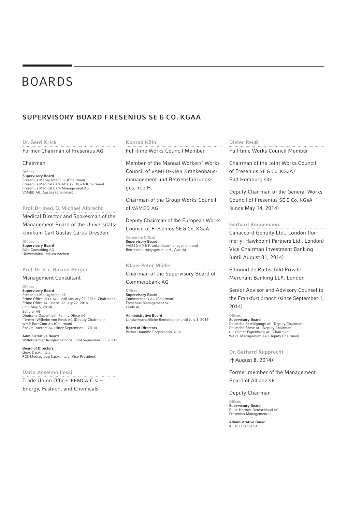# BOARDS

## SUPERVISORY BOARD FRESENIUS SE & CO. KGAA

#### Dr. Gerd Krick

Former Chairman of Fresenius AG

#### Chairman

Offices Supervisory Board Fresenius Management SE (Chairman) Fresenius Medical Care AG & Co. KGaA (Chairman) Fresenius Medical Care Management AG VAMED AG, Austria (Chairman)

Prof. Dr. med. D. Michael Albrecht

Medical Director and Spokesman of the

Management Board of the Universitätsklinikum Carl Gustav Carus Dresden

Office Supervisory Board GÖK Consulting AG Universitätsklinikum Aachen

#### Prof. Dr. h. c. Roland Berger

#### Management Consultant

**Offices Supervisory Board**<br>Fresenius Management SE<br>Prime Office REIT-AG (until January 22, 2014, Chairman) Prime Office AG (since January 22, 2014<br>until May 5, 2014) Schuler AG Deutsche Oppenheim Family Office AG<br>(former: Wilhelm von Finck AG (Deputy Chairman) WMP EuroCom AG (Chairman) Rocket Internet AG (since September 1, 2014)

Administrative Board Wittelsbacher Ausgleichsfonds (until September 30, 2014)

Board of Directors Geox S.p.A., Italy RCS Mediagroup S.p.A., Italy (Vice President)

Dario Anselmo Ilossi

. . . . . . . . . . . . . . . . Trade Union Officer FEMCA Cisl -Energy, Fashion, and Chemicals

#### Konrad Kölbl

Full-time Works Council Member

Member of the Manual Workers' Works Council of VAMED-KMB Krankenhausmanagement und Betriebsführungsges. m.b.H.

Chairman of the Group Works Council of VAMED AG

Deputy Chairman of the European Works Council of Fresenius SE & Co. KGaA

Corporate Offices Supervisory Board VAMED-KMB Krankenhausmanagement und Betriebsführungsges. m.b.H., Austria

## Klaus-Peter Müller

Chairman of the Supervisory Board of Commerzbank AG

Offices Supervisory Board Commerzbank AG (Chairman) Fresenius Management SE Linde AG

Administrative Board Landwirtschaftliche Rentenbank (until July 3, 2014)

Board of Directors Parker Hannifin Corporation, USA Dieter Reuß

Full-time Works Council Member

Chairman of the Joint Works Council of Fresenius SE & Co. KGaA / Bad Homburg site

Deputy Chairman of the General Works Council of Fresenius SE & Co. KGaA (since May 14, 2014)

#### Gerhard Roggemann

Canaccord Genuity Ltd., London (formerly: Hawkpoint Partners Ltd., London) Vice Chairman Investment Banking (until August 31, 2014)

Edmond de Rothschild Private Merchant Banking LLP, London

Senior Advisor and Advisory Counsel to the Frankfurt branch (since September 1, 2014)

Offices Supervisory Board Deutsche Beteiligungs AG (Deputy Chairman) Deutsche Börse AG (Deputy Chairman) GP Günter Papenburg AG (Chairman) WAVE Management AG (Deputy Chairman)

Dr. Gerhard Rupprecht († August 8, 2014)

#### Former member of the Management Board of Allianz SE

#### Deputy Chairman

**Offices** Supervisory Board Euler Hermes Deutschland AG Fresenius Management SE

Administrative Board Allianz France SA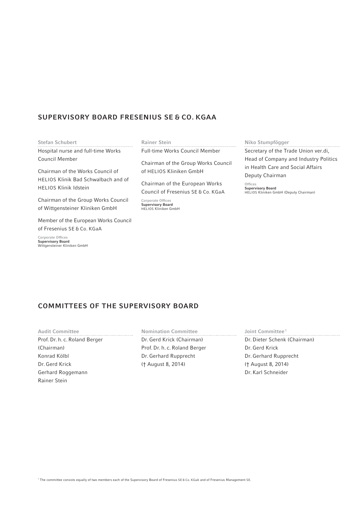## SUPERVISORY BOARD FRESENIUS SE & CO. KGAA

#### Stefan Schubert

Hospital nurse and full-time Works Council Member

Chairman of the Works Council of HELIOS Klinik Bad Schwalbach and of HELIOS Klinik Idstein

Chairman of the Group Works Council of Wittgensteiner Kliniken GmbH

Member of the European Works Council of Fresenius SE & Co. KGaA

Corporate Offices Supervisory Board Wittgensteiner Kliniken GmbH

#### Rainer Stein

Full-time Works Council Member

Chairman of the Group Works Council of HELIOS Kliniken GmbH

Chairman of the European Works Council of Fresenius SE & Co. KGaA

Corporate Offices Supervisory Board HELIOS Kliniken GmbH

## Niko Stumpfögger

Secretary of the Trade Union ver.di, Head of Company and Industry Politics in Health Care and Social Affairs Deputy Chairman

Offices<br>**Supervisory Board**<br>HELIOS Kliniken GmbH (Deputy Chairman)

## COMMITTEES OF THE SUPERVISORY BOARD

Audit Committee Prof. Dr. h. c. Roland Berger (Chairman) Konrad Kölbl Dr. Gerd Krick Gerhard Roggemann Rainer Stein

Nomination Committee Dr. Gerd Krick (Chairman) Prof. Dr. h. c. Roland Berger Dr. Gerhard Rupprecht († August 8, 2014)

Joint Committee<sup>1</sup> Dr. Dieter Schenk (Chairman) Dr. Gerd Krick Dr. Gerhard Rupprecht († August 8, 2014) Dr. Karl Schneider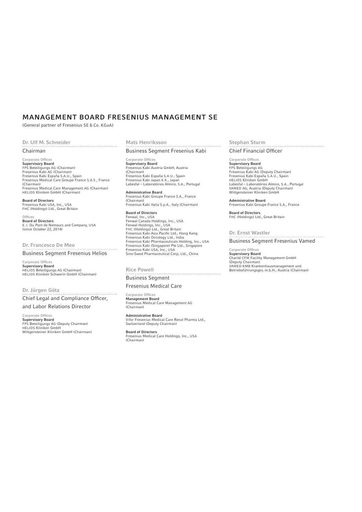## MANAGEMENT BOARD FRESENIUS MANAGEMENT SE

(General partner of Fresenius SE & Co. KGaA)

## Dr. Ulf M. Schneider

#### Chairman

Corporate Offices Supervisory Board FPS Beteiligungs AG (Chairman) Fresenius Kabi AG (Chairman) Fresenius Kabi España S.A.U., Spain Fresenius Medical Care Groupe France S.A.S., France (Chairman) Fresenius Medical Care Management AG (Chairman) HELIOS Kliniken GmbH (Chairman)

**Board of Directors**<br>Fresenius Kabi USA, Inc., USA<br>FHC (Holdings) Ltd., Great Britain

**Offices** Board of Directors E. I. Du Pont de Nemours and Company, USA (since October 22, 2014)

## Dr. Francesco De Meo

Business Segment Fresenius Helios

Corporate Offices Supervisory Board HELIOS Beteiligungs AG (Chairman) HELIOS Kliniken Schwerin GmbH (Chairman)

#### Dr. Jürgen Götz

Chief Legal and Compliance Officer, and Labor Relations Director

Corporate Offices Supervisory Board FPS Beteiligungs AG (Deputy Chairman) HELIOS Kliniken GmbH Wittgensteiner Kliniken GmbH (Chairman)

#### Mats Henriksson

#### Business Segment Fresenius Kabi

Corporate Offices Supervisory Board Fresenius Kabi Austria GmbH, Austria (Chairman) Fresenius Kabi España S.A.U., Spain Fresenius Kabi Japan K.K., Japan Labesfal – Laboratórios Almiro, S.A., Portugal

Administrative Board Fresenius Kabi Groupe France S.A., France (Chairman) Fresenius Kabi Italia S.p.A., Italy (Chairman)

Board of Directors Fenwal, Inc., USA Fenwal Canada Holdings, Inc., USA<br>Fenwal Holdings, Inc., USA<br>FHC (Holdings) Ltd., Great Britain<br>Fresenius Kabi Asia Pacific Ltd., Hong Kong<br>Fresenius Kabi Oncology Ltd., India<br>Fresenius Kabi (Singapore) Pte Ltd., Singapore Fresenius Kabi USA, Inc., USA Sino-Swed Pharmaceutical Corp, Ltd., China

#### Rice Powell

## Business Segment

#### Fresenius Medical Care

Corporate Offices Management Board Fresenius Medical Care Management AG (Chairman)

Administrative Board Vifor Fresenius Medical Care Renal Pharma Ltd., Switzerland (Deputy Chairman)

Board of Directors Fresenius Medical Care Holdings, Inc., USA (Chairman)

#### Stephan Sturm

#### Chief Financial Officer

Corporate Offices Supervisory Board FPS Beteiligungs AG Fresenius Kabi AG (Deputy Chairman) Fresenius Kabi España S.A.U., Spain HELIOS Kliniken GmbH Labesfal – Laboratórios Almiro, S.A., Portugal VAMED AG, Austria (Deputy Chairman) Wittgensteiner Kliniken GmbH

Administrative Board Fresenius Kabi Groupe France S.A., France

Board of Directors FHC (Holdings) Ltd., Great Britain

Dr. Ernst Wastler Business Segment Fresenius Vamed

Corporate Offices Supervisory Board Charité CFM Facility Management GmbH (Deputy Chairman) VAMED-KMB Krankenhausmanagement und Betriebsführungsges. m.b.H., Austria (Chairman)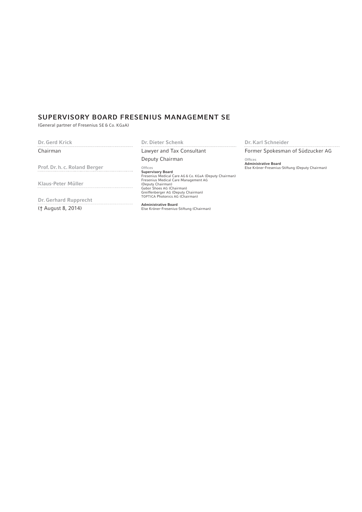## SUPERVISORY BOARD FRESENIUS MANAGEMENT SE

(General partner of Fresenius SE & Co. KGaA)

| Dr. Gerd Krick                | Dr. Dieter Schenk                                                                                                                                                            | Dr. Karl Schneider                               |
|-------------------------------|------------------------------------------------------------------------------------------------------------------------------------------------------------------------------|--------------------------------------------------|
| Chairman                      | Lawyer and Tax Consultant                                                                                                                                                    | Former Spokesman of Südzucker AG                 |
|                               | Deputy Chairman                                                                                                                                                              | Offices<br><b>Administrative Board</b>           |
| Prof. Dr. h. c. Roland Berger | Offices                                                                                                                                                                      | Else Kröner-Fresenius-Stiftung (Deputy Chairman) |
| Klaus-Peter Müller            | <b>Supervisory Board</b><br>Fresenius Medical Care AG & Co. KGaA (Deputy Chairman)<br>Fresenius Medical Care Management AG<br>(Deputy Chairman)<br>Gabor Shoes AG (Chairman) |                                                  |
| Dr. Gerhard Rupprecht         | Greiffenberger AG (Deputy Chairman)<br><b>TOPTICA Photonics AG (Chairman)</b>                                                                                                |                                                  |
| († August 8, 2014)            | <b>Administrative Board</b><br>Else Kröner-Fresenius-Stiftung (Chairman)                                                                                                     |                                                  |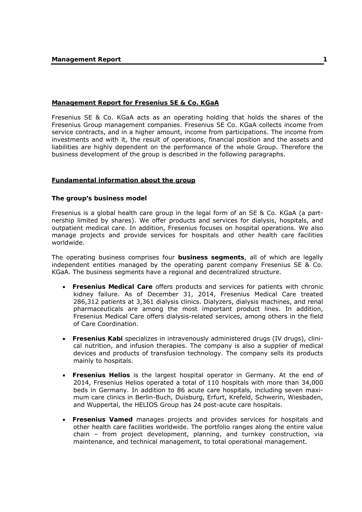## **Management Report for Fresenius SE & Co. KGaA**

Fresenius SE & Co. KGaA acts as an operating holding that holds the shares of the Fresenius Group management companies. Fresenius SE Co. KGaA collects income from service contracts, and in a higher amount, income from participations. The income from investments and with it, the result of operations, financial position and the assets and liabilities are highly dependent on the performance of the whole Group. Therefore the business development of the group is described in the following paragraphs.

### **Fundamental information about the group**

### **The group's business model**

Fresenius is a global health care group in the legal form of an SE & Co. KGaA (a partnership limited by shares). We offer products and services for dialysis, hospitals, and outpatient medical care. In addition, Fresenius focuses on hospital operations. We also manage projects and provide services for hospitals and other health care facilities worldwide.

The operating business comprises four **business segments**, all of which are legally independent entities managed by the operating parent company Fresenius SE & Co. KGaA. The business segments have a regional and decentralized structure.

- **Fresenius Medical Care** offers products and services for patients with chronic kidney failure. As of December 31, 2014, Fresenius Medical Care treated 286,312 patients at 3,361 dialysis clinics. Dialyzers, dialysis machines, and renal pharmaceuticals are among the most important product lines. In addition, Fresenius Medical Care offers dialysis-related services, among others in the field of Care Coordination.
- **Fresenius Kabi** specializes in intravenously administered drugs (IV drugs), clinical nutrition, and infusion therapies. The company is also a supplier of medical devices and products of transfusion technology. The company sells its products mainly to hospitals.
- **Fresenius Helios** is the largest hospital operator in Germany. At the end of 2014, Fresenius Helios operated a total of 110 hospitals with more than 34,000 beds in Germany. In addition to 86 acute care hospitals, including seven maximum care clinics in Berlin-Buch, Duisburg, Erfurt, Krefeld, Schwerin, Wiesbaden, and Wuppertal, the HELIOS Group has 24 post-acute care hospitals.
- **Fresenius Vamed** manages projects and provides services for hospitals and other health care facilities worldwide. The portfolio ranges along the entire value chain – from project development, planning, and turnkey construction, via maintenance, and technical management, to total operational management.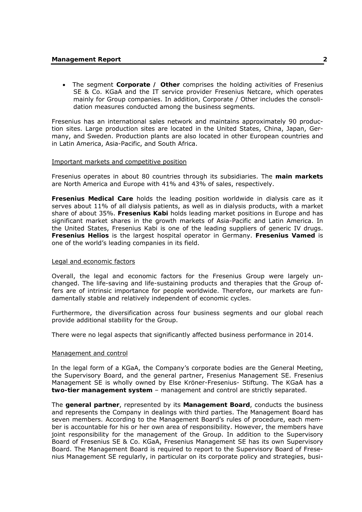The segment **Corporate / Other** comprises the holding activities of Fresenius SE & Co. KGaA and the IT service provider Fresenius Netcare, which operates mainly for Group companies. In addition, Corporate / Other includes the consolidation measures conducted among the business segments.

Fresenius has an international sales network and maintains approximately 90 production sites. Large production sites are located in the United States, China, Japan, Germany, and Sweden. Production plants are also located in other European countries and in Latin America, Asia-Pacific, and South Africa.

## Important markets and competitive position

Fresenius operates in about 80 countries through its subsidiaries. The **main markets**  are North America and Europe with 41% and 43% of sales, respectively.

**Fresenius Medical Care** holds the leading position worldwide in dialysis care as it serves about 11% of all dialysis patients, as well as in dialysis products, with a market share of about 35%. **Fresenius Kabi** holds leading market positions in Europe and has significant market shares in the growth markets of Asia-Pacific and Latin America. In the United States, Fresenius Kabi is one of the leading suppliers of generic IV drugs. **Fresenius Helios** is the largest hospital operator in Germany. **Fresenius Vamed** is one of the world's leading companies in its field.

### Legal and economic factors

Overall, the legal and economic factors for the Fresenius Group were largely unchanged. The life-saving and life-sustaining products and therapies that the Group offers are of intrinsic importance for people worldwide. Therefore, our markets are fundamentally stable and relatively independent of economic cycles.

Furthermore, the diversification across four business segments and our global reach provide additional stability for the Group.

There were no legal aspects that significantly affected business performance in 2014.

### Management and control

In the legal form of a KGaA, the Company's corporate bodies are the General Meeting, the Supervisory Board, and the general partner, Fresenius Management SE. Fresenius Management SE is wholly owned by Else Kröner-Fresenius- Stiftung. The KGaA has a **two-tier management system** – management and control are strictly separated.

The **general partner**, represented by its **Management Board**, conducts the business and represents the Company in dealings with third parties. The Management Board has seven members. According to the Management Board's rules of procedure, each member is accountable for his or her own area of responsibility. However, the members have joint responsibility for the management of the Group. In addition to the Supervisory Board of Fresenius SE & Co. KGaA, Fresenius Management SE has its own Supervisory Board. The Management Board is required to report to the Supervisory Board of Fresenius Management SE regularly, in particular on its corporate policy and strategies, busi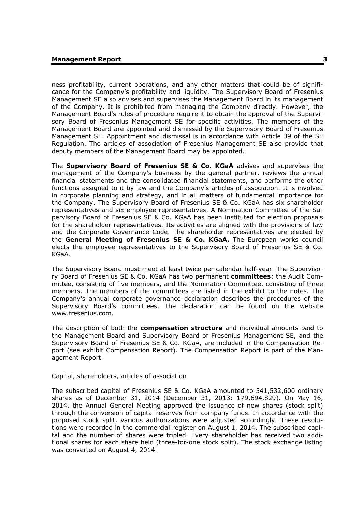ness profitability, current operations, and any other matters that could be of significance for the Company's profitability and liquidity. The Supervisory Board of Fresenius Management SE also advises and supervises the Management Board in its management of the Company. It is prohibited from managing the Company directly. However, the Management Board's rules of procedure require it to obtain the approval of the Supervisory Board of Fresenius Management SE for specific activities. The members of the Management Board are appointed and dismissed by the Supervisory Board of Fresenius Management SE. Appointment and dismissal is in accordance with Article 39 of the SE Regulation. The articles of association of Fresenius Management SE also provide that deputy members of the Management Board may be appointed.

The **Supervisory Board of Fresenius SE & Co. KGaA** advises and supervises the management of the Company's business by the general partner, reviews the annual financial statements and the consolidated financial statements, and performs the other functions assigned to it by law and the Company's articles of association. It is involved in corporate planning and strategy, and in all matters of fundamental importance for the Company. The Supervisory Board of Fresenius SE & Co. KGaA has six shareholder representatives and six employee representatives. A Nomination Committee of the Supervisory Board of Fresenius SE & Co. KGaA has been instituted for election proposals for the shareholder representatives. Its activities are aligned with the provisions of law and the Corporate Governance Code. The shareholder representatives are elected by the **General Meeting of Fresenius SE & Co. KGaA.** The European works council elects the employee representatives to the Supervisory Board of Fresenius SE & Co. KGaA.

The Supervisory Board must meet at least twice per calendar half-year. The Supervisory Board of Fresenius SE & Co. KGaA has two permanent **committees**: the Audit Committee, consisting of five members, and the Nomination Committee, consisting of three members. The members of the committees are listed in the exhibit to the notes. The Company's annual corporate governance declaration describes the procedures of the Supervisory Board's committees. The declaration can be found on the website www.fresenius.com.

The description of both the **compensation structure** and individual amounts paid to the Management Board and Supervisory Board of Fresenius Management SE, and the Supervisory Board of Fresenius SE & Co. KGaA, are included in the Compensation Report (see exhibit Compensation Report). The Compensation Report is part of the Management Report.

#### Capital, shareholders, articles of association

The subscribed capital of Fresenius SE & Co. KGaA amounted to 541,532,600 ordinary shares as of December 31, 2014 (December 31, 2013: 179,694,829). On May 16, 2014, the Annual General Meeting approved the issuance of new shares (stock split) through the conversion of capital reserves from company funds. In accordance with the proposed stock split, various authorizations were adjusted accordingly. These resolutions were recorded in the commercial register on August 1, 2014. The subscribed capital and the number of shares were tripled. Every shareholder has received two additional shares for each share held (three-for-one stock split). The stock exchange listing was converted on August 4, 2014.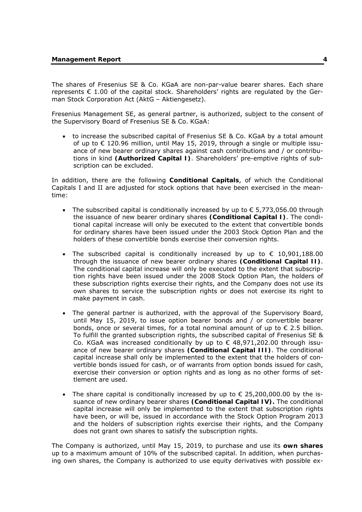The shares of Fresenius SE & Co. KGaA are non-par-value bearer shares. Each share represents  $\epsilon$  1.00 of the capital stock. Shareholders' rights are regulated by the German Stock Corporation Act (AktG – Aktiengesetz).

Fresenius Management SE, as general partner, is authorized, subject to the consent of the Supervisory Board of Fresenius SE & Co. KGaA:

 to increase the subscribed capital of Fresenius SE & Co. KGaA by a total amount of up to  $\epsilon$  120.96 million, until May 15, 2019, through a single or multiple issuance of new bearer ordinary shares against cash contributions and / or contributions in kind **(Authorized Capital I)**. Shareholders' pre-emptive rights of subscription can be excluded.

In addition, there are the following **Conditional Capitals**, of which the Conditional Capitals I and II are adjusted for stock options that have been exercised in the meantime:

- The subscribed capital is conditionally increased by up to  $\epsilon$  5,773,056.00 through the issuance of new bearer ordinary shares **(Conditional Capital I)**. The conditional capital increase will only be executed to the extent that convertible bonds for ordinary shares have been issued under the 2003 Stock Option Plan and the holders of these convertible bonds exercise their conversion rights.
- The subscribed capital is conditionally increased by up to  $\epsilon$  10,901,188.00 through the issuance of new bearer ordinary shares **(Conditional Capital II)**. The conditional capital increase will only be executed to the extent that subscription rights have been issued under the 2008 Stock Option Plan, the holders of these subscription rights exercise their rights, and the Company does not use its own shares to service the subscription rights or does not exercise its right to make payment in cash.
- The general partner is authorized, with the approval of the Supervisory Board, until May 15, 2019, to issue option bearer bonds and / or convertible bearer bonds, once or several times, for a total nominal amount of up to  $\epsilon$  2.5 billion. To fulfill the granted subscription rights, the subscribed capital of Fresenius SE & Co. KGaA was increased conditionally by up to  $\epsilon$  48,971,202.00 through issuance of new bearer ordinary shares **(Conditional Capital III)**. The conditional capital increase shall only be implemented to the extent that the holders of convertible bonds issued for cash, or of warrants from option bonds issued for cash, exercise their conversion or option rights and as long as no other forms of settlement are used.
- The share capital is conditionally increased by up to  $\epsilon$  25,200,000.00 by the issuance of new ordinary bearer shares **(Conditional Capital IV).** The conditional capital increase will only be implemented to the extent that subscription rights have been, or will be, issued in accordance with the Stock Option Program 2013 and the holders of subscription rights exercise their rights, and the Company does not grant own shares to satisfy the subscription rights.

The Company is authorized, until May 15, 2019, to purchase and use its **own shares**  up to a maximum amount of 10% of the subscribed capital. In addition, when purchasing own shares, the Company is authorized to use equity derivatives with possible ex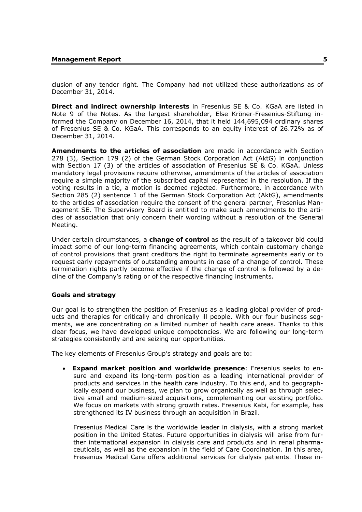clusion of any tender right. The Company had not utilized these authorizations as of December 31, 2014.

**Direct and indirect ownership interests** in Fresenius SE & Co. KGaA are listed in Note 9 of the Notes. As the largest shareholder, Else Kröner-Fresenius-Stiftung informed the Company on December 16, 2014, that it held 144,695,094 ordinary shares of Fresenius SE & Co. KGaA. This corresponds to an equity interest of 26.72% as of December 31, 2014.

**Amendments to the articles of association** are made in accordance with Section 278 (3), Section 179 (2) of the German Stock Corporation Act (AktG) in conjunction with Section 17 (3) of the articles of association of Fresenius SE & Co. KGaA. Unless mandatory legal provisions require otherwise, amendments of the articles of association require a simple majority of the subscribed capital represented in the resolution. If the voting results in a tie, a motion is deemed rejected. Furthermore, in accordance with Section 285 (2) sentence 1 of the German Stock Corporation Act (AktG), amendments to the articles of association require the consent of the general partner, Fresenius Management SE. The Supervisory Board is entitled to make such amendments to the articles of association that only concern their wording without a resolution of the General Meeting.

Under certain circumstances, a **change of control** as the result of a takeover bid could impact some of our long-term financing agreements, which contain customary change of control provisions that grant creditors the right to terminate agreements early or to request early repayments of outstanding amounts in case of a change of control. These termination rights partly become effective if the change of control is followed by a decline of the Company's rating or of the respective financing instruments.

### **Goals and strategy**

Our goal is to strengthen the position of Fresenius as a leading global provider of products and therapies for critically and chronically ill people. With our four business segments, we are concentrating on a limited number of health care areas. Thanks to this clear focus, we have developed unique competencies. We are following our long-term strategies consistently and are seizing our opportunities.

The key elements of Fresenius Group's strategy and goals are to:

 **Expand market position and worldwide presence**: Fresenius seeks to ensure and expand its long-term position as a leading international provider of products and services in the health care industry. To this end, and to geographically expand our business, we plan to grow organically as well as through selective small and medium-sized acquisitions, complementing our existing portfolio. We focus on markets with strong growth rates. Fresenius Kabi, for example, has strengthened its IV business through an acquisition in Brazil.

Fresenius Medical Care is the worldwide leader in dialysis, with a strong market position in the United States. Future opportunities in dialysis will arise from further international expansion in dialysis care and products and in renal pharmaceuticals, as well as the expansion in the field of Care Coordination. In this area, Fresenius Medical Care offers additional services for dialysis patients. These in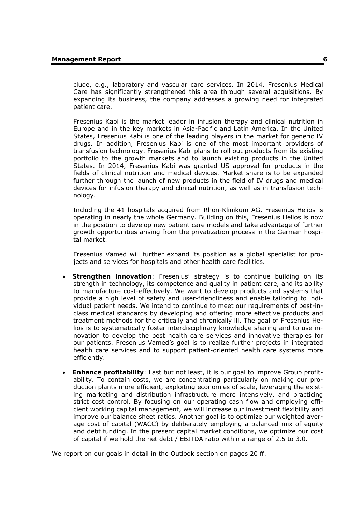clude, e.g., laboratory and vascular care services. In 2014, Fresenius Medical Care has significantly strengthened this area through several acquisitions. By expanding its business, the company addresses a growing need for integrated patient care.

Fresenius Kabi is the market leader in infusion therapy and clinical nutrition in Europe and in the key markets in Asia-Pacific and Latin America. In the United States, Fresenius Kabi is one of the leading players in the market for generic IV drugs. In addition, Fresenius Kabi is one of the most important providers of transfusion technology. Fresenius Kabi plans to roll out products from its existing portfolio to the growth markets and to launch existing products in the United States. In 2014, Fresenius Kabi was granted US approval for products in the fields of clinical nutrition and medical devices. Market share is to be expanded further through the launch of new products in the field of IV drugs and medical devices for infusion therapy and clinical nutrition, as well as in transfusion technology.

Including the 41 hospitals acquired from Rhön-Klinikum AG, Fresenius Helios is operating in nearly the whole Germany. Building on this, Fresenius Helios is now in the position to develop new patient care models and take advantage of further growth opportunities arising from the privatization process in the German hospital market.

Fresenius Vamed will further expand its position as a global specialist for projects and services for hospitals and other health care facilities.

- **Strengthen innovation**: Fresenius' strategy is to continue building on its strength in technology, its competence and quality in patient care, and its ability to manufacture cost-effectively. We want to develop products and systems that provide a high level of safety and user-friendliness and enable tailoring to individual patient needs. We intend to continue to meet our requirements of best-inclass medical standards by developing and offering more effective products and treatment methods for the critically and chronically ill. The goal of Fresenius Helios is to systematically foster interdisciplinary knowledge sharing and to use innovation to develop the best health care services and innovative therapies for our patients. Fresenius Vamed's goal is to realize further projects in integrated health care services and to support patient-oriented health care systems more efficiently.
- **Enhance profitability**: Last but not least, it is our goal to improve Group profitability. To contain costs, we are concentrating particularly on making our production plants more efficient, exploiting economies of scale, leveraging the existing marketing and distribution infrastructure more intensively, and practicing strict cost control. By focusing on our operating cash flow and employing efficient working capital management, we will increase our investment flexibility and improve our balance sheet ratios. Another goal is to optimize our weighted average cost of capital (WACC) by deliberately employing a balanced mix of equity and debt funding. In the present capital market conditions, we optimize our cost of capital if we hold the net debt / EBITDA ratio within a range of 2.5 to 3.0.

We report on our goals in detail in the Outlook section on pages 20 ff.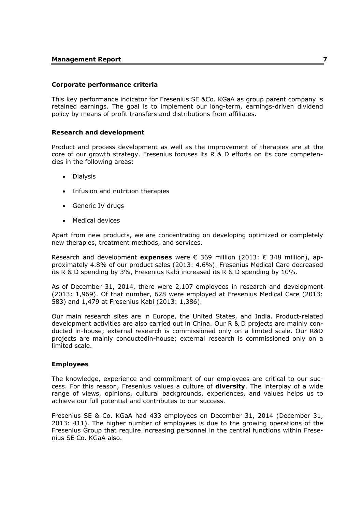### **Corporate performance criteria**

This key performance indicator for Fresenius SE &Co. KGaA as group parent company is retained earnings. The goal is to implement our long-term, earnings-driven dividend policy by means of profit transfers and distributions from affiliates.

#### **Research and development**

Product and process development as well as the improvement of therapies are at the core of our growth strategy. Fresenius focuses its R & D efforts on its core competencies in the following areas:

- **•** Dialysis
- Infusion and nutrition therapies
- Generic IV drugs
- Medical devices

Apart from new products, we are concentrating on developing optimized or completely new therapies, treatment methods, and services.

Research and development **expenses** were € 369 million (2013: € 348 million), approximately 4.8% of our product sales (2013: 4.6%). Fresenius Medical Care decreased its R & D spending by 3%, Fresenius Kabi increased its R & D spending by 10%.

As of December 31, 2014, there were 2,107 employees in research and development (2013: 1,969). Of that number, 628 were employed at Fresenius Medical Care (2013: 583) and 1,479 at Fresenius Kabi (2013: 1,386).

Our main research sites are in Europe, the United States, and India. Product-related development activities are also carried out in China. Our R & D projects are mainly conducted in-house; external research is commissioned only on a limited scale. Our R&D projects are mainly conductedin-house; external research is commissioned only on a limited scale.

#### **Employees**

The knowledge, experience and commitment of our employees are critical to our success. For this reason, Fresenius values a culture of **diversity**. The interplay of a wide range of views, opinions, cultural backgrounds, experiences, and values helps us to achieve our full potential and contributes to our success.

Fresenius SE & Co. KGaA had 433 employees on December 31, 2014 (December 31, 2013: 411). The higher number of employees is due to the growing operations of the Fresenius Group that require increasing personnel in the central functions within Fresenius SE Co. KGaA also.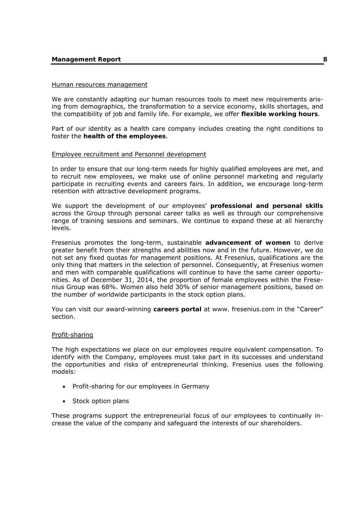#### **Management Report 8**

#### Human resources management

We are constantly adapting our human resources tools to meet new requirements arising from demographics, the transformation to a service economy, skills shortages, and the compatibility of job and family life. For example, we offer **flexible working hours**.

Part of our identity as a health care company includes creating the right conditions to foster the **health of the employees**.

#### Employee recruitment and Personnel development

In order to ensure that our long-term needs for highly qualified employees are met, and to recruit new employees, we make use of online personnel marketing and regularly participate in recruiting events and careers fairs. In addition, we encourage long-term retention with attractive development programs.

We support the development of our employees' **professional and personal skills**  across the Group through personal career talks as well as through our comprehensive range of training sessions and seminars. We continue to expand these at all hierarchy levels.

Fresenius promotes the long-term, sustainable **advancement of women** to derive greater benefit from their strengths and abilities now and in the future. However, we do not set any fixed quotas for management positions. At Fresenius, qualifications are the only thing that matters in the selection of personnel. Consequently, at Fresenius women and men with comparable qualifications will continue to have the same career opportunities. As of December 31, 2014, the proportion of female employees within the Fresenius Group was 68%. Women also held 30% of senior management positions, based on the number of worldwide participants in the stock option plans.

You can visit our award-winning **careers portal** at www. fresenius.com in the "Career" section.

#### Profit-sharing

The high expectations we place on our employees require equivalent compensation. To identify with the Company, employees must take part in its successes and understand the opportunities and risks of entrepreneurial thinking. Fresenius uses the following models:

- Profit-sharing for our employees in Germany
- Stock option plans

These programs support the entrepreneurial focus of our employees to continually increase the value of the company and safeguard the interests of our shareholders.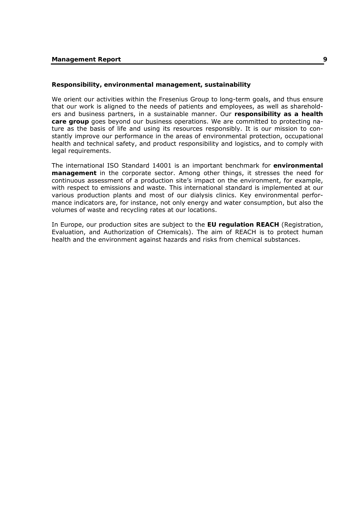#### **Responsibility, environmental management, sustainability**

We orient our activities within the Fresenius Group to long-term goals, and thus ensure that our work is aligned to the needs of patients and employees, as well as shareholders and business partners, in a sustainable manner. Our **responsibility as a health care group** goes beyond our business operations. We are committed to protecting nature as the basis of life and using its resources responsibly. It is our mission to constantly improve our performance in the areas of environmental protection, occupational health and technical safety, and product responsibility and logistics, and to comply with legal requirements.

The international ISO Standard 14001 is an important benchmark for **environmental management** in the corporate sector. Among other things, it stresses the need for continuous assessment of a production site's impact on the environment, for example, with respect to emissions and waste. This international standard is implemented at our various production plants and most of our dialysis clinics. Key environmental performance indicators are, for instance, not only energy and water consumption, but also the volumes of waste and recycling rates at our locations.

In Europe, our production sites are subject to the **EU regulation REACH** (Registration, Evaluation, and Authorization of CHemicals). The aim of REACH is to protect human health and the environment against hazards and risks from chemical substances.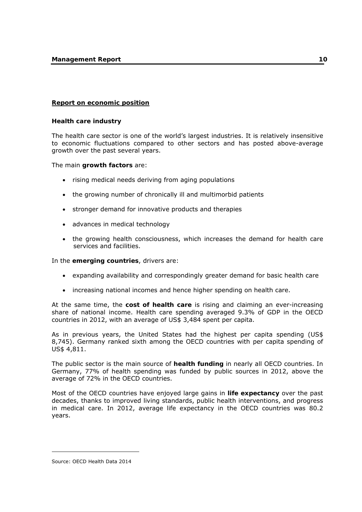### **Report on economic position**

#### **Health care industry**

The health care sector is one of the world's largest industries. It is relatively insensitive to economic fluctuations compared to other sectors and has posted above-average growth over the past several years.

The main **growth factors** are:

- rising medical needs deriving from aging populations
- the growing number of chronically ill and multimorbid patients
- stronger demand for innovative products and therapies
- advances in medical technology
- the growing health consciousness, which increases the demand for health care services and facilities.

In the **emerging countries**, drivers are:

- expanding availability and correspondingly greater demand for basic health care
- increasing national incomes and hence higher spending on health care.

At the same time, the **cost of health care** is rising and claiming an ever-increasing share of national income. Health care spending averaged 9.3% of GDP in the OECD countries in 2012, with an average of US\$ 3,484 spent per capita.

As in previous years, the United States had the highest per capita spending (US\$ 8,745). Germany ranked sixth among the OECD countries with per capita spending of US\$ 4,811.

The public sector is the main source of **health funding** in nearly all OECD countries. In Germany, 77% of health spending was funded by public sources in 2012, above the average of 72% in the OECD countries.

Most of the OECD countries have enjoyed large gains in **life expectancy** over the past decades, thanks to improved living standards, public health interventions, and progress in medical care. In 2012, average life expectancy in the OECD countries was 80.2 years.

-

Source: OECD Health Data 2014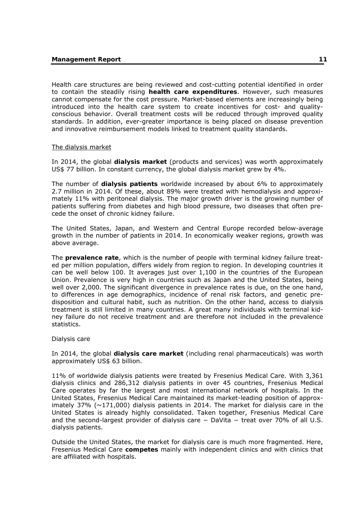Health care structures are being reviewed and cost-cutting potential identified in order to contain the steadily rising **health care expenditures**. However, such measures cannot compensate for the cost pressure. Market-based elements are increasingly being introduced into the health care system to create incentives for cost- and qualityconscious behavior. Overall treatment costs will be reduced through improved quality standards. In addition, ever-greater importance is being placed on disease prevention and innovative reimbursement models linked to treatment quality standards.

#### The dialysis market

In 2014, the global **dialysis market** (products and services) was worth approximately US\$ 77 billion. In constant currency, the global dialysis market grew by 4%.

The number of **dialysis patients** worldwide increased by about 6% to approximately 2.7 million in 2014. Of these, about 89% were treated with hemodialysis and approximately 11% with peritoneal dialysis. The major growth driver is the growing number of patients suffering from diabetes and high blood pressure, two diseases that often precede the onset of chronic kidney failure.

The United States, Japan, and Western and Central Europe recorded below-average growth in the number of patients in 2014. In economically weaker regions, growth was above average.

The **prevalence rate**, which is the number of people with terminal kidney failure treated per million population, differs widely from region to region. In developing countries it can be well below 100. It averages just over 1,100 in the countries of the European Union. Prevalence is very high in countries such as Japan and the United States, being well over 2,000. The significant divergence in prevalence rates is due, on the one hand, to differences in age demographics, incidence of renal risk factors, and genetic predisposition and cultural habit, such as nutrition. On the other hand, access to dialysis treatment is still limited in many countries. A great many individuals with terminal kidney failure do not receive treatment and are therefore not included in the prevalence statistics.

#### Dialysis care

In 2014, the global **dialysis care market** (including renal pharmaceuticals) was worth approximately US\$ 63 billion.

11% of worldwide dialysis patients were treated by Fresenius Medical Care. With 3,361 dialysis clinics and 286,312 dialysis patients in over 45 countries, Fresenius Medical Care operates by far the largest and most international network of hospitals. In the United States, Fresenius Medical Care maintained its market-leading position of approximately 37% ( $\sim$ 171,000) dialysis patients in 2014. The market for dialysis care in the United States is already highly consolidated. Taken together, Fresenius Medical Care and the second-largest provider of dialysis care – DaVita – treat over 70% of all U.S. dialysis patients.

Outside the United States, the market for dialysis care is much more fragmented. Here, Fresenius Medical Care **competes** mainly with independent clinics and with clinics that are affiliated with hospitals.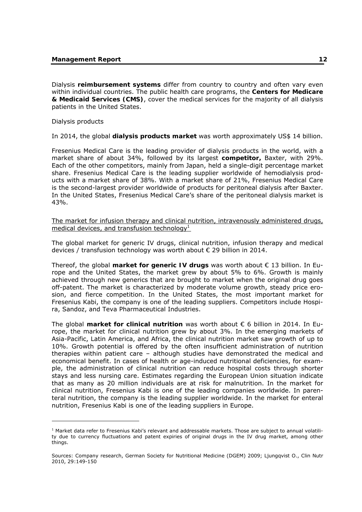Dialysis **reimbursement systems** differ from country to country and often vary even within individual countries. The public health care programs, the **Centers for Medicare & Medicaid Services (CMS)**, cover the medical services for the majority of all dialysis patients in the United States.

Dialysis products

-

In 2014, the global **dialysis products market** was worth approximately US\$ 14 billion.

Fresenius Medical Care is the leading provider of dialysis products in the world, with a market share of about 34%, followed by its largest **competitor,** Baxter, with 29%. Each of the other competitors, mainly from Japan, held a single-digit percentage market share. Fresenius Medical Care is the leading supplier worldwide of hemodialysis products with a market share of 38%. With a market share of 21%, Fresenius Medical Care is the second-largest provider worldwide of products for peritoneal dialysis after Baxter. In the United States, Fresenius Medical Care's share of the peritoneal dialysis market is 43%.

The market for infusion therapy and clinical nutrition, intravenously administered drugs, medical devices, and transfusion technology<sup>1</sup>

The global market for generic IV drugs, clinical nutrition, infusion therapy and medical devices / transfusion technology was worth about € 29 billion in 2014.

Thereof, the global **market for generic IV drugs** was worth about € 13 billion. In Europe and the United States, the market grew by about 5% to 6%. Growth is mainly achieved through new generics that are brought to market when the original drug goes off-patent. The market is characterized by moderate volume growth, steady price erosion, and fierce competition. In the United States, the most important market for Fresenius Kabi, the company is one of the leading suppliers. Competitors include Hospira, Sandoz, and Teva Pharmaceutical Industries.

The global **market for clinical nutrition** was worth about € 6 billion in 2014. In Europe, the market for clinical nutrition grew by about 3%. In the emerging markets of Asia-Pacific, Latin America, and Africa, the clinical nutrition market saw growth of up to 10%. Growth potential is offered by the often insufficient administration of nutrition therapies within patient care – although studies have demonstrated the medical and economical benefit. In cases of health or age-induced nutritional deficiencies, for example, the administration of clinical nutrition can reduce hospital costs through shorter stays and less nursing care. Estimates regarding the European Union situation indicate that as many as 20 million individuals are at risk for malnutrition. In the market for clinical nutrition, Fresenius Kabi is one of the leading companies worldwide. In parenteral nutrition, the company is the leading supplier worldwide. In the market for enteral nutrition, Fresenius Kabi is one of the leading suppliers in Europe.

 $<sup>1</sup>$  Market data refer to Fresenius Kabi's relevant and addressable markets. Those are subject to annual volatili-</sup> ty due to currency fluctuations and patent expiries of original drugs in the IV drug market, among other things.

Sources: Company research, German Society for Nutritional Medicine (DGEM) 2009; Ljungqvist O., Clin Nutr 2010, 29:149-150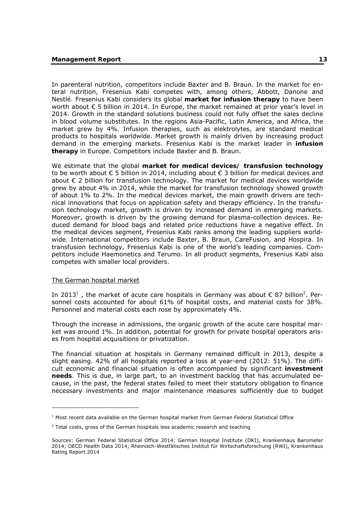In parenteral nutrition, competitors include Baxter and B. Braun. In the market for enteral nutrition, Fresenius Kabi competes with, among others, Abbott, Danone and Nestlé. Fresenius Kabi considers its global **market for infusion therapy** to have been worth about € 5 billion in 2014. In Europe, the market remained at prior year's level in 2014. Growth in the standard solutions business could not fully offset the sales decline in blood volume substitutes. In the regions Asia-Pacific, Latin America, and Africa, the market grew by 4%. Infusion therapies, such as elektrolytes, are standard medical products to hospitals worldwide. Market growth is mainly driven by increasing product demand in the emerging markets. Fresenius Kabi is the market leader in **infusion therapy** in Europe. Competitors include Baxter and B. Braun.

We estimate that the global **market for medical devices/ transfusion technology**  to be worth about € 5 billion in 2014, including about € 3 billion for medical devices and about € 2 billion for transfusion technology. The market for medical devices worldwide grew by about 4% in 2014, while the market for transfusion technology showed growth of about 1% to 2%. In the medical devices market, the main growth drivers are technical innovations that focus on application safety and therapy efficiency. In the transfusion technology market, growth is driven by increased demand in emerging markets. Moreover, growth is driven by the growing demand for plasma-collection devices. Reduced demand for blood bags and related price reductions have a negative effect. In the medical devices segment, Fresenius Kabi ranks among the leading suppliers worldwide. International competitors include Baxter, B. Braun, CareFusion, and Hospira. In transfusion technology, Fresenius Kabi is one of the world's leading companies. Competitors include Haemonetics and Terumo. In all product segments, Fresenius Kabi also competes with smaller local providers.

#### The German hospital market

-

In 2013<sup>1</sup>, the market of acute care hospitals in Germany was about  $\epsilon$  87 billion<sup>2</sup>. Personnel costs accounted for about 61% of hospital costs, and material costs for 38%. Personnel and material costs each rose by approximately 4%.

Through the increase in admissions, the organic growth of the acute care hospital market was around 1%. In addition, potential for growth for private hospital operators arises from hospital acquisitions or privatization.

The financial situation at hospitals in Germany remained difficult in 2013, despite a slight easing. 42% of all hospitals reported a loss at year-end (2012: 51%). The difficult economic and financial situation is often accompanied by significant **investment needs**. This is due, in large part, to an investment backlog that has accumulated because, in the past, the federal states failed to meet their statutory obligation to finance necessary investments and major maintenance measures sufficiently due to budget

<sup>&</sup>lt;sup>1</sup> Most recent data available on the German hospital market from German Federal Statistical Office

 $2$  Total costs, gross of the German hospitals less academic research and teaching

Sources: German Federal Statistical Office 2014; German Hospital Institute (DKI), Krankenhaus Barometer 2014; OECD Health Data 2014; Rheinisch-Westfälisches Institut für Wirtschaftsforschung (RWI), Krankenhaus Rating Report 2014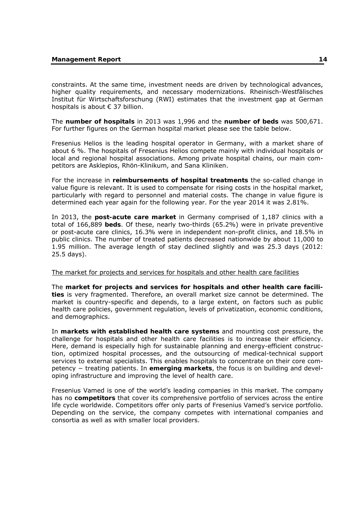constraints. At the same time, investment needs are driven by technological advances, higher quality requirements, and necessary modernizations. Rheinisch-Westfälisches Institut für Wirtschaftsforschung (RWI) estimates that the investment gap at German hospitals is about € 37 billion.

The **number of hospitals** in 2013 was 1,996 and the **number of beds** was 500,671. For further figures on the German hospital market please see the table below.

Fresenius Helios is the leading hospital operator in Germany, with a market share of about 6 %. The hospitals of Fresenius Helios compete mainly with individual hospitals or local and regional hospital associations. Among private hospital chains, our main competitors are Asklepios, Rhön-Klinikum, and Sana Kliniken.

For the increase in **reimbursements of hospital treatments** the so-called change in value figure is relevant. It is used to compensate for rising costs in the hospital market, particularly with regard to personnel and material costs. The change in value figure is determined each year again for the following year. For the year 2014 it was 2.81%.

In 2013, the **post-acute care market** in Germany comprised of 1,187 clinics with a total of 166,889 **beds**. Of these, nearly two-thirds (65.2%) were in private preventive or post-acute care clinics, 16.3% were in independent non-profit clinics, and 18.5% in public clinics. The number of treated patients decreased nationwide by about 11,000 to 1.95 million. The average length of stay declined slightly and was 25.3 days (2012: 25.5 days).

#### The market for projects and services for hospitals and other health care facilities

The **market for projects and services for hospitals and other health care facilities** is very fragmented. Therefore, an overall market size cannot be determined. The market is country-specific and depends, to a large extent, on factors such as public health care policies, government regulation, levels of privatization, economic conditions, and demographics.

In **markets with established health care systems** and mounting cost pressure, the challenge for hospitals and other health care facilities is to increase their efficiency. Here, demand is especially high for sustainable planning and energy-efficient construction, optimized hospital processes, and the outsourcing of medical-technical support services to external specialists. This enables hospitals to concentrate on their core competency − treating patients. In **emerging markets**, the focus is on building and developing infrastructure and improving the level of health care.

Fresenius Vamed is one of the world's leading companies in this market. The company has no **competitors** that cover its comprehensive portfolio of services across the entire life cycle worldwide. Competitors offer only parts of Fresenius Vamed's service portfolio. Depending on the service, the company competes with international companies and consortia as well as with smaller local providers.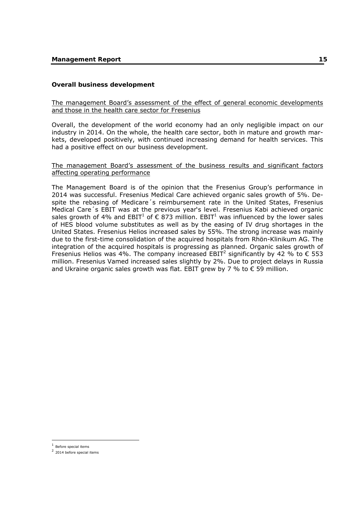## **Overall business development**

## The management Board's assessment of the effect of general economic developments and those in the health care sector for Fresenius

Overall, the development of the world economy had an only negligible impact on our industry in 2014. On the whole, the health care sector, both in mature and growth markets, developed positively, with continued increasing demand for health services. This had a positive effect on our business development.

#### The management Board's assessment of the business results and significant factors affecting operating performance

The Management Board is of the opinion that the Fresenius Group's performance in 2014 was successful. Fresenius Medical Care achieved organic sales growth of 5%. Despite the rebasing of Medicare´s reimbursement rate in the United States, Fresenius Medical Care´s EBIT was at the previous year's level. Fresenius Kabi achieved organic sales growth of 4% and EBIT<sup>1</sup> of  $\epsilon$  873 million. EBIT<sup>1</sup> was influenced by the lower sales of HES blood volume substitutes as well as by the easing of IV drug shortages in the United States. Fresenius Helios increased sales by 55%. The strong increase was mainly due to the first-time consolidation of the acquired hospitals from Rhön-Klinikum AG. The integration of the acquired hospitals is progressing as planned. Organic sales growth of Fresenius Helios was 4%. The company increased EBIT<sup>2</sup> significantly by 42 % to  $\epsilon$  553 million. Fresenius Vamed increased sales slightly by 2%. Due to project delays in Russia and Ukraine organic sales growth was flat. EBIT grew by 7 % to  $\epsilon$  59 million.

-

 $1$  Before special items

<sup>2</sup> 2014 before special items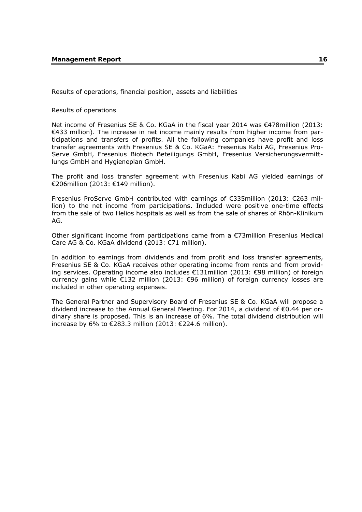Results of operations, financial position, assets and liabilities

#### Results of operations

Net income of Fresenius SE & Co. KGaA in the fiscal year 2014 was €478million (2013: €433 million). The increase in net income mainly results from higher income from participations and transfers of profits. All the following companies have profit and loss transfer agreements with Fresenius SE & Co. KGaA: Fresenius Kabi AG, Fresenius Pro-Serve GmbH, Fresenius Biotech Beteiligungs GmbH, Fresenius Versicherungsvermittlungs GmbH and Hygieneplan GmbH.

The profit and loss transfer agreement with Fresenius Kabi AG yielded earnings of €206million (2013: €149 million).

Fresenius ProServe GmbH contributed with earnings of €335million (2013: €263 million) to the net income from participations. Included were positive one-time effects from the sale of two Helios hospitals as well as from the sale of shares of Rhön-Klinikum AG.

Other significant income from participations came from a €73million Fresenius Medical Care AG & Co. KGaA dividend (2013: €71 million).

In addition to earnings from dividends and from profit and loss transfer agreements, Fresenius SE & Co. KGaA receives other operating income from rents and from providing services. Operating income also includes €131million (2013: €98 million) of foreign currency gains while €132 million (2013: €96 million) of foreign currency losses are included in other operating expenses.

The General Partner and Supervisory Board of Fresenius SE & Co. KGaA will propose a dividend increase to the Annual General Meeting. For 2014, a dividend of €0.44 per ordinary share is proposed. This is an increase of 6%. The total dividend distribution will increase by 6% to €283.3 million (2013: €224.6 million).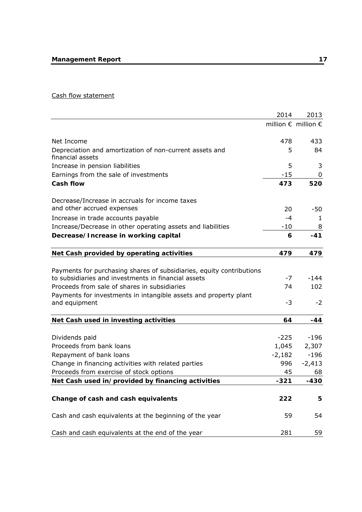## Cash flow statement

|                                                                                                                             | 2014              | 2013                                  |
|-----------------------------------------------------------------------------------------------------------------------------|-------------------|---------------------------------------|
|                                                                                                                             |                   | million $\epsilon$ million $\epsilon$ |
| Net Income                                                                                                                  | 478               | 433                                   |
| Depreciation and amortization of non-current assets and<br>financial assets                                                 | 5                 | 84                                    |
| Increase in pension liabilities                                                                                             | 5                 | 3                                     |
| Earnings from the sale of investments                                                                                       | $-15$             | 0                                     |
| <b>Cash flow</b>                                                                                                            | 473               | 520                                   |
| Decrease/Increase in accruals for income taxes                                                                              |                   |                                       |
| and other accrued expenses                                                                                                  | 20                | -50                                   |
| Increase in trade accounts payable                                                                                          | -4                | 1                                     |
| Increase/Decrease in other operating assets and liabilities                                                                 | $-10$             | 8                                     |
| Decrease/Increase in working capital                                                                                        | 6                 | $-41$                                 |
| Net Cash provided by operating activities                                                                                   | 479               | 479                                   |
|                                                                                                                             |                   |                                       |
| Payments for purchasing shares of subsidiaries, equity contributions<br>to subsidiaries and investments in financial assets | $-7$              | $-144$                                |
| Proceeds from sale of shares in subsidiaries                                                                                | 74                | 102                                   |
|                                                                                                                             |                   |                                       |
| Payments for investments in intangible assets and property plant<br>and equipment                                           | $-3$              | $-2$                                  |
| Net Cash used in investing activities                                                                                       | 64                | $-44$                                 |
|                                                                                                                             |                   |                                       |
| Dividends paid<br>Proceeds from bank loans                                                                                  | $-225$            | $-196$                                |
| Repayment of bank loans                                                                                                     | 1,045<br>$-2,182$ | 2,307<br>$-196$                       |
| Change in financing activities with related parties                                                                         | 996               | $-2,413$                              |
| Proceeds from exercise of stock options                                                                                     | 45                | 68                                    |
| Net Cash used in/provided by financing activities                                                                           | -321              | $-430$                                |
|                                                                                                                             |                   |                                       |
| Change of cash and cash equivalents                                                                                         | 222               | 5                                     |
| Cash and cash equivalents at the beginning of the year                                                                      | 59                | 54                                    |
| Cash and cash equivalents at the end of the year                                                                            | 281               | 59                                    |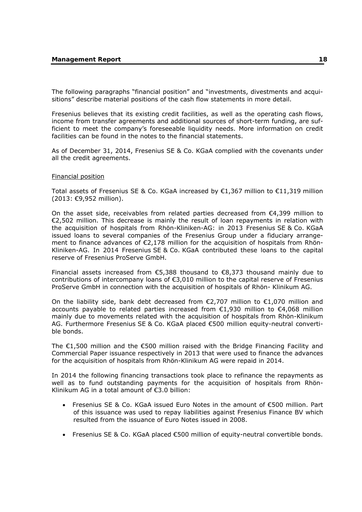The following paragraphs "financial position" and "investments, divestments and acquisitions" describe material positions of the cash flow statements in more detail.

Fresenius believes that its existing credit facilities, as well as the operating cash flows, income from transfer agreements and additional sources of short-term funding, are sufficient to meet the company's foreseeable liquidity needs. More information on credit facilities can be found in the notes to the financial statements.

As of December 31, 2014, Fresenius SE & Co. KGaA complied with the covenants under all the credit agreements.

#### Financial position

Total assets of Fresenius SE & Co. KGaA increased by  $\epsilon$ 1,367 million to  $\epsilon$ 11,319 million (2013: €9,952 million).

On the asset side, receivables from related parties decreased from  $\epsilon$ 4,399 million to €2,502 million. This decrease is mainly the result of loan repayments in relation with the acquisition of hospitals from Rhön-Kliniken-AG: in 2013 Fresenius SE & Co. KGaA issued loans to several companies of the Fresenius Group under a fiduciary arrangement to finance advances of  $\epsilon$ 2,178 million for the acquisition of hospitals from Rhön-Kliniken-AG. In 2014 Fresenius SE & Co. KGaA contributed these loans to the capital reserve of Fresenius ProServe GmbH.

Financial assets increased from  $\epsilon$ 5,388 thousand to  $\epsilon$ 8,373 thousand mainly due to contributions of intercompany loans of €3,010 million to the capital reserve of Fresenius ProServe GmbH in connection with the acquisition of hospitals of Rhön- Klinikum AG.

On the liability side, bank debt decreased from  $\epsilon$ 2,707 million to  $\epsilon$ 1,070 million and accounts payable to related parties increased from €1,930 million to €4,068 million mainly due to movements related with the acquisition of hospitals from Rhön-Klinikum AG. Furthermore Fresenius SE & Co. KGaA placed €500 million equity-neutral convertible bonds.

The  $\epsilon$ 1,500 million and the  $\epsilon$ 500 million raised with the Bridge Financing Facility and Commercial Paper issuance respectively in 2013 that were used to finance the advances for the acquisition of hospitals from Rhön-Klinikum AG were repaid in 2014.

In 2014 the following financing transactions took place to refinance the repayments as well as to fund outstanding payments for the acquisition of hospitals from Rhön-Klinikum AG in a total amount of €3.0 billion:

- Fresenius SE & Co. KGaA issued Euro Notes in the amount of €500 million. Part of this issuance was used to repay liabilities against Fresenius Finance BV which resulted from the issuance of Euro Notes issued in 2008.
- Fresenius SE & Co. KGaA placed €500 million of equity-neutral convertible bonds.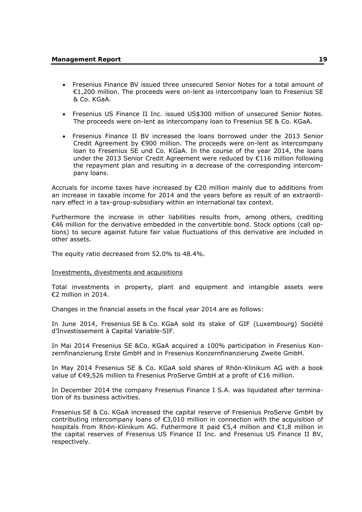- Fresenius Finance BV issued three unsecured Senior Notes for a total amount of €1,200 million. The proceeds were on-lent as intercompany loan to Fresenius SE & Co. KGaA.
- Fresenius US Finance II Inc. issued US\$300 million of unsecured Senior Notes. The proceeds were on-lent as intercompany loan to Fresenius SE & Co. KGaA.
- Fresenius Finance II BV increased the loans borrowed under the 2013 Senior Credit Agreement by €900 million. The proceeds were on-lent as intercompany loan to Fresenius SE und Co. KGaA. In the course of the year 2014, the loans under the 2013 Senior Credit Agreement were reduced by €116 million following the repayment plan and resulting in a decrease of the corresponding intercompany loans.

Accruals for income taxes have increased by  $E$ 20 million mainly due to additions from an increase in taxable income for 2014 and the years before as result of an extraordinary effect in a tax-group-subsidiary within an international tax context.

Furthermore the increase in other liabilities results from, among others, crediting €46 million for the derivative embedded in the convertible bond. Stock options (call options) to secure against future fair value fluctuations of this derivative are included in other assets.

The equity ratio decreased from 52.0% to 48.4%.

#### Investments, divestments and acquisitions

Total investments in property, plant and equipment and intangible assets were €2 million in 2014.

Changes in the financial assets in the fiscal year 2014 are as follows:

In June 2014, Fresenius SE & Co. KGaA sold its stake of GIF (Luxembourg) Société d'Investissement à Capital Variable-SIF.

In Mai 2014 Fresenius SE &Co. KGaA acquired a 100% participation in Fresenius Konzernfinanzierung Erste GmbH and in Fresenius Konzernfinanzierung Zweite GmbH.

In May 2014 Fresenius SE & Co. KGaA sold shares of Rhön-Klinikum AG with a book value of €49,526 million to Fresenius ProServe GmbH at a profit of €16 million.

In December 2014 the company Fresenius Finance I S.A. was liquidated after termination of its business activities.

Fresenius SE & Co. KGaA increased the capital reserve of Fresenius ProServe GmbH by contributing intercompany loans of  $\epsilon$ 3,010 million in connection with the acquisition of hospitals from Rhön-Klinikum AG. Futhermore it paid €5,4 million and €1,8 million in the capital reserves of Fresenius US Finance II Inc. and Fresenius US Finance II BV, respectively.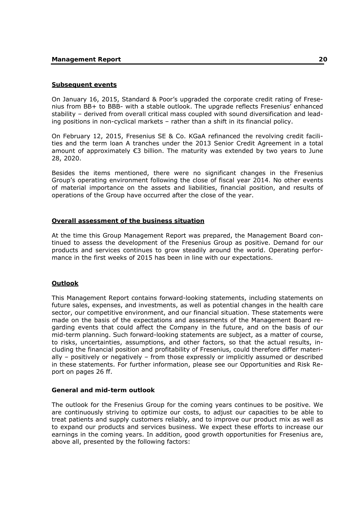### **Subsequent events**

On January 16, 2015, Standard & Poor's upgraded the corporate credit rating of Fresenius from BB+ to BBB- with a stable outlook. The upgrade reflects Fresenius' enhanced stability – derived from overall critical mass coupled with sound diversification and leading positions in non-cyclical markets – rather than a shift in its financial policy.

On February 12, 2015, Fresenius SE & Co. KGaA refinanced the revolving credit facilities and the term loan A tranches under the 2013 Senior Credit Agreement in a total amount of approximately  $\epsilon$ 3 billion. The maturity was extended by two years to June 28, 2020.

Besides the items mentioned, there were no significant changes in the Fresenius Group's operating environment following the close of fiscal year 2014. No other events of material importance on the assets and liabilities, financial position, and results of operations of the Group have occurred after the close of the year.

### **Overall assessment of the business situation**

At the time this Group Management Report was prepared, the Management Board continued to assess the development of the Fresenius Group as positive. Demand for our products and services continues to grow steadily around the world. Operating performance in the first weeks of 2015 has been in line with our expectations.

### **Outlook**

This Management Report contains forward-looking statements, including statements on future sales, expenses, and investments, as well as potential changes in the health care sector, our competitive environment, and our financial situation. These statements were made on the basis of the expectations and assessments of the Management Board regarding events that could affect the Company in the future, and on the basis of our mid-term planning. Such forward-looking statements are subject, as a matter of course, to risks, uncertainties, assumptions, and other factors, so that the actual results, including the financial position and profitability of Fresenius, could therefore differ materially – positively or negatively – from those expressly or implicitly assumed or described in these statements. For further information, please see our Opportunities and Risk Report on pages 26 ff.

#### **General and mid-term outlook**

The outlook for the Fresenius Group for the coming years continues to be positive. We are continuously striving to optimize our costs, to adjust our capacities to be able to treat patients and supply customers reliably, and to improve our product mix as well as to expand our products and services business. We expect these efforts to increase our earnings in the coming years. In addition, good growth opportunities for Fresenius are, above all, presented by the following factors: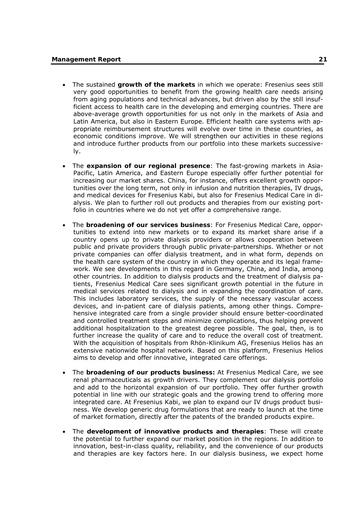- The sustained **growth of the markets** in which we operate: Fresenius sees still very good opportunities to benefit from the growing health care needs arising from aging populations and technical advances, but driven also by the still insufficient access to health care in the developing and emerging countries. There are above-average growth opportunities for us not only in the markets of Asia and Latin America, but also in Eastern Europe. Efficient health care systems with appropriate reimbursement structures will evolve over time in these countries, as economic conditions improve. We will strengthen our activities in these regions and introduce further products from our portfolio into these markets successively.
- The **expansion of our regional presence**: The fast-growing markets in Asia-Pacific, Latin America, and Eastern Europe especially offer further potential for increasing our market shares. China, for instance, offers excellent growth opportunities over the long term, not only in infusion and nutrition therapies, IV drugs, and medical devices for Fresenius Kabi, but also for Fresenius Medical Care in dialysis. We plan to further roll out products and therapies from our existing portfolio in countries where we do not yet offer a comprehensive range.
- The **broadening of our services business**: For Fresenius Medical Care, opportunities to extend into new markets or to expand its market share arise if a country opens up to private dialysis providers or allows cooperation between public and private providers through public private-partnerships. Whether or not private companies can offer dialysis treatment, and in what form, depends on the health care system of the country in which they operate and its legal framework. We see developments in this regard in Germany, China, and India, among other countries. In addition to dialysis products and the treatment of dialysis patients, Fresenius Medical Care sees significant growth potential in the future in medical services related to dialysis and in expanding the coordination of care. This includes laboratory services, the supply of the necessary vascular access devices, and in-patient care of dialysis patients, among other things. Comprehensive integrated care from a single provider should ensure better-coordinated and controlled treatment steps and minimize complications, thus helping prevent additional hospitalization to the greatest degree possible. The goal, then, is to further increase the quality of care and to reduce the overall cost of treatment. With the acquisition of hospitals from Rhön-Klinikum AG, Fresenius Helios has an extensive nationwide hospital network. Based on this platform, Fresenius Helios aims to develop and offer innovative, integrated care offerings.
- The **broadening of our products business:** At Fresenius Medical Care, we see renal pharmaceuticals as growth drivers. They complement our dialysis portfolio and add to the horizontal expansion of our portfolio. They offer further growth potential in line with our strategic goals and the growing trend to offering more integrated care. At Fresenius Kabi, we plan to expand our IV drugs product business. We develop generic drug formulations that are ready to launch at the time of market formation, directly after the patents of the branded products expire.
- The **development of innovative products and therapies**: These will create the potential to further expand our market position in the regions. In addition to innovation, best-in-class quality, reliability, and the convenience of our products and therapies are key factors here. In our dialysis business, we expect home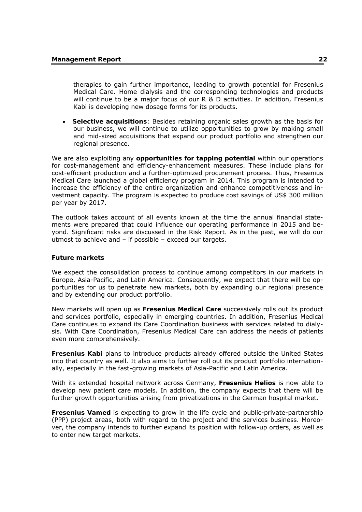therapies to gain further importance, leading to growth potential for Fresenius Medical Care. Home dialysis and the corresponding technologies and products will continue to be a major focus of our R & D activities. In addition, Fresenius Kabi is developing new dosage forms for its products.

 **Selective acquisitions**: Besides retaining organic sales growth as the basis for our business, we will continue to utilize opportunities to grow by making small and mid-sized acquisitions that expand our product portfolio and strengthen our regional presence.

We are also exploiting any **opportunities for tapping potential** within our operations for cost-management and efficiency-enhancement measures. These include plans for cost-efficient production and a further-optimized procurement process. Thus, Fresenius Medical Care launched a global efficiency program in 2014. This program is intended to increase the efficiency of the entire organization and enhance competitiveness and investment capacity. The program is expected to produce cost savings of US\$ 300 million per year by 2017.

The outlook takes account of all events known at the time the annual financial statements were prepared that could influence our operating performance in 2015 and beyond. Significant risks are discussed in the Risk Report. As in the past, we will do our utmost to achieve and – if possible – exceed our targets.

#### **Future markets**

We expect the consolidation process to continue among competitors in our markets in Europe, Asia-Pacific, and Latin America. Consequently, we expect that there will be opportunities for us to penetrate new markets, both by expanding our regional presence and by extending our product portfolio.

New markets will open up as **Fresenius Medical Care** successively rolls out its product and services portfolio, especially in emerging countries. In addition, Fresenius Medical Care continues to expand its Care Coordination business with services related to dialysis. With Care Coordination, Fresenius Medical Care can address the needs of patients even more comprehensively.

**Fresenius Kabi** plans to introduce products already offered outside the United States into that country as well. It also aims to further roll out its product portfolio internationally, especially in the fast-growing markets of Asia-Pacific and Latin America.

With its extended hospital network across Germany, **Fresenius Helios** is now able to develop new patient care models. In addition, the company expects that there will be further growth opportunities arising from privatizations in the German hospital market.

**Fresenius Vamed** is expecting to grow in the life cycle and public-private-partnership (PPP) project areas, both with regard to the project and the services business. Moreover, the company intends to further expand its position with follow-up orders, as well as to enter new target markets.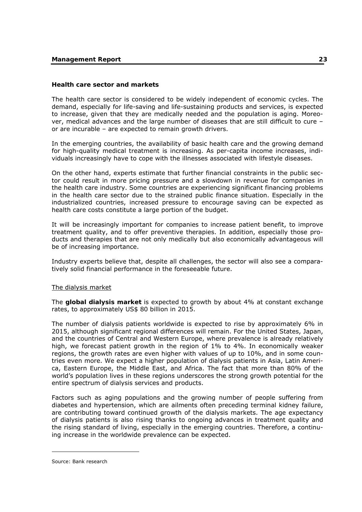## **Health care sector and markets**

The health care sector is considered to be widely independent of economic cycles. The demand, especially for life-saving and life-sustaining products and services, is expected to increase, given that they are medically needed and the population is aging. Moreover, medical advances and the large number of diseases that are still difficult to cure – or are incurable – are expected to remain growth drivers.

In the emerging countries, the availability of basic health care and the growing demand for high-quality medical treatment is increasing. As per-capita income increases, individuals increasingly have to cope with the illnesses associated with lifestyle diseases.

On the other hand, experts estimate that further financial constraints in the public sector could result in more pricing pressure and a slowdown in revenue for companies in the health care industry. Some countries are experiencing significant financing problems in the health care sector due to the strained public finance situation. Especially in the industrialized countries, increased pressure to encourage saving can be expected as health care costs constitute a large portion of the budget.

It will be increasingly important for companies to increase patient benefit, to improve treatment quality, and to offer preventive therapies. In addition, especially those products and therapies that are not only medically but also economically advantageous will be of increasing importance.

Industry experts believe that, despite all challenges, the sector will also see a comparatively solid financial performance in the foreseeable future.

### The dialysis market

The **global dialysis market** is expected to growth by about 4% at constant exchange rates, to approximately US\$ 80 billion in 2015.

The number of dialysis patients worldwide is expected to rise by approximately 6% in 2015, although significant regional differences will remain. For the United States, Japan, and the countries of Central and Western Europe, where prevalence is already relatively high, we forecast patient growth in the region of 1% to 4%. In economically weaker regions, the growth rates are even higher with values of up to 10%, and in some countries even more. We expect a higher population of dialysis patients in Asia, Latin America, Eastern Europe, the Middle East, and Africa. The fact that more than 80% of the world's population lives in these regions underscores the strong growth potential for the entire spectrum of dialysis services and products.

Factors such as aging populations and the growing number of people suffering from diabetes and hypertension, which are ailments often preceding terminal kidney failure, are contributing toward continued growth of the dialysis markets. The age expectancy of dialysis patients is also rising thanks to ongoing advances in treatment quality and the rising standard of living, especially in the emerging countries. Therefore, a continuing increase in the worldwide prevalence can be expected.

-

Source: Bank research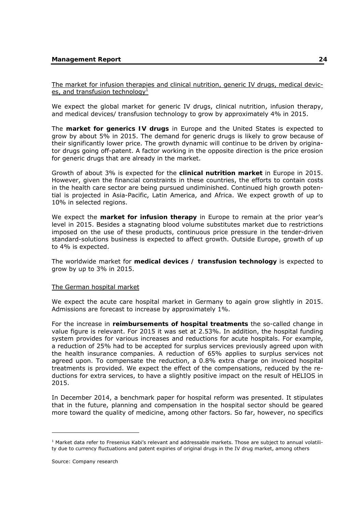The market for infusion therapies and clinical nutrition, generic IV drugs, medical devices, and transfusion technology<sup>1</sup>

We expect the global market for generic IV drugs, clinical nutrition, infusion therapy, and medical devices/ transfusion technology to grow by approximately 4% in 2015.

The **market for generics IV drugs** in Europe and the United States is expected to grow by about 5% in 2015. The demand for generic drugs is likely to grow because of their significantly lower price. The growth dynamic will continue to be driven by originator drugs going off-patent. A factor working in the opposite direction is the price erosion for generic drugs that are already in the market.

Growth of about 3% is expected for the **clinical nutrition market** in Europe in 2015. However, given the financial constraints in these countries, the efforts to contain costs in the health care sector are being pursued undiminished. Continued high growth potential is projected in Asia-Pacific, Latin America, and Africa. We expect growth of up to 10% in selected regions.

We expect the **market for infusion therapy** in Europe to remain at the prior year's level in 2015. Besides a stagnating blood volume substitutes market due to restrictions imposed on the use of these products, continuous price pressure in the tender-driven standard-solutions business is expected to affect growth. Outside Europe, growth of up to 4% is expected.

The worldwide market for **medical devices / transfusion technology** is expected to grow by up to 3% in 2015.

### The German hospital market

We expect the acute care hospital market in Germany to again grow slightly in 2015. Admissions are forecast to increase by approximately 1%.

For the increase in **reimbursements of hospital treatments** the so-called change in value figure is relevant. For 2015 it was set at 2.53%. In addition, the hospital funding system provides for various increases and reductions for acute hospitals. For example, a reduction of 25% had to be accepted for surplus services previously agreed upon with the health insurance companies. A reduction of 65% applies to surplus services not agreed upon. To compensate the reduction, a 0.8% extra charge on invoiced hospital treatments is provided. We expect the effect of the compensations, reduced by the reductions for extra services, to have a slightly positive impact on the result of HELIOS in 2015.

In December 2014, a benchmark paper for hospital reform was presented. It stipulates that in the future, planning and compensation in the hospital sector should be geared more toward the quality of medicine, among other factors. So far, however, no specifics

-

<sup>&</sup>lt;sup>1</sup> Market data refer to Fresenius Kabi's relevant and addressable markets. Those are subject to annual volatility due to currency fluctuations and patent expiries of original drugs in the IV drug market, among others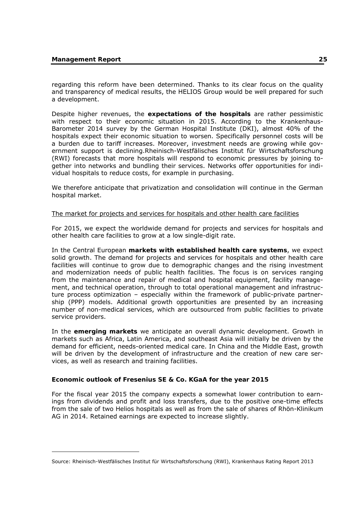-

regarding this reform have been determined. Thanks to its clear focus on the quality and transparency of medical results, the HELIOS Group would be well prepared for such a development.

Despite higher revenues, the **expectations of the hospitals** are rather pessimistic with respect to their economic situation in 2015. According to the Krankenhaus-Barometer 2014 survey by the German Hospital Institute (DKI), almost 40% of the hospitals expect their economic situation to worsen. Specifically personnel costs will be a burden due to tariff increases. Moreover, investment needs are growing while government support is declining.Rheinisch-Westfälisches Institut für Wirtschaftsforschung (RWI) forecasts that more hospitals will respond to economic pressures by joining together into networks and bundling their services. Networks offer opportunities for individual hospitals to reduce costs, for example in purchasing.

We therefore anticipate that privatization and consolidation will continue in the German hospital market.

### The market for projects and services for hospitals and other health care facilities<sup>1</sup>

For 2015, we expect the worldwide demand for projects and services for hospitals and other health care facilities to grow at a low single-digit rate.

In the Central European **markets with established health care systems**, we expect solid growth. The demand for projects and services for hospitals and other health care facilities will continue to grow due to demographic changes and the rising investment and modernization needs of public health facilities. The focus is on services ranging from the maintenance and repair of medical and hospital equipment, facility management, and technical operation, through to total operational management and infrastructure process optimization – especially within the framework of public-private partnership (PPP) models. Additional growth opportunities are presented by an increasing number of non-medical services, which are outsourced from public facilities to private service providers.

In the **emerging markets** we anticipate an overall dynamic development. Growth in markets such as Africa, Latin America, and southeast Asia will initially be driven by the demand for efficient, needs-oriented medical care. In China and the Middle East, growth will be driven by the development of infrastructure and the creation of new care services, as well as research and training facilities.

### **Economic outlook of Fresenius SE & Co. KGaA for the year 2015**

For the fiscal year 2015 the company expects a somewhat lower contribution to earnings from dividends and profit and loss transfers, due to the positive one-time effects from the sale of two Helios hospitals as well as from the sale of shares of Rhön-Klinikum AG in 2014. Retained earnings are expected to increase slightly.

Source: Rheinisch-Westfälisches Institut für Wirtschaftsforschung (RWI), Krankenhaus Rating Report 2013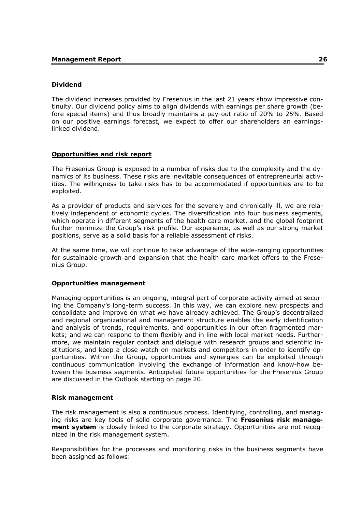## **Dividend**

The dividend increases provided by Fresenius in the last 21 years show impressive continuity. Our dividend policy aims to align dividends with earnings per share growth (before special items) and thus broadly maintains a pay-out ratio of 20% to 25%. Based on our positive earnings forecast, we expect to offer our shareholders an earningslinked dividend.

### **Opportunities and risk report**

The Fresenius Group is exposed to a number of risks due to the complexity and the dynamics of its business. These risks are inevitable consequences of entrepreneurial activities. The willingness to take risks has to be accommodated if opportunities are to be exploited.

As a provider of products and services for the severely and chronically ill, we are relatively independent of economic cycles. The diversification into four business segments, which operate in different segments of the health care market, and the global footprint further minimize the Group's risk profile. Our experience, as well as our strong market positions, serve as a solid basis for a reliable assessment of risks.

At the same time, we will continue to take advantage of the wide-ranging opportunities for sustainable growth and expansion that the health care market offers to the Fresenius Group.

### **Opportunities management**

Managing opportunities is an ongoing, integral part of corporate activity aimed at securing the Company's long-term success. In this way, we can explore new prospects and consolidate and improve on what we have already achieved. The Group's decentralized and regional organizational and management structure enables the early identification and analysis of trends, requirements, and opportunities in our often fragmented markets; and we can respond to them flexibly and in line with local market needs. Furthermore, we maintain regular contact and dialogue with research groups and scientific institutions, and keep a close watch on markets and competitors in order to identify opportunities. Within the Group, opportunities and synergies can be exploited through continuous communication involving the exchange of information and know-how between the business segments. Anticipated future opportunities for the Fresenius Group are discussed in the Outlook starting on page 20.

### **Risk management**

The risk management is also a continuous process. Identifying, controlling, and managing risks are key tools of solid corporate governance. The **Fresenius risk management system** is closely linked to the corporate strategy. Opportunities are not recognized in the risk management system.

Responsibilities for the processes and monitoring risks in the business segments have been assigned as follows: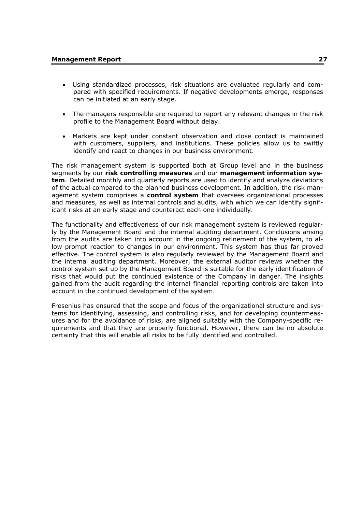- Using standardized processes, risk situations are evaluated regularly and compared with specified requirements. If negative developments emerge, responses can be initiated at an early stage.
- The managers responsible are required to report any relevant changes in the risk profile to the Management Board without delay.
- Markets are kept under constant observation and close contact is maintained with customers, suppliers, and institutions. These policies allow us to swiftly identify and react to changes in our business environment.

The risk management system is supported both at Group level and in the business segments by our **risk controlling measures** and our **management information system**. Detailed monthly and quarterly reports are used to identify and analyze deviations of the actual compared to the planned business development. In addition, the risk management system comprises a **control system** that oversees organizational processes and measures, as well as internal controls and audits, with which we can identify significant risks at an early stage and counteract each one individually.

The functionality and effectiveness of our risk management system is reviewed regularly by the Management Board and the internal auditing department. Conclusions arising from the audits are taken into account in the ongoing refinement of the system, to allow prompt reaction to changes in our environment. This system has thus far proved effective. The control system is also regularly reviewed by the Management Board and the internal auditing department. Moreover, the external auditor reviews whether the control system set up by the Management Board is suitable for the early identification of risks that would put the continued existence of the Company in danger. The insights gained from the audit regarding the internal financial reporting controls are taken into account in the continued development of the system.

Fresenius has ensured that the scope and focus of the organizational structure and systems for identifying, assessing, and controlling risks, and for developing countermeasures and for the avoidance of risks, are aligned suitably with the Company-specific requirements and that they are properly functional. However, there can be no absolute certainty that this will enable all risks to be fully identified and controlled.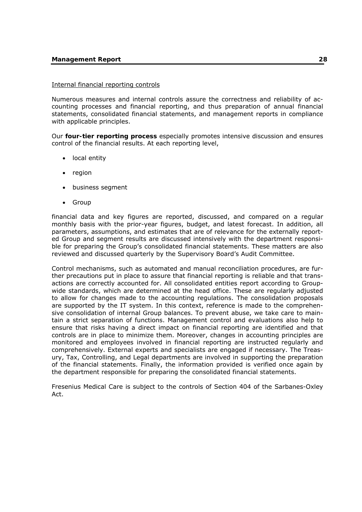### Internal financial reporting controls

Numerous measures and internal controls assure the correctness and reliability of accounting processes and financial reporting, and thus preparation of annual financial statements, consolidated financial statements, and management reports in compliance with applicable principles.

Our **four-tier reporting process** especially promotes intensive discussion and ensures control of the financial results. At each reporting level,

- local entity
- region
- business segment
- Group

financial data and key figures are reported, discussed, and compared on a regular monthly basis with the prior-year figures, budget, and latest forecast. In addition, all parameters, assumptions, and estimates that are of relevance for the externally reported Group and segment results are discussed intensively with the department responsible for preparing the Group's consolidated financial statements. These matters are also reviewed and discussed quarterly by the Supervisory Board's Audit Committee.

Control mechanisms, such as automated and manual reconciliation procedures, are further precautions put in place to assure that financial reporting is reliable and that transactions are correctly accounted for. All consolidated entities report according to Groupwide standards, which are determined at the head office. These are regularly adjusted to allow for changes made to the accounting regulations. The consolidation proposals are supported by the IT system. In this context, reference is made to the comprehensive consolidation of internal Group balances. To prevent abuse, we take care to maintain a strict separation of functions. Management control and evaluations also help to ensure that risks having a direct impact on financial reporting are identified and that controls are in place to minimize them. Moreover, changes in accounting principles are monitored and employees involved in financial reporting are instructed regularly and comprehensively. External experts and specialists are engaged if necessary. The Treasury, Tax, Controlling, and Legal departments are involved in supporting the preparation of the financial statements. Finally, the information provided is verified once again by the department responsible for preparing the consolidated financial statements.

Fresenius Medical Care is subject to the controls of Section 404 of the Sarbanes-Oxley Act.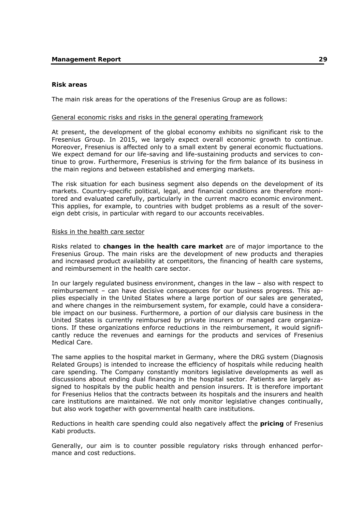# **Risk areas**

The main risk areas for the operations of the Fresenius Group are as follows:

# General economic risks and risks in the general operating framework

At present, the development of the global economy exhibits no significant risk to the Fresenius Group. In 2015, we largely expect overall economic growth to continue. Moreover, Fresenius is affected only to a small extent by general economic fluctuations. We expect demand for our life-saving and life-sustaining products and services to continue to grow. Furthermore, Fresenius is striving for the firm balance of its business in the main regions and between established and emerging markets.

The risk situation for each business segment also depends on the development of its markets. Country-specific political, legal, and financial conditions are therefore monitored and evaluated carefully, particularly in the current macro economic environment. This applies, for example, to countries with budget problems as a result of the sovereign debt crisis, in particular with regard to our accounts receivables.

# Risks in the health care sector

Risks related to **changes in the health care market** are of major importance to the Fresenius Group. The main risks are the development of new products and therapies and increased product availability at competitors, the financing of health care systems, and reimbursement in the health care sector.

In our largely regulated business environment, changes in the law – also with respect to reimbursement – can have decisive consequences for our business progress. This applies especially in the United States where a large portion of our sales are generated, and where changes in the reimbursement system, for example, could have a considerable impact on our business. Furthermore, a portion of our dialysis care business in the United States is currently reimbursed by private insurers or managed care organizations. If these organizations enforce reductions in the reimbursement, it would significantly reduce the revenues and earnings for the products and services of Fresenius Medical Care.

The same applies to the hospital market in Germany, where the DRG system (Diagnosis Related Groups) is intended to increase the efficiency of hospitals while reducing health care spending. The Company constantly monitors legislative developments as well as discussions about ending dual financing in the hospital sector. Patients are largely assigned to hospitals by the public health and pension insurers. It is therefore important for Fresenius Helios that the contracts between its hospitals and the insurers and health care institutions are maintained. We not only monitor legislative changes continually, but also work together with governmental health care institutions.

Reductions in health care spending could also negatively affect the **pricing** of Fresenius Kabi products.

Generally, our aim is to counter possible regulatory risks through enhanced performance and cost reductions.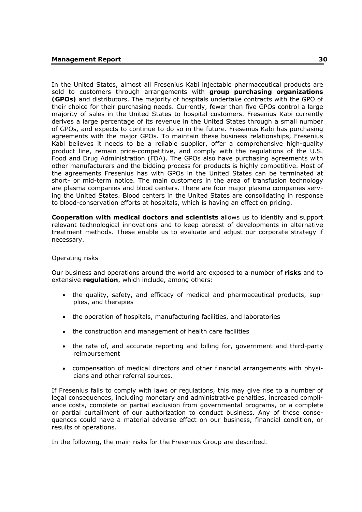In the United States, almost all Fresenius Kabi injectable pharmaceutical products are sold to customers through arrangements with **group purchasing organizations (GPOs)** and distributors. The majority of hospitals undertake contracts with the GPO of their choice for their purchasing needs. Currently, fewer than five GPOs control a large majority of sales in the United States to hospital customers. Fresenius Kabi currently derives a large percentage of its revenue in the United States through a small number of GPOs, and expects to continue to do so in the future. Fresenius Kabi has purchasing agreements with the major GPOs. To maintain these business relationships, Fresenius Kabi believes it needs to be a reliable supplier, offer a comprehensive high-quality product line, remain price-competitive, and comply with the regulations of the U.S. Food and Drug Administration (FDA). The GPOs also have purchasing agreements with other manufacturers and the bidding process for products is highly competitive. Most of the agreements Fresenius has with GPOs in the United States can be terminated at short- or mid-term notice. The main customers in the area of transfusion technology are plasma companies and blood centers. There are four major plasma companies serving the United States. Blood centers in the United States are consolidating in response to blood-conservation efforts at hospitals, which is having an effect on pricing.

**Cooperation with medical doctors and scientists** allows us to identify and support relevant technological innovations and to keep abreast of developments in alternative treatment methods. These enable us to evaluate and adjust our corporate strategy if necessary.

# Operating risks

Our business and operations around the world are exposed to a number of **risks** and to extensive **regulation**, which include, among others:

- the quality, safety, and efficacy of medical and pharmaceutical products, supplies, and therapies
- the operation of hospitals, manufacturing facilities, and laboratories
- the construction and management of health care facilities
- the rate of, and accurate reporting and billing for, government and third-party reimbursement
- compensation of medical directors and other financial arrangements with physicians and other referral sources.

If Fresenius fails to comply with laws or regulations, this may give rise to a number of legal consequences, including monetary and administrative penalties, increased compliance costs, complete or partial exclusion from governmental programs, or a complete or partial curtailment of our authorization to conduct business. Any of these consequences could have a material adverse effect on our business, financial condition, or results of operations.

In the following, the main risks for the Fresenius Group are described.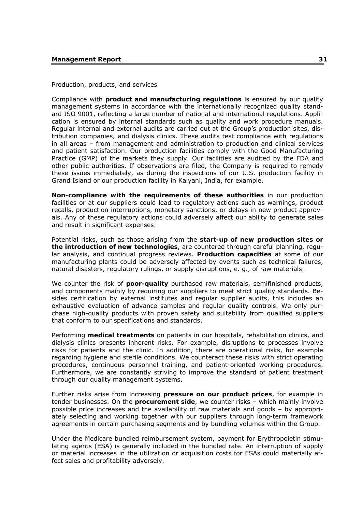Production, products, and services

Compliance with **product and manufacturing regulations** is ensured by our quality management systems in accordance with the internationally recognized quality standard ISO 9001, reflecting a large number of national and international regulations. Application is ensured by internal standards such as quality and work procedure manuals. Regular internal and external audits are carried out at the Group's production sites, distribution companies, and dialysis clinics. These audits test compliance with regulations in all areas – from management and administration to production and clinical services and patient satisfaction. Our production facilities comply with the Good Manufacturing Practice (GMP) of the markets they supply. Our facilities are audited by the FDA and other public authorities. If observations are filed, the Company is required to remedy these issues immediately, as during the inspections of our U.S. production facility in Grand Island or our production facility in Kalyani, India, for example.

**Non-compliance with the requirements of these authorities** in our production facilities or at our suppliers could lead to regulatory actions such as warnings, product recalls, production interruptions, monetary sanctions, or delays in new product approvals. Any of these regulatory actions could adversely affect our ability to generate sales and result in significant expenses.

Potential risks, such as those arising from the **start-up of new production sites or the introduction of new technologies**, are countered through careful planning, regular analysis, and continual progress reviews. **Production capacities** at some of our manufacturing plants could be adversely affected by events such as technical failures, natural disasters, regulatory rulings, or supply disruptions, e. g., of raw materials.

We counter the risk of **poor-quality** purchased raw materials, semifinished products, and components mainly by requiring our suppliers to meet strict quality standards. Besides certification by external institutes and regular supplier audits, this includes an exhaustive evaluation of advance samples and regular quality controls. We only purchase high-quality products with proven safety and suitability from qualified suppliers that conform to our specifications and standards.

Performing **medical treatments** on patients in our hospitals, rehabilitation clinics, and dialysis clinics presents inherent risks. For example, disruptions to processes involve risks for patients and the clinic. In addition, there are operational risks, for example regarding hygiene and sterile conditions. We counteract these risks with strict operating procedures, continuous personnel training, and patient-oriented working procedures. Furthermore, we are constantly striving to improve the standard of patient treatment through our quality management systems.

Further risks arise from increasing **pressure on our product prices**, for example in tender businesses. On the **procurement side**, we counter risks – which mainly involve possible price increases and the availability of raw materials and goods – by appropriately selecting and working together with our suppliers through long-term framework agreements in certain purchasing segments and by bundling volumes within the Group.

Under the Medicare bundled reimbursement system, payment for Erythropoietin stimulating agents (ESA) is generally included in the bundled rate. An interruption of supply or material increases in the utilization or acquisition costs for ESAs could materially affect sales and profitability adversely.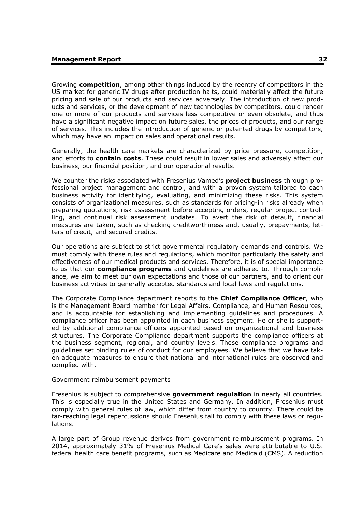Growing **competition**, among other things induced by the reentry of competitors in the US market for generic IV drugs after production halts**,** could materially affect the future pricing and sale of our products and services adversely. The introduction of new products and services, or the development of new technologies by competitors, could render one or more of our products and services less competitive or even obsolete, and thus have a significant negative impact on future sales, the prices of products, and our range of services. This includes the introduction of generic or patented drugs by competitors, which may have an impact on sales and operational results.

Generally, the health care markets are characterized by price pressure, competition, and efforts to **contain costs**. These could result in lower sales and adversely affect our business, our financial position, and our operational results.

We counter the risks associated with Fresenius Vamed's **project business** through professional project management and control, and with a proven system tailored to each business activity for identifying, evaluating, and minimizing these risks. This system consists of organizational measures, such as standards for pricing-in risks already when preparing quotations, risk assessment before accepting orders, regular project controlling, and continual risk assessment updates. To avert the risk of default, financial measures are taken, such as checking creditworthiness and, usually, prepayments, letters of credit, and secured credits.

Our operations are subject to strict governmental regulatory demands and controls. We must comply with these rules and regulations, which monitor particularly the safety and effectiveness of our medical products and services. Therefore, it is of special importance to us that our **compliance programs** and guidelines are adhered to. Through compliance, we aim to meet our own expectations and those of our partners, and to orient our business activities to generally accepted standards and local laws and regulations.

The Corporate Compliance department reports to the **Chief Compliance Officer**, who is the Management Board member for Legal Affairs, Compliance, and Human Resources, and is accountable for establishing and implementing guidelines and procedures. A compliance officer has been appointed in each business segment. He or she is supported by additional compliance officers appointed based on organizational and business structures. The Corporate Compliance department supports the compliance officers at the business segment, regional, and country levels. These compliance programs and guidelines set binding rules of conduct for our employees. We believe that we have taken adequate measures to ensure that national and international rules are observed and complied with.

# Government reimbursement payments

Fresenius is subject to comprehensive **government regulation** in nearly all countries. This is especially true in the United States and Germany. In addition, Fresenius must comply with general rules of law, which differ from country to country. There could be far-reaching legal repercussions should Fresenius fail to comply with these laws or regulations.

A large part of Group revenue derives from government reimbursement programs. In 2014, approximately 31% of Fresenius Medical Care's sales were attributable to U.S. federal health care benefit programs, such as Medicare and Medicaid (CMS). A reduction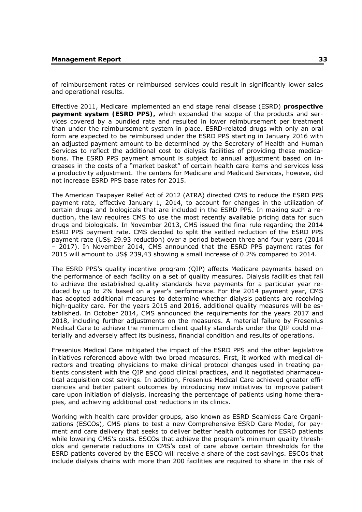of reimbursement rates or reimbursed services could result in significantly lower sales and operational results.

Effective 2011, Medicare implemented an end stage renal disease (ESRD) **prospective payment system (ESRD PPS),** which expanded the scope of the products and services covered by a bundled rate and resulted in lower reimbursement per treatment than under the reimbursement system in place. ESRD-related drugs with only an oral form are expected to be reimbursed under the ESRD PPS starting in January 2016 with an adjusted payment amount to be determined by the Secretary of Health and Human Services to reflect the additional cost to dialysis facilities of providing these medications. The ESRD PPS payment amount is subject to annual adjustment based on increases in the costs of a "market basket" of certain health care items and services less a productivity adjustment. The centers for Medicare and Medicaid Services, howeve, did not increase ESRD PPS base rates for 2015.

The American Taxpayer Relief Act of 2012 (ATRA) directed CMS to reduce the ESRD PPS payment rate, effective January 1, 2014, to account for changes in the utilization of certain drugs and biologicals that are included in the ESRD PPS. In making such a reduction, the law requires CMS to use the most recently available pricing data for such drugs and biologicals. In November 2013, CMS issued the final rule regarding the 2014 ESRD PPS payment rate. CMS decided to split the settled reduction of the ESRD PPS payment rate (US\$ 29.93 reduction) over a period between three and four years (2014 – 2017). In November 2014, CMS announced that the ESRD PPS payment rates for 2015 will amount to US\$ 239,43 showing a small increase of 0.2% compared to 2014.

The ESRD PPS's quality incentive program (QIP) affects Medicare payments based on the performance of each facility on a set of quality measures. Dialysis facilities that fail to achieve the established quality standards have payments for a particular year reduced by up to 2% based on a year's performance. For the 2014 payment year, CMS has adopted additional measures to determine whether dialysis patients are receiving high-quality care. For the years 2015 and 2016, additional quality measures will be established. In October 2014, CMS announced the requirements for the years 2017 and 2018, including further adjustments on the measures. A material failure by Fresenius Medical Care to achieve the minimum client quality standards under the QIP could materially and adversely affect its business, financial condition and results of operations.

Fresenius Medical Care mitigated the impact of the ESRD PPS and the other legislative initiatives referenced above with two broad measures. First, it worked with medical directors and treating physicians to make clinical protocol changes used in treating patients consistent with the QIP and good clinical practices, and it negotiated pharmaceutical acquisition cost savings. In addition, Fresenius Medical Care achieved greater efficiencies and better patient outcomes by introducing new initiatives to improve patient care upon initiation of dialysis, increasing the percentage of patients using home therapies, and achieving additional cost reductions in its clinics.

Working with health care provider groups, also known as ESRD Seamless Care Organizations (ESCOs), CMS plans to test a new Comprehensive ESRD Care Model, for payment and care delivery that seeks to deliver better health outcomes for ESRD patients while lowering CMS's costs. ESCOs that achieve the program's minimum quality thresholds and generate reductions in CMS's cost of care above certain thresholds for the ESRD patients covered by the ESCO will receive a share of the cost savings. ESCOs that include dialysis chains with more than 200 facilities are required to share in the risk of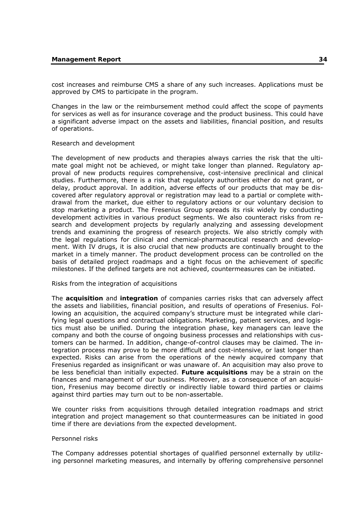cost increases and reimburse CMS a share of any such increases. Applications must be approved by CMS to participate in the program.

Changes in the law or the reimbursement method could affect the scope of payments for services as well as for insurance coverage and the product business. This could have a significant adverse impact on the assets and liabilities, financial position, and results of operations.

# Research and development

The development of new products and therapies always carries the risk that the ultimate goal might not be achieved, or might take longer than planned. Regulatory approval of new products requires comprehensive, cost-intensive preclinical and clinical studies. Furthermore, there is a risk that regulatory authorities either do not grant, or delay, product approval. In addition, adverse effects of our products that may be discovered after regulatory approval or registration may lead to a partial or complete withdrawal from the market, due either to regulatory actions or our voluntary decision to stop marketing a product. The Fresenius Group spreads its risk widely by conducting development activities in various product segments. We also counteract risks from research and development projects by regularly analyzing and assessing development trends and examining the progress of research projects. We also strictly comply with the legal regulations for clinical and chemical-pharmaceutical research and development. With IV drugs, it is also crucial that new products are continually brought to the market in a timely manner. The product development process can be controlled on the basis of detailed project roadmaps and a tight focus on the achievement of specific milestones. If the defined targets are not achieved, countermeasures can be initiated.

# Risks from the integration of acquisitions

The **acquisition** and **integration** of companies carries risks that can adversely affect the assets and liabilities, financial position, and results of operations of Fresenius. Following an acquisition, the acquired company's structure must be integrated while clarifying legal questions and contractual obligations. Marketing, patient services, and logistics must also be unified. During the integration phase, key managers can leave the company and both the course of ongoing business processes and relationships with customers can be harmed. In addition, change-of-control clauses may be claimed. The integration process may prove to be more difficult and cost-intensive, or last longer than expected. Risks can arise from the operations of the newly acquired company that Fresenius regarded as insignificant or was unaware of. An acquisition may also prove to be less beneficial than initially expected. **Future acquisitions** may be a strain on the finances and management of our business. Moreover, as a consequence of an acquisition, Fresenius may become directly or indirectly liable toward third parties or claims against third parties may turn out to be non-assertable.

We counter risks from acquisitions through detailed integration roadmaps and strict integration and project management so that countermeasures can be initiated in good time if there are deviations from the expected development.

# Personnel risks

The Company addresses potential shortages of qualified personnel externally by utilizing personnel marketing measures, and internally by offering comprehensive personnel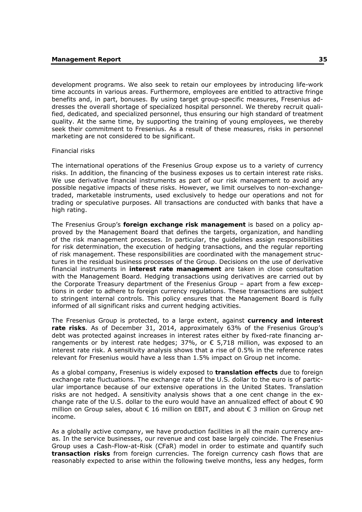development programs. We also seek to retain our employees by introducing life-work time accounts in various areas. Furthermore, employees are entitled to attractive fringe benefits and, in part, bonuses. By using target group-specific measures, Fresenius addresses the overall shortage of specialized hospital personnel. We thereby recruit qualified, dedicated, and specialized personnel, thus ensuring our high standard of treatment quality. At the same time, by supporting the training of young employees, we thereby seek their commitment to Fresenius. As a result of these measures, risks in personnel marketing are not considered to be significant.

# Financial risks

The international operations of the Fresenius Group expose us to a variety of currency risks. In addition, the financing of the business exposes us to certain interest rate risks. We use derivative financial instruments as part of our risk management to avoid any possible negative impacts of these risks. However, we limit ourselves to non-exchangetraded, marketable instruments, used exclusively to hedge our operations and not for trading or speculative purposes. All transactions are conducted with banks that have a high rating.

The Fresenius Group's **foreign exchange risk management** is based on a policy approved by the Management Board that defines the targets, organization, and handling of the risk management processes. In particular, the guidelines assign responsibilities for risk determination, the execution of hedging transactions, and the regular reporting of risk management. These responsibilities are coordinated with the management structures in the residual business processes of the Group. Decisions on the use of derivative financial instruments in **interest rate management** are taken in close consultation with the Management Board. Hedging transactions using derivatives are carried out by the Corporate Treasury department of the Fresenius Group – apart from a few exceptions in order to adhere to foreign currency regulations. These transactions are subject to stringent internal controls. This policy ensures that the Management Board is fully informed of all significant risks and current hedging activities.

The Fresenius Group is protected, to a large extent, against **currency and interest rate risks**. As of December 31, 2014, approximately 63% of the Fresenius Group's debt was protected against increases in interest rates either by fixed-rate financing arrangements or by interest rate hedges;  $37\%$ , or  $\epsilon$  5,718 million, was exposed to an interest rate risk. A sensitivity analysis shows that a rise of 0.5% in the reference rates relevant for Fresenius would have a less than 1.5% impact on Group net income.

As a global company, Fresenius is widely exposed to **translation effects** due to foreign exchange rate fluctuations. The exchange rate of the U.S. dollar to the euro is of particular importance because of our extensive operations in the United States. Translation risks are not hedged. A sensitivity analysis shows that a one cent change in the exchange rate of the U.S. dollar to the euro would have an annualized effect of about  $\epsilon$  90 million on Group sales, about  $\epsilon$  16 million on EBIT, and about  $\epsilon$  3 million on Group net income.

As a globally active company, we have production facilities in all the main currency areas. In the service businesses, our revenue and cost base largely coincide. The Fresenius Group uses a Cash-Flow-at-Risk (CFaR) model in order to estimate and quantify such **transaction risks** from foreign currencies. The foreign currency cash flows that are reasonably expected to arise within the following twelve months, less any hedges, form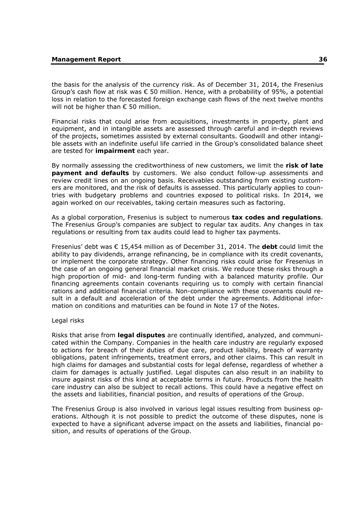the basis for the analysis of the currency risk. As of December 31, 2014, the Fresenius Group's cash flow at risk was  $\epsilon$  50 million. Hence, with a probability of 95%, a potential loss in relation to the forecasted foreign exchange cash flows of the next twelve months will not be higher than  $\epsilon$  50 million.

Financial risks that could arise from acquisitions, investments in property, plant and equipment, and in intangible assets are assessed through careful and in-depth reviews of the projects, sometimes assisted by external consultants. Goodwill and other intangible assets with an indefinite useful life carried in the Group's consolidated balance sheet are tested for **impairment** each year.

By normally assessing the creditworthiness of new customers, we limit the **risk of late payment and defaults** by customers. We also conduct follow-up assessments and review credit lines on an ongoing basis. Receivables outstanding from existing customers are monitored, and the risk of defaults is assessed. This particularly applies to countries with budgetary problems and countries exposed to political risks. In 2014, we again worked on our receivables, taking certain measures such as factoring.

As a global corporation, Fresenius is subject to numerous **tax codes and regulations**. The Fresenius Group's companies are subject to regular tax audits. Any changes in tax regulations or resulting from tax audits could lead to higher tax payments.

Fresenius' debt was € 15,454 million as of December 31, 2014. The **debt** could limit the ability to pay dividends, arrange refinancing, be in compliance with its credit covenants, or implement the corporate strategy. Other financing risks could arise for Fresenius in the case of an ongoing general financial market crisis. We reduce these risks through a high proportion of mid- and long-term funding with a balanced maturity profile. Our financing agreements contain covenants requiring us to comply with certain financial rations and additional financial criteria. Non-compliance with these covenants could result in a default and acceleration of the debt under the agreements. Additional information on conditions and maturities can be found in Note 17 of the Notes.

# Legal risks

Risks that arise from **legal disputes** are continually identified, analyzed, and communicated within the Company. Companies in the health care industry are regularly exposed to actions for breach of their duties of due care, product liability, breach of warranty obligations, patent infringements, treatment errors, and other claims. This can result in high claims for damages and substantial costs for legal defense, regardless of whether a claim for damages is actually justified. Legal disputes can also result in an inability to insure against risks of this kind at acceptable terms in future. Products from the health care industry can also be subject to recall actions. This could have a negative effect on the assets and liabilities, financial position, and results of operations of the Group.

The Fresenius Group is also involved in various legal issues resulting from business operations. Although it is not possible to predict the outcome of these disputes, none is expected to have a significant adverse impact on the assets and liabilities, financial position, and results of operations of the Group.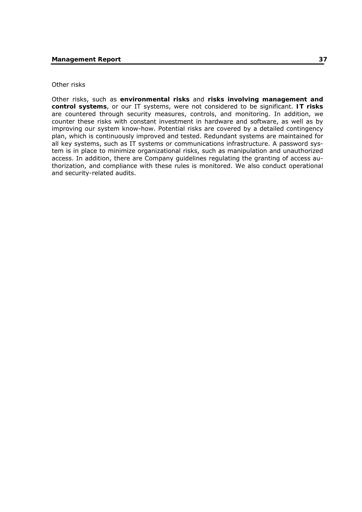# Other risks

Other risks, such as **environmental risks** and **risks involving management and control systems**, or our IT systems, were not considered to be significant. **IT risks**  are countered through security measures, controls, and monitoring. In addition, we counter these risks with constant investment in hardware and software, as well as by improving our system know-how. Potential risks are covered by a detailed contingency plan, which is continuously improved and tested. Redundant systems are maintained for all key systems, such as IT systems or communications infrastructure. A password system is in place to minimize organizational risks, such as manipulation and unauthorized access. In addition, there are Company guidelines regulating the granting of access authorization, and compliance with these rules is monitored. We also conduct operational and security-related audits.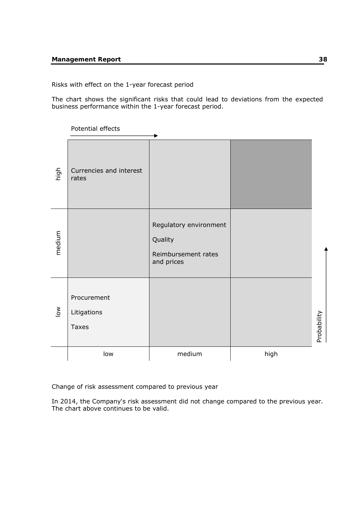# Risks with effect on the 1-year forecast period

The chart shows the significant risks that could lead to deviations from the expected business performance within the 1-year forecast period.

Potential effects

| high                      | Currencies and interest<br>rates           |                                                                        |      |             |
|---------------------------|--------------------------------------------|------------------------------------------------------------------------|------|-------------|
| medium                    |                                            | Regulatory environment<br>Quality<br>Reimbursement rates<br>and prices |      |             |
| $\overline{\mathsf{low}}$ | Procurement<br>Litigations<br><b>Taxes</b> |                                                                        |      | Probability |
|                           | low                                        | medium                                                                 | high |             |

Change of risk assessment compared to previous year

In 2014, the Company's risk assessment did not change compared to the previous year. The chart above continues to be valid.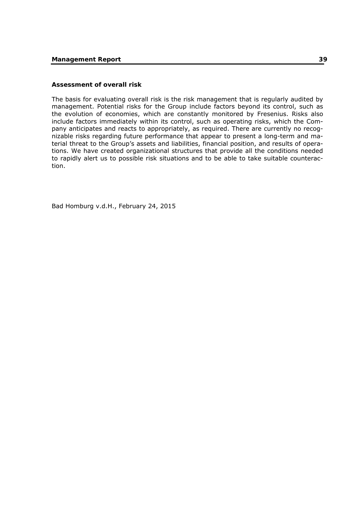# **Assessment of overall risk**

The basis for evaluating overall risk is the risk management that is regularly audited by management. Potential risks for the Group include factors beyond its control, such as the evolution of economies, which are constantly monitored by Fresenius. Risks also include factors immediately within its control, such as operating risks, which the Company anticipates and reacts to appropriately, as required. There are currently no recognizable risks regarding future performance that appear to present a long-term and material threat to the Group's assets and liabilities, financial position, and results of operations. We have created organizational structures that provide all the conditions needed to rapidly alert us to possible risk situations and to be able to take suitable counteraction.

Bad Homburg v.d.H., February 24, 2015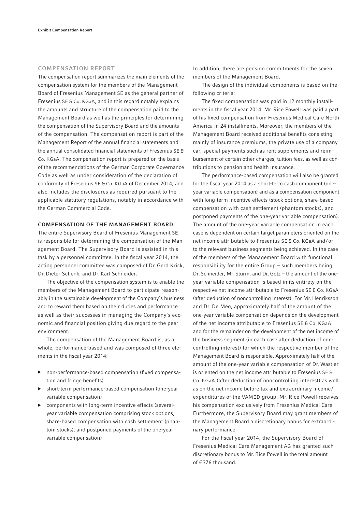### COMPENSATION REPORT

The compensation report summarizes the main elements of the compensation system for the members of the Management Board of Fresenius Management SE as the general partner of Fresenius SE & Co. KGaA, and in this regard notably explains the amounts and structure of the compensation paid to the Management Board as well as the principles for determining the compensation of the Supervisory Board and the amounts of the compensation. The compensation report is part of the Management Report of the annual financial statements and the annual consolidated financial statements of Fresenius SE & Co. KGaA. The compensation report is prepared on the basis of the recommendations of the German Corporate Governance Code as well as under consideration of the declaration of conformity of Fresenius SE & Co. KGaA of December 2014, and also includes the disclosures as required pursuant to the applicable statutory regulations, notably in accordance with the German Commercial Code.

## COMPENSATION OF THE MANAGEMENT BOARD

The entire Supervisory Board of Fresenius Management SE is responsible for determining the compensation of the Management Board. The Supervisory Board is assisted in this task by a personnel committee. In the fiscal year 2014, the acting personnel committee was composed of Dr. Gerd Krick, Dr. Dieter Schenk, and Dr. Karl Schneider.

The objective of the compensation system is to enable the members of the Management Board to participate reasonably in the sustainable development of the Company's business and to reward them based on their duties and performance as well as their successes in managing the Company's economic and financial position giving due regard to the peer environment.

The compensation of the Management Board is, as a whole, performance-based and was composed of three elements in the fiscal year 2014:

- ▶ non-performance-based compensation (fixed compensation and fringe benefits)
- short-term performance-based compensation (one-year variable compensation)
- ▶ components with long-term incentive effects (severalyear variable compensation comprising stock options, share-based compensation with cash settlement (phantom stocks), and postponed payments of the one-year variable compensation)

In addition, there are pension commitments for the seven members of the Management Board.

The design of the individual components is based on the following criteria:

The fixed compensation was paid in 12 monthly installments in the fiscal year 2014. Mr. Rice Powell was paid a part of his fixed compensation from Fresenius Medical Care North America in 24 installments. Moreover, the members of the Management Board received additional benefits consisting mainly of insurance premiums, the private use of a company car, special payments such as rent supplements and reimbursement of certain other charges, tuition fees, as well as contributions to pension and health insurance.

The performance-based compensation will also be granted for the fiscal year 2014 as a short-term cash component (oneyear variable compensation) and as a compensation component with long-term incentive effects (stock options, share-based compensation with cash settlement (phantom stocks), and postponed payments of the one-year variable compensation). The amount of the one-year variable compensation in each case is dependent on certain target parameters oriented on the net income attributable to Fresenius SE & Co. KGaA and / or to the relevant business segments being achieved. In the case of the members of the Management Board with functional responsibility for the entire Group – such members being Dr. Schneider, Mr. Sturm, and Dr. Götz – the amount of the oneyear variable compensation is based in its entirety on the respective net income attributable to Fresenius SE & Co. KGaA (after deduction of noncontrolling interest). For Mr. Henriksson and Dr. De Meo, approximately half of the amount of the one-year variable compensation depends on the development of the net income attributable to Fresenius SE & Co. KGaA and for the remainder on the development of the net income of the business segment (in each case after deduction of noncontrolling interest) for which the respective member of the Management Board is responsible. Approximately half of the amount of the one-year variable compensation of Dr. Wastler is oriented on the net income attributable to Fresenius SE & Co. KGaA (after deduction of noncontrolling interest) as well as on the net income before tax and extraordinary income / expenditures of the VAMED group. Mr. Rice Powell receives his compensation exclusively from Fresenius Medical Care. Furthermore, the Supervisory Board may grant members of the Management Board a discretionary bonus for extraordinary performance.

For the fiscal year 2014, the Supervisory Board of Fresenius Medical Care Management AG has granted such discretionary bonus to Mr. Rice Powell in the total amount of €376 thousand.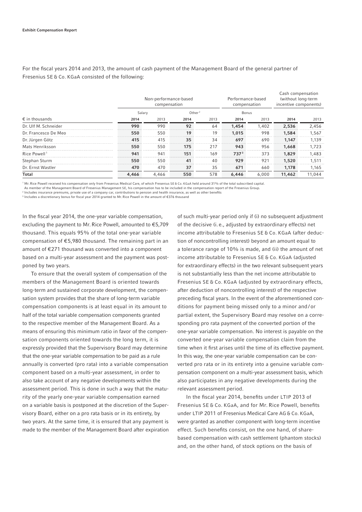For the fiscal years 2014 and 2013, the amount of cash payment of the Management Board of the general partner of Fresenius SE & Co. KGaA consisted of the following:

|                          |       | Non-performance-based<br>compensation |      | Performance-based<br>compensation |       | Cash compensation<br>(without long-term<br>incentive components) |        |        |
|--------------------------|-------|---------------------------------------|------|-----------------------------------|-------|------------------------------------------------------------------|--------|--------|
|                          |       | Salary                                |      |                                   | Bonus |                                                                  |        |        |
| $\epsilon$ in thousands  | 2014  | 2013                                  | 2014 | 2013                              | 2014  | 2013                                                             | 2014   | 2013   |
| Dr. Ulf M. Schneider     | 990   | 990                                   | 92   | 64                                | 1,454 | 1,402                                                            | 2,536  | 2,456  |
| Dr. Francesco De Meo     | 550   | 550                                   | 19   | 19                                | 1,015 | 998                                                              | 1,584  | 1,567  |
| Dr. Jürgen Götz          | 415   | 415                                   | 35   | 34                                | 697   | 690                                                              | 1.147  | 1.139  |
| Mats Henriksson          | 550   | 550                                   | 175  | 217                               | 943   | 956                                                              | 1,668  | 1.723  |
| Rice Powell <sup>1</sup> | 941   | 941                                   | 151  | 169                               | 7373  | 373                                                              | 1,829  | 1.483  |
| Stephan Sturm            | 550   | 550                                   | 41   | 40                                | 929   | 921                                                              | 1,520  | 1,511  |
| Dr. Ernst Wastler        | 470   | 470                                   | 37   | 35                                | 671   | 660                                                              | 1.178  | 1,165  |
| Total                    | 4,466 | 4,466                                 | 550  | 578                               | 6,446 | 6.000                                                            | 11,462 | 11,044 |

1 Mr. Rice Powell received his compensation only from Fresenius Medical Care, of which Fresenius SE & Co. KGaA held around 31% of the total subscribed capital.

As member of the Management Board of Fresenius Management SE, his compensation has to be included in the compensation report of the Fresenius Group.

<sup>2</sup> Includes insurance premiums, private use of a company car, contributions to pension and health insurance, as well as other benefits

<sup>3</sup> Includes a discretionary bonus for fiscal year 2014 granted to Mr. Rice Powell in the amount of €376 thousand

In the fiscal year 2014, the one-year variable compensation, excluding the payment to Mr. Rice Powell, amounted to  $E$ 5,709 thousand. This equals 95% of the total one-year variable compensation of  $E$ 5,980 thousand. The remaining part in an amount of € 271 thousand was converted into a component based on a multi-year assessment and the payment was postponed by two years.

To ensure that the overall system of compensation of the members of the Management Board is oriented towards long-term and sustained corporate development, the compensation system provides that the share of long-term variable compensation components is at least equal in its amount to half of the total variable compensation components granted to the respective member of the Management Board. As a means of ensuring this minimum ratio in favor of the compensation components oriented towards the long term, it is expressly provided that the Supervisory Board may determine that the one-year variable compensation to be paid as a rule annually is converted (pro rata) into a variable compensation component based on a multi-year assessment, in order to also take account of any negative developments within the assessment period. This is done in such a way that the maturity of the yearly one-year variable compensation earned on a variable basis is postponed at the discretion of the Supervisory Board, either on a pro rata basis or in its entirety, by two years. At the same time, it is ensured that any payment is made to the member of the Management Board after expiration of such multi-year period only if (i) no subsequent adjustment of the decisive (i. e., adjusted by extraordinary effects) net income attributable to Fresenius SE & Co. KGaA (after deduction of noncontrolling interest) beyond an amount equal to a tolerance range of 10% is made, and (ii) the amount of net income attributable to Fresenius SE & Co. KGaA (adjusted for extraordinary effects) in the two relevant subsequent years is not substantially less than the net income attributable to Fresenius SE & Co. KGaA (adjusted by extraordinary effects, after deduction of noncontrolling interest) of the respective preceding fiscal years. In the event of the aforementioned conditions for payment being missed only to a minor and / or partial extent, the Supervisory Board may resolve on a corresponding pro rata payment of the converted portion of the one-year variable compensation. No interest is payable on the converted one-year variable compensation claim from the time when it first arises until the time of its effective payment. In this way, the one-year variable compensation can be converted pro rata or in its entirety into a genuine variable compensation component on a multi-year assessment basis, which also participates in any negative developments during the relevant assessment period.

In the fiscal year 2014, benefits under LTIP 2013 of Fresenius SE & Co. KGaA, and for Mr. Rice Powell, benefits under LTIP 2011 of Fresenius Medical Care AG & Co. KGaA, were granted as another component with long-term incentive effect. Such benefits consist, on the one hand, of sharebased compensation with cash settlement (phantom stocks) and, on the other hand, of stock options on the basis of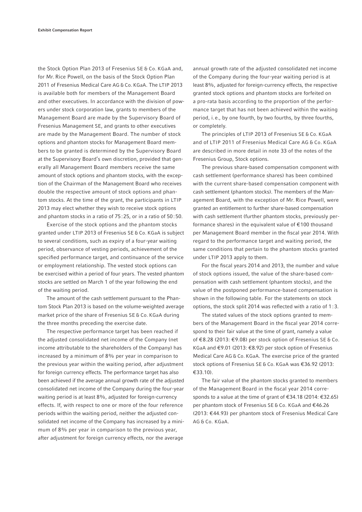the Stock Option Plan 2013 of Fresenius SE & Co. KGaA and, for Mr. Rice Powell, on the basis of the Stock Option Plan 2011 of Fresenius Medical Care AG & Co. KGaA. The LTIP 2013 is available both for members of the Management Board and other executives. In accordance with the division of powers under stock corporation law, grants to members of the Management Board are made by the Supervisory Board of Fresenius Management SE, and grants to other executives are made by the Management Board. The number of stock options and phantom stocks for Management Board members to be granted is determined by the Supervisory Board at the Supervisory Board's own discretion, provided that generally all Management Board members receive the same amount of stock options and phantom stocks, with the exception of the Chairman of the Management Board who receives double the respective amount of stock options and phantom stocks. At the time of the grant, the participants in LTIP 2013 may elect whether they wish to receive stock options and phantom stocks in a ratio of 75 : 25, or in a ratio of 50 : 50.

Exercise of the stock options and the phantom stocks granted under LTIP 2013 of Fresenius SE & Co. KGaA is subject to several conditions, such as expiry of a four-year waiting period, observance of vesting periods, achievement of the specified performance target, and continuance of the service or employment relationship. The vested stock options can be exercised within a period of four years. The vested phantom stocks are settled on March 1 of the year following the end of the waiting period.

The amount of the cash settlement pursuant to the Phantom Stock Plan 2013 is based on the volume-weighted average market price of the share of Fresenius SE & Co. KGaA during the three months preceding the exercise date.

The respective performance target has been reached if the adjusted consolidated net income of the Company (net income attributable to the shareholders of the Company) has increased by a minimum of  $8\%$  per year in comparison to the previous year within the waiting period, after adjustment for foreign currency effects. The performance target has also been achieved if the average annual growth rate of the adjusted consolidated net income of the Company during the four-year waiting period is at least 8%, adjusted for foreign-currency effects. If, with respect to one or more of the four reference periods within the waiting period, neither the adjusted consolidated net income of the Company has increased by a minimum of 8% per year in comparison to the previous year, after adjustment for foreign currency effects, nor the average

annual growth rate of the adjusted consolidated net income of the Company during the four-year waiting period is at least 8%, adjusted for foreign-currency effects, the respective granted stock options and phantom stocks are forfeited on a pro-rata basis according to the proportion of the performance target that has not been achieved within the waiting period, i. e., by one fourth, by two fourths, by three fourths, or completely.

The principles of LTIP 2013 of Fresenius SE & Co. KGaA and of LTIP 2011 of Fresenius Medical Care AG & Co. KGaA are described in more detail in note 33 of the notes of the Fresenius Group, Stock options.

The previous share-based compensation component with cash settlement (performance shares) has been combined with the current share-based compensation component with cash settlement (phantom stocks). The members of the Management Board, with the exception of Mr. Rice Powell, were granted an entitlement to further share-based compensation with cash settlement (further phantom stocks, previously performance shares) in the equivalent value of € 100 thousand per Management Board member in the fiscal year 2014. With regard to the performance target and waiting period, the same conditions that pertain to the phantom stocks granted under LTIP 2013 apply to them.

For the fiscal years 2014 and 2013, the number and value of stock options issued, the value of the share-based compensation with cash settlement (phantom stocks), and the value of the postponed performance-based compensation is shown in the following table. For the statements on stock options, the stock split 2014 was reflected with a ratio of  $1:3$ .

The stated values of the stock options granted to members of the Management Board in the fiscal year 2014 correspond to their fair value at the time of grant, namely a value of € 8.28 (2013: € 9.08) per stock option of Fresenius SE & Co. KGaA and €9.01 (2013: €8.92) per stock option of Fresenius Medical Care AG & Co. KGaA. The exercise price of the granted stock options of Fresenius SE & Co. KGaA was €36.92 (2013:  $€33.10$ ).

The fair value of the phantom stocks granted to members of the Management Board in the fiscal year 2014 corresponds to a value at the time of grant of €34.18 (2014: €32.65) per phantom stock of Fresenius SE & Co. KGaA and €46.26 (2013: € 44.93) per phantom stock of Fresenius Medical Care AG & Co. KGaA.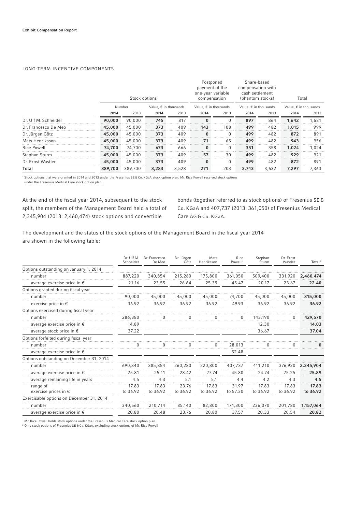## LONG-TERM INCENTIVE COMPONENTS

|                      |         | Stock options <sup>1</sup> |                                |       | Postponed<br>payment of the<br>one-year variable<br>compensation |          | Share-based<br>compensation with<br>cash settlement<br>(phantom stocks) |       | Total<br>Value, $\epsilon$ in thousands |       |  |
|----------------------|---------|----------------------------|--------------------------------|-------|------------------------------------------------------------------|----------|-------------------------------------------------------------------------|-------|-----------------------------------------|-------|--|
|                      |         | Number                     | Value, $\epsilon$ in thousands |       | Value, $\epsilon$ in thousands                                   |          | Value, $\epsilon$ in thousands                                          |       |                                         |       |  |
|                      | 2014    | 2013                       | 2014                           | 2013  | 2014                                                             | 2013     | 2014                                                                    | 2013  | 2014                                    | 2013  |  |
| Dr. Ulf M. Schneider | 90,000  | 90.000                     | 745                            | 817   | $\bf{0}$                                                         | $\Omega$ | 897                                                                     | 864   | 1,642                                   | 1,681 |  |
| Dr. Francesco De Meo | 45,000  | 45,000                     | 373                            | 409   | 143                                                              | 108      | 499                                                                     | 482   | 1,015                                   | 999   |  |
| Dr. Jürgen Götz      | 45,000  | 45,000                     | 373                            | 409   | $\Omega$                                                         | $\Omega$ | 499                                                                     | 482   | 872                                     | 891   |  |
| Mats Henriksson      | 45,000  | 45,000                     | 373                            | 409   | 71                                                               | 65       | 499                                                                     | 482   | 943                                     | 956   |  |
| Rice Powell          | 74,700  | 74,700                     | 673                            | 666   | $\bf{0}$                                                         | $\Omega$ | 351                                                                     | 358   | 1.024                                   | 1.024 |  |
| Stephan Sturm        | 45,000  | 45,000                     | 373                            | 409   | 57                                                               | 30       | 499                                                                     | 482   | 929                                     | 921   |  |
| Dr. Ernst Wastler    | 45,000  | 45,000                     | 373                            | 409   | $\bf{0}$                                                         | $\Omega$ | 499                                                                     | 482   | 872                                     | 891   |  |
| Total                | 389,700 | 389.700                    | 3,283                          | 3,528 | 271                                                              | 203      | 3,743                                                                   | 3,632 | 7,297                                   | 7,363 |  |

1 Stock options that were granted in 2014 and 2013 under the Fresenius SE & Co. KGaA stock option plan. Mr. Rice Powell received stock options

under the Fresenius Medical Care stock option plan.

At the end of the fiscal year 2014, subsequent to the stock split, the members of the Management Board held a total of 2,345,904 (2013: 2,460,474) stock options and convertible

bonds (together referred to as stock options) of Fresenius SE & Co. KGaA and 407,737 (2013: 361,050) of Fresenius Medical Care AG & Co. KGaA.

The development and the status of the stock options of the Management Board in the fiscal year 2014 are shown in the following table:

|                                           | Dr. Ulf M.<br>Schneider | Dr. Francesco<br>De Meo | Dr. Jürgen<br>Götz | Mats<br>Henriksson | Rice<br>Powell <sup>1</sup> | Stephan<br>Sturm  | Dr. Ernst<br>Wastler | Total <sup>2</sup> |
|-------------------------------------------|-------------------------|-------------------------|--------------------|--------------------|-----------------------------|-------------------|----------------------|--------------------|
| Options outstanding on January 1, 2014    |                         |                         |                    |                    |                             |                   |                      |                    |
| number                                    | 887,220                 | 340,854                 | 215,280            | 175,800            | 361.050                     | 509,400           | 331,920              | 2,460,474          |
| average exercise price in $\epsilon$      | 21.16                   | 23.55                   | 26.64              | 25.39              | 45.47                       | 20.17             | 23.67                | 22.40              |
| Options granted during fiscal year        |                         |                         |                    |                    |                             |                   |                      |                    |
| number                                    | 90.000                  | 45,000                  | 45,000             | 45,000             | 74,700                      | 45,000            | 45,000               | 315,000            |
| exercise price in $\epsilon$              | 36.92                   | 36.92                   | 36.92              | 36.92              | 49.93                       | 36.92             | 36.92                | 36.92              |
| Options exercised during fiscal year      |                         |                         |                    |                    |                             |                   |                      |                    |
| number                                    | 286,380                 |                         | n                  |                    | 0                           | 143.190           |                      | 429,570            |
| average exercise price in $\epsilon$      | 14.89                   |                         |                    |                    |                             | 12.30             |                      | 14.03              |
| average stock price in $\epsilon$         | 37.22                   |                         |                    |                    |                             | 36.67             |                      | 37.04              |
| Options forfeited during fiscal year      |                         |                         |                    |                    |                             |                   |                      |                    |
| number                                    |                         |                         |                    |                    | 28,013                      |                   |                      |                    |
| average exercise price in $\epsilon$      |                         |                         |                    |                    | 52.48                       |                   |                      |                    |
| Options outstanding on December 31, 2014  |                         |                         |                    |                    |                             |                   |                      |                    |
| number                                    | 690,840                 | 385,854                 | 260,280            | 220,800            | 407,737                     | 411,210           | 376,920              | 2,345,904          |
| average exercise price in $\epsilon$      | 25.81                   | 25.11                   | 28.42              | 27.74              | 45.80                       | 24.74             | 25.25                | 25.89              |
| average remaining life in years           | 4.5                     | 4.3                     | 5.1                | 5.1                | 4.4                         | 4.2               | 4.3                  | 4.5                |
| range of<br>exercise prices in $\epsilon$ | 17.83<br>to 36.92       | 17.83<br>to 36.92       | 23.76<br>to 36.92  | 17.83<br>to 36.92  | 31.97<br>to 57.30           | 17.83<br>to 36.92 | 17.83<br>to 36.92    | 17.83<br>to 36.92  |
| Exercisable options on December 31, 2014  |                         |                         |                    |                    |                             |                   |                      |                    |
| number                                    | 340,560                 | 210,714                 | 85,140             | 82,800             | 174,300                     | 236,070           | 201,780              | 1,157,064          |
| average exercise price in $\epsilon$      | 20.80                   | 20.48                   | 23.76              | 20.80              | 37.57                       | 20.33             | 20.54                | 20.82              |

1 Mr. Rice Powell holds stock options under the Fresenius Medical Care stock option plan.

2 Only stock options of Fresenius SE & Co. KGaA, excluding stock options of Mr. Rice Powell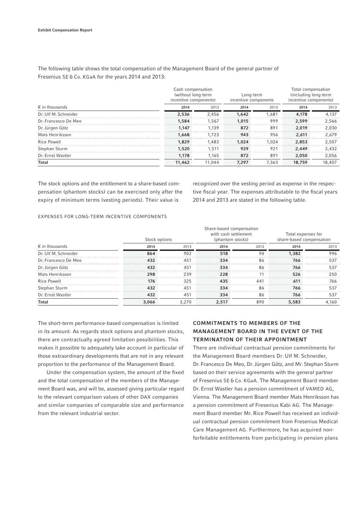The following table shows the total compensation of the Management Board of the general partner of Fresenius SE & Co. KGaA for the years 2014 and 2013:

|                         | Cash compensation<br>(without long-term<br>incentive components) |        | Long-term<br>incentive components |       | Total compensation<br>(including long-term<br>incentive components) |        |  |
|-------------------------|------------------------------------------------------------------|--------|-----------------------------------|-------|---------------------------------------------------------------------|--------|--|
| $\epsilon$ in thousands | 2014                                                             | 2013   | 2014                              | 2013  | 2014                                                                | 2013   |  |
| Dr. Ulf M. Schneider    | 2.536                                                            | 2.456  | 1.642                             | 1.681 | 4.178                                                               | 4.137  |  |
| Dr. Francesco De Meo    | 1.584                                                            | 1.567  | 1,015                             | 999   | 2.599                                                               | 2.566  |  |
| Dr. Jürgen Götz         | 1.147                                                            | 1.139  | 872                               | 891   | 2.019                                                               | 2.030  |  |
| Mats Henriksson         | 1,668                                                            | 1.723  | 943                               | 956   | 2.611                                                               | 2.679  |  |
| <b>Rice Powell</b>      | 1,829                                                            | 1.483  | 1.024                             | 1.024 | 2,853                                                               | 2.507  |  |
| Stephan Sturm           | 1,520                                                            | 1.511  | 929                               | 921   | 2.449                                                               | 2.432  |  |
| Dr. Ernst Wastler       | 1.178                                                            | 1.165  | 872                               | 891   | 2.050                                                               | 2,056  |  |
| Total                   | 11,462                                                           | 11.044 | 7.297                             | 7.363 | 18,759                                                              | 18,407 |  |

The stock options and the entitlement to a share-based compensation (phantom stocks) can be exercised only after the expiry of minimum terms (vesting periods). Their value is

recognized over the vesting period as expense in the respective fiscal year. The expenses attributable to the fiscal years 2014 and 2013 are stated in the following table.

## EXPENSES FOR LONG-TERM INCENTIVE COMPONENTS

|                         | Stock options |                 | Share-based compensation<br>with cash settlement<br>(phantom stocks) |                 | Total expenses for<br>share-based compensation |       |  |
|-------------------------|---------------|-----------------|----------------------------------------------------------------------|-----------------|------------------------------------------------|-------|--|
| $\epsilon$ in thousands | 2014          | 2013            | 2014                                                                 | 2013            | 2014                                           | 2013  |  |
| Dr. Ulf M. Schneider    | 864           | 902             | 518                                                                  | 94              | 1,382                                          | 996   |  |
| Dr. Francesco De Meo    | 432           | 45 <sup>′</sup> | 334                                                                  | 86              | 766                                            | 537   |  |
| Dr. Jürgen Götz         | 432           | 451             | 334                                                                  | 86              | 766                                            | 537   |  |
| Mats Henriksson         | 298           | 239             | 228                                                                  |                 | 526                                            | 250   |  |
| Rice Powell             | 176           | 325             | 435                                                                  | 44 <sup>°</sup> | 611                                            | 766   |  |
| Stephan Sturm           | 432           | 451             | 334                                                                  | 86              | 766                                            | 537   |  |
| Dr. Ernst Wastler       | 432           | 451             | 334                                                                  | 86              | 766                                            | 537   |  |
| Total                   | 3,066         | 3.270           | 2,517                                                                | 890             | 5,583                                          | 4.160 |  |

The short-term performance-based compensation is limited in its amount. As regards stock options and phantom stocks, there are contractually agreed limitation possibilities. This makes it possible to adequately take account in particular of those extraordinary developments that are not in any relevant proportion to the performance of the Management Board.

Under the compensation system, the amount of the fixed and the total compensation of the members of the Management Board was, and will be, assessed giving particular regard to the relevant comparison values of other DAX companies and similar companies of comparable size and performance from the relevant industrial sector.

# COMMITMENTS TO MEMBERS OF THE MANAGEMENT BOARD IN THE EVENT OF THE TERMINATION OF THEIR APPOINTMENT

There are individual contractual pension commitments for the Management Board members Dr. Ulf M. Schneider, Dr. Francesco De Meo, Dr. Jürgen Götz, and Mr. Stephan Sturm based on their service agreements with the general partner of Fresenius SE & Co. KGaA. The Management Board member Dr. Ernst Wastler has a pension commitment of VAMED AG, Vienna. The Management Board member Mats Henriksson has a pension commitment of Fresenius Kabi AG. The Management Board member Mr. Rice Powell has received an individual contractual pension commitment from Fresenius Medical Care Management AG. Furthermore, he has acquired nonforfeitable entitlements from participating in pension plans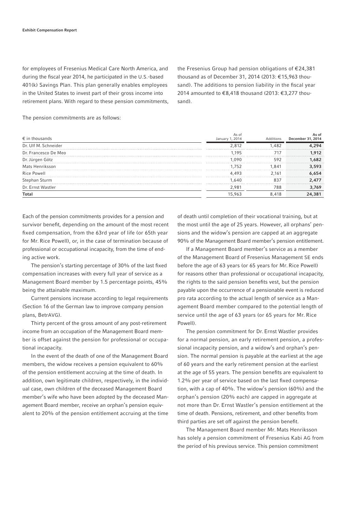for employees of Fresenius Medical Care North America, and during the fiscal year 2014, he participated in the U.S.-based 401(k) Savings Plan. This plan generally enables employees in the United States to invest part of their gross income into retirement plans. With regard to these pension commitments, the Fresenius Group had pension obligations of € 24,381 thousand as of December 31, 2014 (2013: € 15,963 thousand). The additions to pension liability in the fiscal year 2014 amounted to €8,418 thousand (2013: €3,277 thousand).

The pension commitments are as follows:

| $\epsilon$ in thousands | As of<br>January 1, 2014 | Additions | As of<br>December 31, 2014 |
|-------------------------|--------------------------|-----------|----------------------------|
| Dr. Ulf M. Schneider    | 2812                     | 482       | 294                        |
| Dr. Francesco De Meo    | 195                      | 717       | .912                       |
| Dr. Jürgen Götz         | 090                      | 592       | .682                       |
| Mats Henriksson         | 752                      | .841      | 3,593                      |
| Rice Powell             | 493                      | 2.161     | .654                       |
| Stephan Sturm           | 1.640                    | 837       | 2.477                      |
| Dr. Ernst Wastler       | 2.981                    | 788       | 3,769                      |
| <b>Total</b>            | 15,963                   | 8.418     | 24,381                     |

Each of the pension commitments provides for a pension and survivor benefit, depending on the amount of the most recent fixed compensation, from the 63rd year of life (or 65th year for Mr. Rice Powell), or, in the case of termination because of professional or occupational incapacity, from the time of ending active work.

The pension's starting percentage of 30% of the last fixed compensation increases with every full year of service as a Management Board member by 1.5 percentage points, 45% being the attainable maximum.

Current pensions increase according to legal requirements (Section 16 of the German law to improve company pension plans, BetrAVG).

Thirty percent of the gross amount of any post-retirement income from an occupation of the Management Board member is offset against the pension for professional or occupational incapacity.

In the event of the death of one of the Management Board members, the widow receives a pension equivalent to 60% of the pension entitlement accruing at the time of death. In addition, own legitimate children, respectively, in the individual case, own children of the deceased Management Board member's wife who have been adopted by the deceased Management Board member, receive an orphan's pension equivalent to 20% of the pension entitlement accruing at the time

of death until completion of their vocational training, but at the most until the age of 25 years. However, all orphans' pensions and the widow's pension are capped at an aggregate 90% of the Management Board member's pension entitlement.

If a Management Board member's service as a member of the Management Board of Fresenius Management SE ends before the age of 63 years (or 65 years for Mr. Rice Powell) for reasons other than professional or occupational incapacity, the rights to the said pension benefits vest, but the pension payable upon the occurrence of a pensionable event is reduced pro rata according to the actual length of service as a Management Board member compared to the potential length of service until the age of 63 years (or 65 years for Mr. Rice Powell).

The pension commitment for Dr. Ernst Wastler provides for a normal pension, an early retirement pension, a professional incapacity pension, and a widow's and orphan's pension. The normal pension is payable at the earliest at the age of 60 years and the early retirement pension at the earliest at the age of 55 years. The pension benefits are equivalent to 1.2% per year of service based on the last fixed compensation, with a cap of 40%. The widow's pension (60%) and the orphan's pension (20% each) are capped in aggregate at not more than Dr. Ernst Wastler's pension entitlement at the time of death. Pensions, retirement, and other benefits from third parties are set off against the pension benefit.

The Management Board member Mr. Mats Henriksson has solely a pension commitment of Fresenius Kabi AG from the period of his previous service. This pension commitment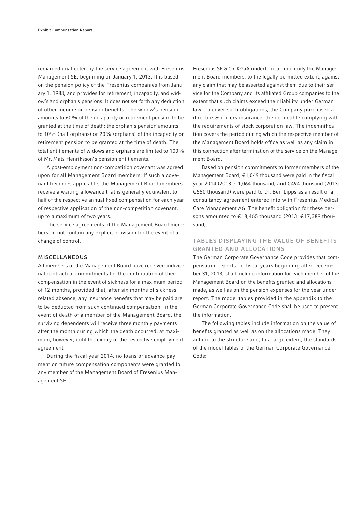remained unaffected by the service agreement with Fresenius Management SE, beginning on January 1, 2013. It is based on the pension policy of the Fresenius companies from January 1, 1988, and provides for retirement, incapacity, and widow's and orphan's pensions. It does not set forth any deduction of other income or pension benefits. The widow's pension amounts to 60% of the incapacity or retirement pension to be granted at the time of death; the orphan's pension amounts to 10% (half-orphans) or 20% (orphans) of the incapacity or retirement pension to be granted at the time of death. The total entitlements of widows and orphans are limited to 100% of Mr. Mats Henriksson's pension entitlements.

A post-employment non-competition covenant was agreed upon for all Management Board members. If such a covenant becomes applicable, the Management Board members receive a waiting allowance that is generally equivalent to half of the respective annual fixed compensation for each year of respective application of the non-competition covenant, up to a maximum of two years.

The service agreements of the Management Board members do not contain any explicit provision for the event of a change of control.

## MISCELLANEOUS

All members of the Management Board have received individual contractual commitments for the continuation of their compensation in the event of sickness for a maximum period of 12 months, provided that, after six months of sicknessrelated absence, any insurance benefits that may be paid are to be deducted from such continued compensation. In the event of death of a member of the Management Board, the surviving dependents will receive three monthly payments after the month during which the death occurred, at maximum, however, until the expiry of the respective employment agreement.

During the fiscal year 2014, no loans or advance payment on future compensation components were granted to any member of the Management Board of Fresenius Management SE.

Fresenius SE & Co. KGaA undertook to indemnify the Management Board members, to the legally permitted extent, against any claim that may be asserted against them due to their service for the Company and its affiliated Group companies to the extent that such claims exceed their liability under German law. To cover such obligations, the Company purchased a directors & officers insurance, the deductible complying with the requirements of stock corporation law. The indemnification covers the period during which the respective member of the Management Board holds office as well as any claim in this connection after termination of the service on the Management Board.

Based on pension commitments to former members of the Management Board,  $€1,049$  thousand were paid in the fiscal year 2014 (2013: € 1,064 thousand) and € 494 thousand (2013: € 550 thousand) were paid to Dr. Ben Lipps as a result of a consultancy agreement entered into with Fresenius Medical Care Management AG. The benefit obligation for these persons amounted to €18,465 thousand (2013: €17,389 thousand).

# TABLES DISPLAYING THE VALUE OF BENEFITS GRANTED AND ALLOCATIONS

The German Corporate Governance Code provides that compensation reports for fiscal years beginning after December 31, 2013, shall include information for each member of the Management Board on the benefits granted and allocations made, as well as on the pension expenses for the year under report. The model tables provided in the appendix to the German Corporate Governance Code shall be used to present the information.

The following tables include information on the value of benefits granted as well as on the allocations made. They adhere to the structure and, to a large extent, the standards of the model tables of the German Corporate Governance Code: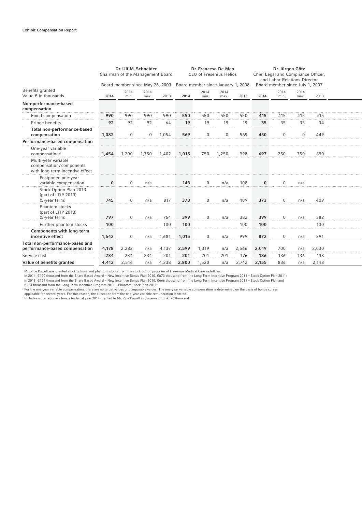|                                                                                   |          | Dr. Ulf M. Schneider<br>Chairman of the Management Board<br>Board member since May 28, 2003 |              |       | Dr. Franceso De Meo<br><b>CEO of Fresenius Helios</b><br>Board member since January 1, 2008 |              |              |       | Dr. Jürgen Götz<br>Chief Legal and Compliance Officer,<br>and Labor Relations Director<br>Board member since July 1, 2007 |              |              |       |  |
|-----------------------------------------------------------------------------------|----------|---------------------------------------------------------------------------------------------|--------------|-------|---------------------------------------------------------------------------------------------|--------------|--------------|-------|---------------------------------------------------------------------------------------------------------------------------|--------------|--------------|-------|--|
| Benefits granted<br>Value $\epsilon$ in thousands                                 | 2014     | 2014<br>min.                                                                                | 2014<br>max. | 2013  | 2014                                                                                        | 2014<br>min. | 2014<br>max. | 2013  | 2014                                                                                                                      | 2014<br>min. | 2014<br>max. | 2013  |  |
| Non-performance-based<br>compensation                                             |          |                                                                                             |              |       |                                                                                             |              |              |       |                                                                                                                           |              |              |       |  |
| Fixed compensation                                                                | 990      | 990                                                                                         | 990          | 990   | 550                                                                                         | 550          | 550          | 550   | 415                                                                                                                       | 415          | 415          | 415   |  |
| Fringe benefits                                                                   | 92       | 92                                                                                          | 92           | 64    | 19                                                                                          | 19           | 19           | 19    | 35                                                                                                                        | 35           | 35           | 34    |  |
| Total non-performance-based<br>compensation                                       | 1,082    | $\mathbf 0$                                                                                 | $\mathbf 0$  | 1,054 | 569                                                                                         | 0            | $\Omega$     | 569   | 450                                                                                                                       | $\Omega$     | $\mathbf 0$  | 449   |  |
| Performance-based compensation                                                    |          |                                                                                             |              |       |                                                                                             |              |              |       |                                                                                                                           |              |              |       |  |
| One-year variable<br>compensation <sup>2</sup>                                    | 1,454    | 1,200                                                                                       | 1,750        | 1,402 | 1,015                                                                                       | 750          | 1,250        | 998   | 697                                                                                                                       | 250          | 750          | 690   |  |
| Multi-year variable<br>compensation/components<br>with long-term incentive effect |          |                                                                                             |              |       |                                                                                             |              |              |       |                                                                                                                           |              |              |       |  |
| Postponed one-year<br>variable compensation                                       | $\bf{0}$ | $\Omega$                                                                                    | n/a          |       | 143                                                                                         | $\Omega$     | n/a          | 108   | $\bf{0}$                                                                                                                  | $\Omega$     | n/a          |       |  |
| Stock Option Plan 2013<br>(part of LTIP 2013)<br>(5-year term)                    | 745      | $\mathbf{0}$                                                                                | n/a          | 817   | 373                                                                                         | 0            | n/a          | 409   | 373                                                                                                                       | $\Omega$     | n/a          | 409   |  |
| Phantom stocks<br>(part of LTIP 2013)<br>(5-year term)                            | 797      | $\mathbf{0}$                                                                                | n/a          | 764   | 399                                                                                         | $\Omega$     | n/a          | 382   | 399                                                                                                                       | $\Omega$     | n/a          | 382   |  |
| Further phantom stocks                                                            | 100      |                                                                                             |              | 100   | 100                                                                                         |              |              | 100   | 100                                                                                                                       |              |              | 100   |  |
| Components with long-term<br>incentive effect                                     | 1,642    | 0                                                                                           | n/a          | 1,681 | 1,015                                                                                       | 0            | n/a          | 999   | 872                                                                                                                       | $\mathbf 0$  | n/a          | 891   |  |
| Total non-performance-based and<br>performance-based compensation                 | 4,178    | 2,282                                                                                       | n/a          | 4,137 | 2,599                                                                                       | 1,319        | n/a          | 2,566 | 2,019                                                                                                                     | 700          | n/a          | 2,030 |  |
| Service cost                                                                      | 234      | 234                                                                                         | 234          | 201   | 201                                                                                         | 201          | 201          | 176   | 136                                                                                                                       | 136          | 136          | 118   |  |
| Value of benefits granted                                                         | 4,412    | 2,516                                                                                       | n/a          | 4,338 | 2,800                                                                                       | 1,520        | n/a          | 2,742 | 2,155                                                                                                                     | 836          | n/a          | 2,148 |  |

1 Mr. Rice Powell was granted stock options and phantom stocks from the stock option program of Fresenius Medical Care as follows:

in 2014: €120 thousand from the Share Based Award – New Incentive Bonus Plan 2010, €673 thousand from the Long Term Incentive Program 2011 – Stock Option Plan 2011;<br>in 2013: €124 thousand from the Share Based Award – New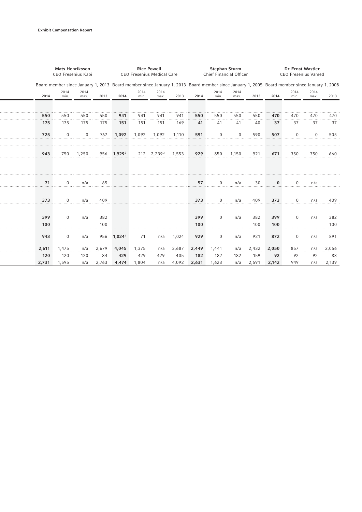|       | <b>Mats Henriksson</b><br>CEO Fresenius Kabi |              |       | <b>Rice Powell</b><br><b>CEO Fresenius Medical Care</b> |              |                        |       | <b>Stephan Sturm</b><br>Chief Financial Officer                                                                                             |              |              |       | Dr. Ernst Wastler<br><b>CEO Fresenius Vamed</b> |              |              |       |
|-------|----------------------------------------------|--------------|-------|---------------------------------------------------------|--------------|------------------------|-------|---------------------------------------------------------------------------------------------------------------------------------------------|--------------|--------------|-------|-------------------------------------------------|--------------|--------------|-------|
|       |                                              |              |       |                                                         |              |                        |       | Board member since January 1, 2013 Board member since January 1, 2013 Board member since January 1, 2005 Board member since January 1, 2008 |              |              |       |                                                 |              |              |       |
| 2014  | 2014<br>min.                                 | 2014<br>max. | 2013  | 2014                                                    | 2014<br>min. | 2014<br>max.           | 2013  | 2014                                                                                                                                        | 2014<br>min. | 2014<br>max. | 2013  | 2014                                            | 2014<br>min. | 2014<br>max. | 2013  |
| 550   | 550                                          | 550          | 550   | 941                                                     | 941          | 941                    | 941   | 550                                                                                                                                         | 550          | 550          | 550   | 470                                             | 470          | 470          | 470   |
| 175   | 175                                          | 175          | 175   | 151                                                     | 151          | 151                    | 169   | 41                                                                                                                                          | 41           | 41           | 40    | 37                                              | 37           | 37           | 37    |
| 725   | $\mathbf 0$                                  | $\mathbf 0$  | 767   | 1,092                                                   | 1,092        | 1,092                  | 1,110 | 591                                                                                                                                         | $\mathbf 0$  | 0            | 590   | 507                                             | $\mathbf 0$  | 0            | 505   |
| 943   | 750                                          | 1,250        |       | 956 1,929 <sup>3</sup>                                  |              | 212 2,239 <sup>3</sup> | 1,553 | 929                                                                                                                                         | 850          | 1,150        | 921   | 671                                             | 350          | 750          | 660   |
| 71    | $\mathbf 0$                                  | n/a          | 65    |                                                         |              |                        |       | 57                                                                                                                                          | $\mathbf 0$  | n/a          | 30    | 0                                               | $\mathbf 0$  | n/a          |       |
| 373   | $\mathbf{0}$                                 | n/a          | 409   |                                                         |              |                        |       | 373                                                                                                                                         | $\mathbf{0}$ | n/a          | 409   | 373                                             | $\mathbf 0$  | n/a          | 409   |
| 399   | $\Omega$                                     | n/a          | 382   |                                                         |              |                        |       | 399                                                                                                                                         | $\mathbf{0}$ | n/a          | 382   | 399                                             | $\Omega$     | n/a          | 382   |
| 100   |                                              |              | 100   |                                                         |              |                        |       | 100                                                                                                                                         |              |              | 100   | 100                                             |              |              | 100   |
| 943   | $\mathbf{0}$                                 | n/a          | 956   | $1,024$ <sup>1</sup>                                    | 71           | n/a                    | 1,024 | 929                                                                                                                                         | $\mathbf 0$  | n/a          | 921   | 872                                             | $\mathbf{0}$ | n/a          | 891   |
| 2,611 | 1,475                                        | n/a          | 2,679 | 4,045                                                   | 1,375        | n/a                    | 3,687 | 2,449                                                                                                                                       | 1,441        | n/a          | 2,432 | 2,050                                           | 857          | n/a          | 2,056 |
| 120   | 120                                          | 120          | 84    | 429                                                     | 429          | 429                    | 405   | 182                                                                                                                                         | 182          | 182          | 159   | 92                                              | 92           | 92           | 83    |
| 2,731 | 1,595                                        | n/a          | 2,763 | 4,474                                                   | 1,804        | n/a                    | 4,092 | 2,631                                                                                                                                       | 1,623        | n/a          | 2,591 | 2,142                                           | 949          | n/a          | 2,139 |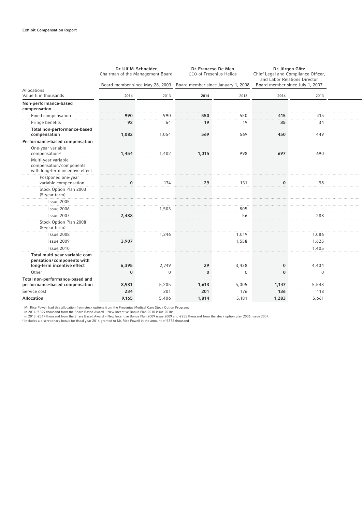|                                                                                   | Dr. Ulf M. Schneider<br>Chairman of the Management Board |             | Dr. Franceso De Meo<br><b>CEO of Fresenius Helios</b> |             | Dr. Jürgen Götz<br>Chief Legal and Compliance Officer,<br>and Labor Relations Director |             |  |
|-----------------------------------------------------------------------------------|----------------------------------------------------------|-------------|-------------------------------------------------------|-------------|----------------------------------------------------------------------------------------|-------------|--|
|                                                                                   | Board member since May 28, 2003                          |             | Board member since January 1, 2008                    |             | Board member since July 1, 2007                                                        |             |  |
| Allocations<br>Value $\epsilon$ in thousands                                      | 2014                                                     | 2013        | 2014                                                  | 2013        | 2014                                                                                   | 2013        |  |
| Non-performance-based<br>compensation                                             |                                                          |             |                                                       |             |                                                                                        |             |  |
| Fixed compensation                                                                | 990                                                      | 990         | 550                                                   | 550         | 415                                                                                    | 415         |  |
| Fringe benefits                                                                   | 92                                                       | 64          | 19                                                    | 19          | 35                                                                                     | 34          |  |
| Total non-performance-based<br>compensation                                       | 1,082                                                    | 1,054       | 569                                                   | 569         | 450                                                                                    | 449         |  |
| Performance-based compensation                                                    |                                                          |             |                                                       |             |                                                                                        |             |  |
| One-year variable<br>compensation <sup>2</sup>                                    | 1,454                                                    | 1,402       | 1,015                                                 | 998         | 697                                                                                    | 690         |  |
| Multi-year variable<br>compensation/components<br>with long-term incentive effect |                                                          |             |                                                       |             |                                                                                        |             |  |
| Postponed one-year<br>variable compensation                                       | $\bf{0}$                                                 | 174         | 29                                                    | 131         |                                                                                        | 98          |  |
| Stock Option Plan 2003<br>(5-year term)                                           |                                                          |             |                                                       |             |                                                                                        |             |  |
| <b>Issue 2005</b>                                                                 |                                                          |             |                                                       |             |                                                                                        |             |  |
| Issue 2006                                                                        |                                                          | 1,503       |                                                       | 805         |                                                                                        |             |  |
| Issue 2007                                                                        | 2,488                                                    |             |                                                       | 56          |                                                                                        | 288         |  |
| Stock Option Plan 2008<br>(5-year term)                                           |                                                          |             |                                                       |             |                                                                                        |             |  |
| Issue 2008                                                                        |                                                          | 1,246       |                                                       | 1,019       |                                                                                        | 1,086       |  |
| Issue 2009                                                                        | 3,907                                                    |             |                                                       | 1,558       |                                                                                        | 1,625       |  |
| Issue 2010                                                                        |                                                          |             |                                                       |             |                                                                                        | 1,405       |  |
| Total multi-year variable com-<br>pensation/components with                       |                                                          |             |                                                       |             |                                                                                        |             |  |
| long-term incentive effect                                                        | 6,395                                                    | 2,749       | 29                                                    | 3,438       |                                                                                        | 4,404       |  |
| Other                                                                             | $\bf{0}$                                                 | $\mathbf 0$ | 0                                                     | $\mathbf 0$ | $\bf{0}$                                                                               | $\mathbf 0$ |  |
| Total non-performance-based and<br>performance-based compensation                 | 8,931                                                    | 5,205       | 1,613                                                 | 5.005       | 1.147                                                                                  | 5,543       |  |
| Service cost                                                                      | 234                                                      | 201         | 201                                                   | 176         | 136                                                                                    | 118         |  |
| <b>Allocation</b>                                                                 | 9,165                                                    | 5,406       | 1,814                                                 | 5,181       | 1,283                                                                                  | 5,661       |  |

' Mr. Rice Powell had this allocation from stock options from the Fresenius Medical Care Stock Option Program:<br>in 2014: €399 thousand from the Share Based Award – New Incentive Bonus Plan 2010 issue 2010;<br>in 2013: €317 t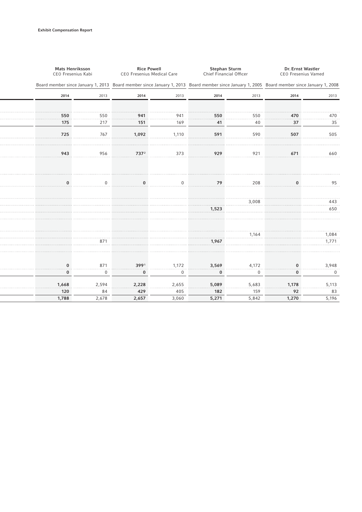| Mats Henriksson<br>CEO Fresenius Kabi |              | <b>Rice Powell</b><br>CEO Fresenius Medical Care                                                                                            |          | <b>Stephan Sturm</b><br>Chief Financial Officer |          | Dr. Ernst Wastler<br><b>CEO Fresenius Vamed</b> |                |  |  |
|---------------------------------------|--------------|---------------------------------------------------------------------------------------------------------------------------------------------|----------|-------------------------------------------------|----------|-------------------------------------------------|----------------|--|--|
|                                       |              | Board member since January 1, 2013 Board member since January 1, 2013 Board member since January 1, 2005 Board member since January 1, 2008 |          |                                                 |          |                                                 |                |  |  |
| 2014                                  | 2013         | 2014                                                                                                                                        | 2013     | 2014                                            | 2013     | 2014<br>2013                                    |                |  |  |
|                                       |              |                                                                                                                                             |          |                                                 |          |                                                 |                |  |  |
| 550                                   | 550          | 941                                                                                                                                         | 941      | 550                                             | 550      | 470                                             | 470            |  |  |
| 175                                   | 217          | 151                                                                                                                                         | 169      | 41                                              | 40       | 37                                              | 35             |  |  |
| 725                                   | 767          | 1,092                                                                                                                                       | 1,110    | 591                                             | 590      | 507                                             | 505            |  |  |
| 943                                   | 956          | 7372                                                                                                                                        | 373      | 929                                             | 921      | 671                                             | 660            |  |  |
|                                       |              |                                                                                                                                             |          |                                                 |          |                                                 |                |  |  |
| $\bf{0}$                              | $\Omega$     | $\bf{0}$                                                                                                                                    | $\Omega$ | 79                                              | 208      | $\mathbf{0}$                                    | 95             |  |  |
|                                       |              |                                                                                                                                             |          |                                                 | 3,008    |                                                 | 443            |  |  |
|                                       |              |                                                                                                                                             |          | 1,523                                           |          |                                                 | 650            |  |  |
|                                       |              |                                                                                                                                             |          |                                                 |          |                                                 |                |  |  |
|                                       | 871          |                                                                                                                                             |          | 1,967                                           | 1,164    |                                                 | 1,084<br>1,771 |  |  |
|                                       |              |                                                                                                                                             |          |                                                 |          |                                                 |                |  |  |
| $\bf{0}$                              | 871          | 3991                                                                                                                                        | 1,172    | 3,569                                           | 4,172    | $\bf{0}$                                        | 3,948          |  |  |
| $\bf{0}$                              | $\mathbf{0}$ | $\bf{0}$                                                                                                                                    | 0        | $\bf{0}$                                        | $\Omega$ | $\bf{0}$                                        | 0              |  |  |
| 1,668                                 | 2,594        | 2,228                                                                                                                                       | 2,655    | 5,089                                           | 5,683    | 1,178                                           | 5,113          |  |  |
| 120                                   | 84           | 429                                                                                                                                         | 405      | 182                                             | 159      | 92                                              | 83             |  |  |
| 1,788                                 | 2,678        | 2,657                                                                                                                                       | 3,060    | 5,271                                           | 5,842    | 1,270                                           | 5,196          |  |  |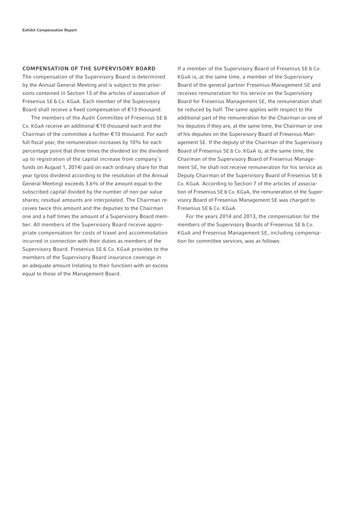## COMPENSATION OF THE SUPERVISORY BOARD

The compensation of the Supervisory Board is determined by the Annual General Meeting and is subject to the provisions contained in Section 13 of the articles of association of Fresenius SE & Co. KGaA. Each member of the Supervisory Board shall receive a fixed compensation of  $E$ 13 thousand.

The members of the Audit Committee of Fresenius SE & Co. KGaA receive an additional € 10 thousand each and the Chairman of the committee a further € 10 thousand. For each full fiscal year, the remuneration increases by 10% for each percentage point that three times the dividend (or the dividend up to registration of the capital increase from company's funds on August 1, 2014) paid on each ordinary share for that year (gross dividend according to the resolution of the Annual General Meeting) exceeds 3.6% of the amount equal to the subscribed capital divided by the number of non-par value shares; residual amounts are interpolated. The Chairman receives twice this amount and the deputies to the Chairman one and a half times the amount of a Supervisory Board member. All members of the Supervisory Board receive appropriate compensation for costs of travel and accommodation incurred in connection with their duties as members of the Supervisory Board. Fresenius SE & Co. KGaA provides to the members of the Supervisory Board insurance coverage in an adequate amount (relating to their function) with an excess equal to those of the Management Board.

If a member of the Supervisory Board of Fresenius SE & Co. KGaA is, at the same time, a member of the Supervisory Board of the general partner Fresenius Management SE and receives remuneration for his service on the Supervisory Board for Fresenius Management SE, the remuneration shall be reduced by half. The same applies with respect to the additional part of the remuneration for the Chairman or one of his deputies if they are, at the same time, the Chairman or one of his deputies on the Supervisory Board of Fresenius Management SE. If the deputy of the Chairman of the Supervisory Board of Fresenius SE & Co. KGaA is, at the same time, the Chairman of the Supervisory Board of Fresenius Management SE, he shall not receive remuneration for his service as Deputy Chairman of the Supervisory Board of Fresenius SE & Co. KGaA. According to Section 7 of the articles of association of Fresenius SE & Co. KGaA, the remuneration of the Supervisory Board of Fresenius Management SE was charged to Fresenius SE & Co. KGaA.

For the years 2014 and 2013, the compensation for the members of the Supervisory Boards of Fresenius SE & Co. KGaA and Fresenius Management SE, including compensation for committee services, was as follows: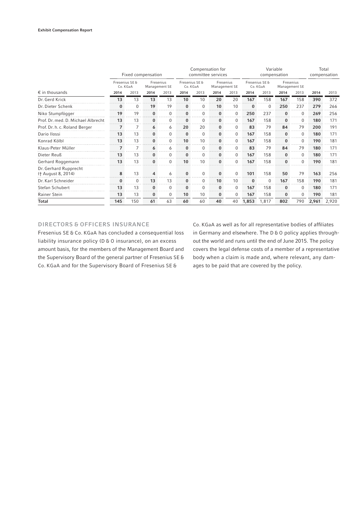|                                             | Fixed compensation         |          |                            |          | Compensation for<br>committee services |          |                            |             | Variable<br>compensation   |          |                            |          | Total<br>compensation |       |
|---------------------------------------------|----------------------------|----------|----------------------------|----------|----------------------------------------|----------|----------------------------|-------------|----------------------------|----------|----------------------------|----------|-----------------------|-------|
|                                             | Fresenius SE &<br>Co. KGaA |          | Fresenius<br>Management SE |          | Fresenius SE &<br>Co. KGaA             |          | Fresenius<br>Management SE |             | Fresenius SE &<br>Co. KGaA |          | Fresenius<br>Management SE |          |                       |       |
| $\epsilon$ in thousands                     | 2014                       | 2013     | 2014                       | 2013     | 2014                                   | 2013     | 2014                       | 2013        | 2014                       | 2013     | 2014                       | 2013     | 2014                  | 2013  |
| Dr. Gerd Krick                              | 13                         | 13       | 13                         | 13       | 10                                     | 10       | 20                         | 20          | 167                        | 158      | 167                        | 158      | 390                   | 372   |
| Dr. Dieter Schenk                           | $\bf{0}$<br>.              | $\Omega$ | 19                         | 19       | $\bf{0}$                               | 0        | 10                         | 10          | $\bf{0}$                   | O        | 250                        | 237      | 279                   | 266   |
| Niko Stumpfögger                            | 19                         | 19       | $\Omega$                   |          |                                        |          |                            | 0           | 250                        | 237      | $\bf{0}$                   | 0        | 269                   | 256   |
| Prof. Dr. med. D. Michael Albrecht          | 13                         | 13       | $\bf{0}$                   | 0        | $\bf{0}$                               | 0        | $\bf{0}$                   | $\Omega$    | 167                        | 158      | $\bf{0}$                   | $\Omega$ | 180                   | 171   |
| Prof. Dr. h. c. Roland Berger               | $\overline{7}$             |          | 6                          | 6        | 20                                     | 20       | 0                          | 0           | 83                         | 79       | 84                         | 79       | 200                   | 191   |
| Dario Ilossi                                | 13                         | 13       | $\Omega$                   | $\Omega$ | $\bf{0}$                               | $\Omega$ | 0                          | $\Omega$    | 167                        | 158      | $\bf{0}$                   | 0        | 180                   | 171   |
| Konrad Kölbl                                | 13                         | 13       | $\bf{0}$                   | 0        | 10                                     | 10       | $\bf{0}$                   | $\Omega$    | 167                        | 158      | $\bf{0}$                   | $\Omega$ | 190                   | 181   |
| Klaus-Peter Müller                          | 7<br>.                     |          | 6                          | 6        | $\bf{0}$                               | 0        | 0                          | $\Omega$    | 83                         | 79       | 84                         | 79       | 180                   | 171   |
| Dieter Reuß                                 | 13<br>.                    | 13       | $\Omega$                   |          | $\Omega$                               | 0        | 0                          | $\Omega$    | 167                        | 158      | 0                          | 0        | 180                   | 171   |
| Gerhard Roggemann                           | 13                         | 13       | $\Omega$                   |          | 10                                     | 10       |                            | 0           | 167                        | 158      | 0                          |          | 190                   | 181   |
| Dr. Gerhard Rupprecht<br>(† August 8, 2014) | 8                          | 13       | 4                          | 6        | 0                                      | 0        | 0                          | $\mathbf 0$ | 101                        | 158      | 50                         | 79       | 163                   | 256   |
| Dr. Karl Schneider                          | $\bf{0}$<br>.              | $\Omega$ | 13                         | 13       | $\bf{0}$                               | 0        | 10                         | 10          | 0                          | $\Omega$ | 167                        | 158      | 190                   | 181   |
| Stefan Schubert                             | 13                         | 13       | $\bf{0}$                   |          | $\Omega$                               | ი        | 0                          | $\Omega$    | 167                        | 158      | $\bf{0}$                   | 0        | 180                   | 171   |
| Rainer Stein                                | 13                         | 13       | $\bf{0}$                   | $\Omega$ | 10                                     | 10       | 0                          | $\Omega$    | 167                        | 158      | $\bf{0}$                   | $\Omega$ | 190                   | 181   |
| Total                                       | 145                        | 150      | 61                         | 63       | 60                                     | 60       | 40                         | 40          | 1,853                      | 1.817    | 802                        | 790      | 2,961                 | 2,920 |

# DIRECTORS & OFFICERS INSURANCE

Fresenius SE & Co. KGaA has concluded a consequential loss liability insurance policy (D & O insurance), on an excess amount basis, for the members of the Management Board and the Supervisory Board of the general partner of Fresenius SE & Co. KGaA and for the Supervisory Board of Fresenius SE &

Co. KGaA as well as for all representative bodies of affiliates in Germany and elsewhere. The D & O policy applies throughout the world and runs until the end of June 2015. The policy covers the legal defense costs of a member of a representative body when a claim is made and, where relevant, any damages to be paid that are covered by the policy.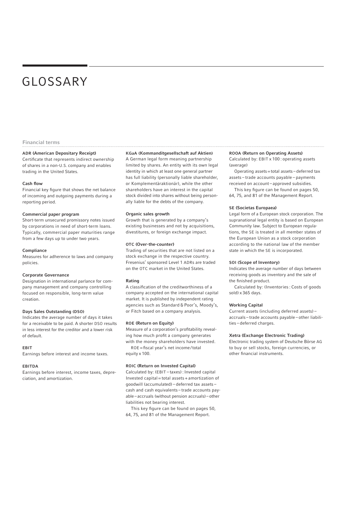# GLOSSARY

#### Financial terms

### ADR (American Depositary Receipt)

Certificate that represents indirect ownership of shares in a non-U.S. company and enables trading in the United States.

#### **Cash flow**

Financial key figure that shows the net balance of incoming and outgoing payments during a reporting period.

#### Commercial paper program

Short-term unsecured promissory notes issued by corporations in need of short-term loans. Typically, commercial paper maturities range from a few days up to under two years.

#### Compliance

Measures for adherence to laws and company policies.

#### Corporate Governance

Designation in international parlance for company management and company controlling focused on responsible, long-term value creation.

#### Days Sales Outstanding (DSO)

Indicates the average number of days it takes for a receivable to be paid. A shorter DSO results in less interest for the creditor and a lower risk of default.

#### EBIT

Earnings before interest and income taxes.

#### EBITDA

Earnings before interest, income taxes, depreciation, and amortization.

#### KGaA (Kommanditgesellschaft auf Aktien)

A German legal form meaning partnership limited by shares. An entity with its own legal identity in which at least one general partner has full liability (personally liable shareholder, or Komplementär aktionär), while the other shareholders have an interest in the capital stock divided into shares without being personally liable for the debts of the company.

#### Organic sales growth

Growth that is generated by a company's existing businesses and not by acquisitions, divestitures, or foreign exchange impact.

#### OTC (Over-the-counter)

Trading of securities that are not listed on a stock exchange in the respective country. Fresenius' sponsored Level 1 ADRs are traded on the OTC market in the United States.

#### Rating

A classification of the creditworthiness of a company accepted on the international capital market. It is published by independent rating agencies such as Standard & Poor's, Moody's, or Fitch based on a company analysis.

#### ROE (Return on Equity)

Measure of a corporation's profitability revealing how much profit a company generates with the money shareholders have invested.

ROE = fiscal year's net income/total equity x 100.

#### ROIC (Return on Invested Capital)

Calculated by: (EBIT – taxes) : Invested capital Invested capital = total assets + amortization of goodwill (accumulated) – deferred tax assets – cash and cash equivalents – trade accounts payable – accruals (without pension accruals) – other liabilities not bearing interest.

This key figure can be found on pages 50 64, 75, and 81 of the Management Report.

#### ROOA (Return on Operating Assets)

Calculated by: EBIT x 100 : operating assets (average)

 Operating assets = total assets – deferred tax assets – trade accounts payable – payments received on account – approved subsidies.

This key figure can be found on pages 50, 64, 75, and 81 of the Management Report.

#### SE (Societas Europaea)

Legal form of a European stock corporation. The supranational legal entity is based on European Community law. Subject to European regulations, the SE is treated in all member states of the European Union as a stock corporation according to the national law of the member state in which the SE is incorporated.

#### SOI (Scope of Inventory)

Indicates the average number of days between receiving goods as inventory and the sale of the finished product.

 Calculated by: (Inventories : Costs of goods sold) x 365 days.

#### Working Capital

Current assets (including deferred assets) – accruals – trade accounts payable – other liabilities – deferred charges.

## Xetra (Exchange Electronic Trading)

Electronic trading system of Deutsche Börse AG to buy or sell stocks, foreign currencies, or other financial instruments.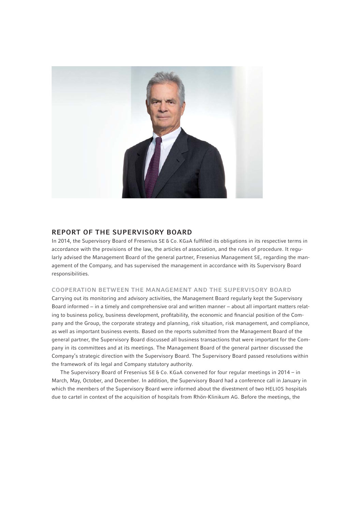

# REPORT OF THE SUPERVISORY BOARD

In 2014, the Supervisory Board of Fresenius SE & Co. KGaA fulfilled its obligations in its respective terms in accordance with the provisions of the law, the articles of association, and the rules of procedure. It regularly advised the Management Board of the general partner, Fresenius Management SE, regarding the management of the Company, and has supervised the management in accordance with its Supervisory Board responsibilities.

# COOPERATION BETWEEN THE MANAGEMENT AND THE SUPERVISORY BOARD

Carrying out its monitoring and advisory activities, the Management Board regularly kept the Supervisory Board informed − in a timely and comprehensive oral and written manner − about all important matters relating to business policy, business development, profitability, the economic and financial position of the Company and the Group, the corporate strategy and planning, risk situation, risk management, and compliance, as well as important business events. Based on the reports submitted from the Management Board of the general partner, the Supervisory Board discussed all business transactions that were important for the Company in its committees and at its meetings. The Management Board of the general partner discussed the Company's strategic direction with the Supervisory Board. The Supervisory Board passed resolutions within the framework of its legal and Company statutory authority.

The Supervisory Board of Fresenius SE & Co. KGaA convened for four regular meetings in 2014 – in March, May, October, and December. In addition, the Supervisory Board had a conference call in January in which the members of the Supervisory Board were informed about the divestment of two HELIOS hospitals due to cartel in context of the acquisition of hospitals from Rhön-Klinikum AG. Before the meetings, the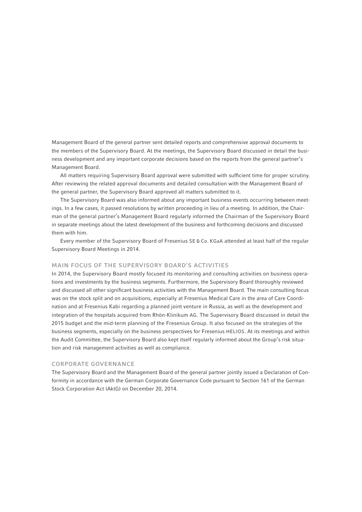Management Board of the general partner sent detailed reports and comprehensive approval documents to the members of the Supervisory Board. At the meetings, the Supervisory Board discussed in detail the business development and any important corporate decisions based on the reports from the general partner's Management Board.

All matters requiring Supervisory Board approval were submitted with sufficient time for proper scrutiny. After reviewing the related approval documents and detailed consultation with the Management Board of the general partner, the Supervisory Board approved all matters submitted to it.

The Supervisory Board was also informed about any important business events occurring between meetings. In a few cases, it passed resolutions by written proceeding in lieu of a meeting. In addition, the Chairman of the general partner's Management Board regularly informed the Chairman of the Supervisory Board in separate meetings about the latest development of the business and forthcoming decisions and discussed them with him.

Every member of the Supervisory Board of Fresenius SE & Co. KGaA attended at least half of the regular Supervisory Board Meetings in 2014.

# MAIN FOCUS OF THE SUPERVISORY BOARD'S ACTIVITIES

In 2014, the Supervisory Board mostly focused its monitoring and consulting activities on business operations and investments by the business segments. Furthermore, the Supervisory Board thoroughly reviewed and discussed all other significant business activities with the Management Board. The main consulting focus was on the stock split and on acquisitions, especially at Fresenius Medical Care in the area of Care Coordination and at Fresenius Kabi regarding a planned joint venture in Russia, as well as the development and integration of the hospitals acquired from Rhön-Klinikum AG. The Supervisory Board discussed in detail the 2015 budget and the mid-term planning of the Fresenius Group. It also focused on the strategies of the business segments, especially on the business perspectives for Fresenius HELIOS. At its meetings and within the Audit Committee, the Supervisory Board also kept itself regularly informed about the Group's risk situation and risk management activities as well as compliance.

## CORPORATE GOVERNANCE

The Supervisory Board and the Management Board of the general partner jointly issued a Declaration of Conformity in accordance with the German Corporate Governance Code pursuant to Section 161 of the German Stock Corporation Act (AktG) on December 20, 2014.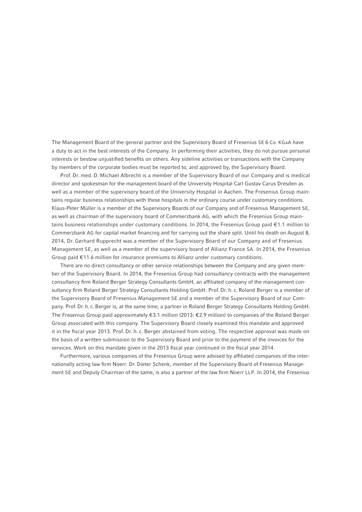The Management Board of the general partner and the Supervisory Board of Fresenius SE & Co. KGaA have a duty to act in the best interests of the Company. In performing their activities, they do not pursue personal interests or bestow unjustified benefits on others. Any sideline activities or transactions with the Company by members of the corporate bodies must be reported to, and approved by, the Supervisory Board.

Prof. Dr. med. D. Michael Albrecht is a member of the Supervisory Board of our Company and is medical director and spokesman for the management board of the University Hospital Carl Gustav Carus Dresden as well as a member of the supervisory board of the University Hospital in Aachen. The Fresenius Group maintains regular business relationships with these hospitals in the ordinary course under customary conditions. Klaus-Peter Müller is a member of the Supervisory Boards of our Company and of Fresenius Management SE, as well as chairman of the supervisory board of Commerzbank AG, with which the Fresenius Group maintains business relationships under customary conditions. In 2014, the Fresenius Group paid € 1.1 million to Commerzbank AG for capital market financing and for carrying out the share split. Until his death on August 8, 2014, Dr. Gerhard Rupprecht was a member of the Supervisory Board of our Company and of Fresenius Management SE, as well as a member of the supervisory board of Allianz France SA. In 2014, the Fresenius Group paid € 11.6 million for insurance premiums to Allianz under customary conditions.

There are no direct consultancy or other service relationships between the Company and any given member of the Supervisory Board. In 2014, the Fresenius Group had consultancy contracts with the management consultancy firm Roland Berger Strategy Consultants GmbH, an affiliated company of the management consultancy firm Roland Berger Strategy Consultants Holding GmbH. Prof. Dr. h. c. Roland Berger is a member of the Supervisory Board of Fresenius Management SE and a member of the Supervisory Board of our Company. Prof. Dr. h. c. Berger is, at the same time, a partner in Roland Berger Strategy Consultants Holding GmbH. The Fresenius Group paid approximately €3.1 million (2013: €2.9 million) to companies of the Roland Berger Group associated with this company. The Supervisory Board closely examined this mandate and approved it in the fiscal year 2013. Prof. Dr. h. c. Berger abstained from voting. The respective approval was made on the basis of a written submission to the Supervisory Board and prior to the payment of the invoices for the services. Work on this mandate given in the 2013 fiscal year continued in the fiscal year 2014.

Furthermore, various companies of the Fresenius Group were advised by affiliated companies of the internationally acting law firm Noerr. Dr. Dieter Schenk, member of the Supervisory Board of Fresenius Management SE and Deputy Chairman of the same, is also a partner of the law firm Noerr LLP. In 2014, the Fresenius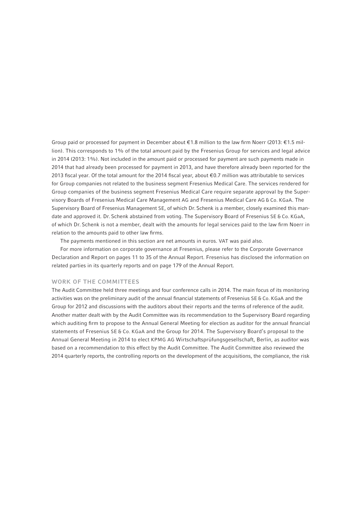Group paid or processed for payment in December about €1.8 million to the law firm Noerr (2013: €1.5 million). This corresponds to 1% of the total amount paid by the Fresenius Group for services and legal advice in 2014 (2013: 1%). Not included in the amount paid or processed for payment are such payments made in 2014 that had already been processed for payment in 2013, and have therefore already been reported for the 2013 fiscal year. Of the total amount for the 2014 fiscal year, about €0.7 million was attributable to services for Group companies not related to the business segment Fresenius Medical Care. The services rendered for Group companies of the business segment Fresenius Medical Care require separate approval by the Supervisory Boards of Fresenius Medical Care Management AG and Fresenius Medical Care AG & Co. KGaA. The Supervisory Board of Fresenius Management SE, of which Dr. Schenk is a member, closely examined this mandate and approved it. Dr. Schenk abstained from voting. The Supervisory Board of Fresenius SE & Co. KGaA, of which Dr. Schenk is not a member, dealt with the amounts for legal services paid to the law firm Noerr in relation to the amounts paid to other law firms.

The payments mentioned in this section are net amounts in euros. VAT was paid also.

For more information on corporate governance at Fresenius, please refer to the Corporate Governance Declaration and Report on pages 11 to 35 of the Annual Report. Fresenius has disclosed the information on related parties in its quarterly reports and on page 179 of the Annual Report.

## WORK OF THE COMMITTEES

The Audit Committee held three meetings and four conference calls in 2014. The main focus of its monitoring activities was on the preliminary audit of the annual financial statements of Fresenius SE & Co. KGaA and the Group for 2012 and discussions with the auditors about their reports and the terms of reference of the audit. Another matter dealt with by the Audit Committee was its recommendation to the Supervisory Board regarding which auditing firm to propose to the Annual General Meeting for election as auditor for the annual financial statements of Fresenius SE & Co. KGaA and the Group for 2014. The Supervisory Board's proposal to the Annual General Meeting in 2014 to elect KPMG AG Wirtschaftsprüfungsgesellschaft, Berlin, as auditor was based on a recommendation to this effect by the Audit Committee. The Audit Committee also reviewed the 2014 quarterly reports, the controlling reports on the development of the acquisitions, the compliance, the risk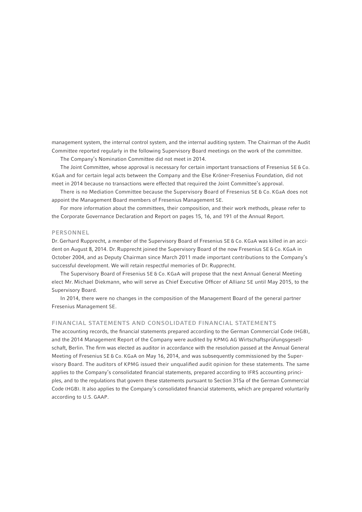management system, the internal control system, and the internal auditing system. The Chairman of the Audit Committee reported regularly in the following Supervisory Board meetings on the work of the committee.

The Company's Nomination Committee did not meet in 2014.

The Joint Committee, whose approval is necessary for certain important transactions of Fresenius SE & Co. KGaA and for certain legal acts between the Company and the Else Kröner-Fresenius Foundation, did not meet in 2014 because no transactions were effected that required the Joint Committee's approval.

There is no Mediation Committee because the Supervisory Board of Fresenius SE & Co. KGaA does not appoint the Management Board members of Fresenius Management SE.

For more information about the committees, their composition, and their work methods, please refer to the Corporate Governance Declaration and Report on pages 15, 16, and 191 of the Annual Report.

## PERSONNEL

Dr. Gerhard Rupprecht, a member of the Supervisory Board of Fresenius SE & Co. KGaA was killed in an accident on August 8, 2014. Dr. Rupprecht joined the Supervisory Board of the now Fresenius SE & Co. KGaA in October 2004, and as Deputy Chairman since March 2011 made important contributions to the Company's successful development. We will retain respectful memories of Dr. Rupprecht.

The Supervisory Board of Fresenius SE & Co. KGaA will propose that the next Annual General Meeting elect Mr. Michael Diekmann, who will serve as Chief Executive Officer of Allianz SE until May 2015, to the Supervisory Board.

In 2014, there were no changes in the composition of the Management Board of the general partner Fresenius Management SE.

# FINANCIAL STATEMENTS AND CONSOLIDATED FINANCIAL STATEMENTS

The accounting records, the financial statements prepared according to the German Commercial Code (HGB), and the 2014 Management Report of the Company were audited by KPMG AG Wirtschaftsprüfungsgesellschaft, Berlin. The firm was elected as auditor in accordance with the resolution passed at the Annual General Meeting of Fresenius SE & Co. KGaA on May 16, 2014, and was subsequently commissioned by the Supervisory Board. The auditors of KPMG issued their unqualified audit opinion for these statements. The same applies to the Company's consolidated financial statements, prepared according to IFRS accounting principles, and to the regulations that govern these statements pursuant to Section 315a of the German Commercial Code (HGB). It also applies to the Company's consolidated financial statements, which are prepared voluntarily according to U.S. GAAP.